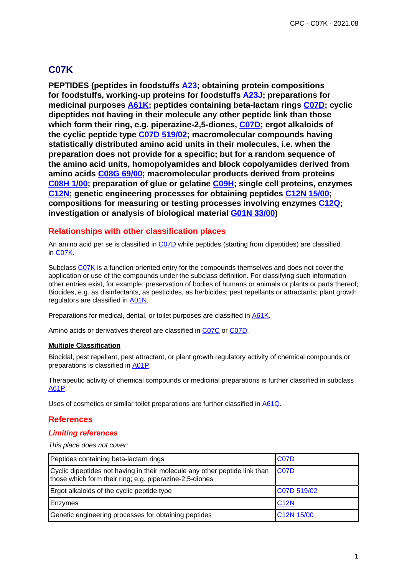# **C07K**

**PEPTIDES (peptides in foodstuffs A23; obtaining protein compositions for foodstuffs, working-up proteins for foodstuffs A23J; preparations for medicinal purposes A61K; peptides containing beta-lactam rings C07D; cyclic dipeptides not having in their molecule any other peptide link than those which form their ring, e.g. piperazine-2,5-diones, C07D; ergot alkaloids of the cyclic peptide type C07D 519/02; macromolecular compounds having statistically distributed amino acid units in their molecules, i.e. when the preparation does not provide for a specific; but for a random sequence of the amino acid units, homopolyamides and block copolyamides derived from amino acids C08G 69/00; macromolecular products derived from proteins C08H 1/00; preparation of glue or gelatine C09H; single cell proteins, enzymes C12N; genetic engineering processes for obtaining peptides C12N 15/00; compositions for measuring or testing processes involving enzymes C12Q; investigation or analysis of biological material G01N 33/00)**

### **Relationships with other classification places**

An amino acid per se is classified in C07D while peptides (starting from dipeptides) are classified in C07K.

Subclass C07K is a function oriented entry for the compounds themselves and does not cover the application or use of the compounds under the subclass definition. For classifying such information other entries exist, for example: preservation of bodies of humans or animals or plants or parts thereof; Biocides, e.g. as disinfectants, as pesticides, as herbicides; pest repellants or attractants; plant growth regulators are classified in A01N.

Preparations for medical, dental, or toilet purposes are classified in **A61K**.

Amino acids or derivatives thereof are classified in C07C or C07D.

#### **Multiple Classification**

Biocidal, pest repellant, pest attractant, or plant growth regulatory activity of chemical compounds or preparations is classified in A01P.

Therapeutic activity of chemical compounds or medicinal preparations is further classified in subclass A61P.

Uses of cosmetics or similar toilet preparations are further classified in A61Q.

### **References**

### **Limiting references**

| Peptides containing beta-lactam rings                                                                                                 | <b>C07D</b>             |
|---------------------------------------------------------------------------------------------------------------------------------------|-------------------------|
| Cyclic dipeptides not having in their molecule any other peptide link than<br>those which form their ring; e.g. piperazine-2,5-diones | <b>C07D</b>             |
| Ergot alkaloids of the cyclic peptide type                                                                                            | C07D 519/02             |
| Enzymes                                                                                                                               | <b>C12N</b>             |
| Genetic engineering processes for obtaining peptides                                                                                  | C <sub>12</sub> N 15/00 |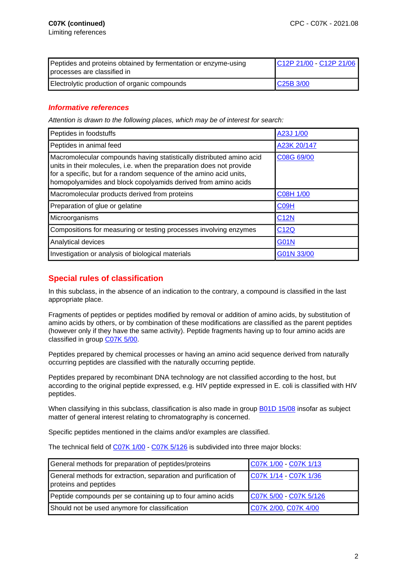| Peptides and proteins obtained by fermentation or enzyme-using<br>processes are classified in | C12P 21/00 - C12P 21/06 |
|-----------------------------------------------------------------------------------------------|-------------------------|
| Electrolytic production of organic compounds                                                  | C25B 3/00               |

### **Informative references**

Attention is drawn to the following places, which may be of interest for search:

| Peptides in foodstuffs                                                                                                                                                                                                                                                              | A23J 1/00        |
|-------------------------------------------------------------------------------------------------------------------------------------------------------------------------------------------------------------------------------------------------------------------------------------|------------------|
| Peptides in animal feed                                                                                                                                                                                                                                                             | A23K 20/147      |
| Macromolecular compounds having statistically distributed amino acid<br>units in their molecules, i.e. when the preparation does not provide<br>for a specific, but for a random sequence of the amino acid units,<br>homopolyamides and block copolyamids derived from amino acids | C08G 69/00       |
| Macromolecular products derived from proteins                                                                                                                                                                                                                                       | <b>C08H 1/00</b> |
| Preparation of glue or gelatine                                                                                                                                                                                                                                                     | C09H             |
| Microorganisms                                                                                                                                                                                                                                                                      | <b>C12N</b>      |
| Compositions for measuring or testing processes involving enzymes                                                                                                                                                                                                                   | C <sub>12Q</sub> |
| Analytical devices                                                                                                                                                                                                                                                                  | <b>G01N</b>      |
| Investigation or analysis of biological materials                                                                                                                                                                                                                                   | G01N 33/00       |

## **Special rules of classification**

In this subclass, in the absence of an indication to the contrary, a compound is classified in the last appropriate place.

Fragments of peptides or peptides modified by removal or addition of amino acids, by substitution of amino acids by others, or by combination of these modifications are classified as the parent peptides (however only if they have the same activity). Peptide fragments having up to four amino acids are classified in group C07K 5/00.

Peptides prepared by chemical processes or having an amino acid sequence derived from naturally occurring peptides are classified with the naturally occurring peptide.

Peptides prepared by recombinant DNA technology are not classified according to the host, but according to the original peptide expressed, e.g. HIV peptide expressed in E. coli is classified with HIV peptides.

When classifying in this subclass, classification is also made in group **B01D 15/08** insofar as subject matter of general interest relating to chromatography is concerned.

Specific peptides mentioned in the claims and/or examples are classified.

The technical field of C07K 1/00 - C07K 5/126 is subdivided into three major blocks:

| General methods for preparation of peptides/proteins                                    | C07K 1/00 - C07K 1/13  |
|-----------------------------------------------------------------------------------------|------------------------|
| General methods for extraction, separation and purification of<br>proteins and peptides | C07K 1/14 - C07K 1/36  |
| Peptide compounds per se containing up to four amino acids                              | C07K 5/00 - C07K 5/126 |
| Should not be used anymore for classification                                           | C07K 2/00, C07K 4/00   |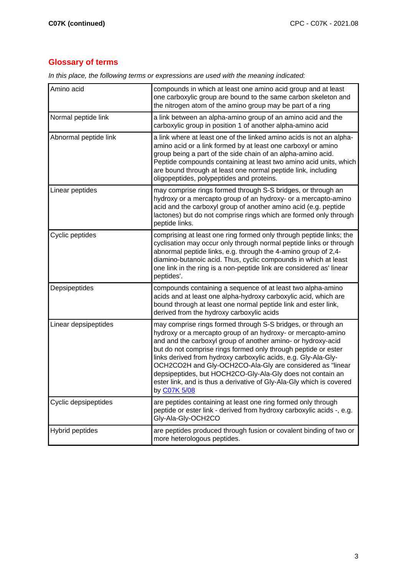# **Glossary of terms**

In this place, the following terms or expressions are used with the meaning indicated:

| Amino acid            | compounds in which at least one amino acid group and at least<br>one carboxylic group are bound to the same carbon skeleton and<br>the nitrogen atom of the amino group may be part of a ring                                                                                                                                                                                                                                                                                                                                                       |
|-----------------------|-----------------------------------------------------------------------------------------------------------------------------------------------------------------------------------------------------------------------------------------------------------------------------------------------------------------------------------------------------------------------------------------------------------------------------------------------------------------------------------------------------------------------------------------------------|
| Normal peptide link   | a link between an alpha-amino group of an amino acid and the<br>carboxylic group in position 1 of another alpha-amino acid                                                                                                                                                                                                                                                                                                                                                                                                                          |
| Abnormal peptide link | a link where at least one of the linked amino acids is not an alpha-<br>amino acid or a link formed by at least one carboxyl or amino<br>group being a part of the side chain of an alpha-amino acid.<br>Peptide compounds containing at least two amino acid units, which<br>are bound through at least one normal peptide link, including<br>oligopeptides, polypeptides and proteins.                                                                                                                                                            |
| Linear peptides       | may comprise rings formed through S-S bridges, or through an<br>hydroxy or a mercapto group of an hydroxy- or a mercapto-amino<br>acid and the carboxyl group of another amino acid (e.g. peptide<br>lactones) but do not comprise rings which are formed only through<br>peptide links.                                                                                                                                                                                                                                                            |
| Cyclic peptides       | comprising at least one ring formed only through peptide links; the<br>cyclisation may occur only through normal peptide links or through<br>abnormal peptide links, e.g. through the 4-amino group of 2,4-<br>diamino-butanoic acid. Thus, cyclic compounds in which at least<br>one link in the ring is a non-peptide link are considered as' linear<br>peptides'.                                                                                                                                                                                |
| Depsipeptides         | compounds containing a sequence of at least two alpha-amino<br>acids and at least one alpha-hydroxy carboxylic acid, which are<br>bound through at least one normal peptide link and ester link,<br>derived from the hydroxy carboxylic acids                                                                                                                                                                                                                                                                                                       |
| Linear depsipeptides  | may comprise rings formed through S-S bridges, or through an<br>hydroxy or a mercapto group of an hydroxy- or mercapto-amino<br>and and the carboxyl group of another amino- or hydroxy-acid<br>but do not comprise rings formed only through peptide or ester<br>links derived from hydroxy carboxylic acids, e.g. Gly-Ala-Gly-<br>OCH2CO2H and Gly-OCH2CO-Ala-Gly are considered as "linear<br>depsipeptides, but HOCH2CO-Gly-Ala-Gly does not contain an<br>ester link, and is thus a derivative of Gly-Ala-Gly which is covered<br>by C07K 5/08 |
| Cyclic depsipeptides  | are peptides containing at least one ring formed only through<br>peptide or ester link - derived from hydroxy carboxylic acids -, e.g.<br>Gly-Ala-Gly-OCH2CO                                                                                                                                                                                                                                                                                                                                                                                        |
| Hybrid peptides       | are peptides produced through fusion or covalent binding of two or<br>more heterologous peptides.                                                                                                                                                                                                                                                                                                                                                                                                                                                   |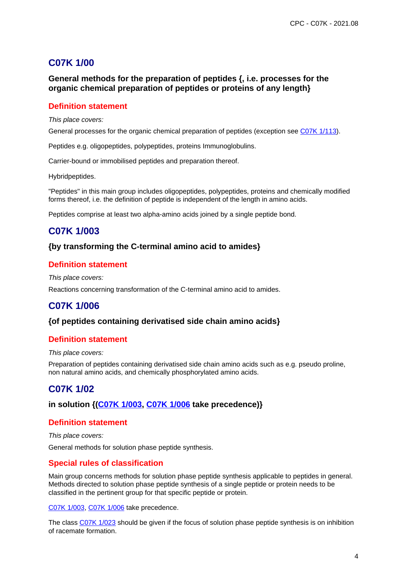# **C07K 1/00**

**General methods for the preparation of peptides {, i.e. processes for the organic chemical preparation of peptides or proteins of any length}**

## **Definition statement**

This place covers:

General processes for the organic chemical preparation of peptides (exception see C07K 1/113).

Peptides e.g. oligopeptides, polypeptides, proteins Immunoglobulins.

Carrier-bound or immobilised peptides and preparation thereof.

Hybridpeptides.

"Peptides" in this main group includes oligopeptides, polypeptides, proteins and chemically modified forms thereof, i.e. the definition of peptide is independent of the length in amino acids.

Peptides comprise at least two alpha-amino acids joined by a single peptide bond.

# **C07K 1/003**

#### **{by transforming the C-terminal amino acid to amides}**

#### **Definition statement**

This place covers:

Reactions concerning transformation of the C-terminal amino acid to amides.

## **C07K 1/006**

#### **{of peptides containing derivatised side chain amino acids}**

#### **Definition statement**

This place covers:

Preparation of peptides containing derivatised side chain amino acids such as e.g. pseudo proline, non natural amino acids, and chemically phosphorylated amino acids.

## **C07K 1/02**

**in solution {(C07K 1/003, C07K 1/006 take precedence)}**

### **Definition statement**

This place covers: General methods for solution phase peptide synthesis.

### **Special rules of classification**

Main group concerns methods for solution phase peptide synthesis applicable to peptides in general. Methods directed to solution phase peptide synthesis of a single peptide or protein needs to be classified in the pertinent group for that specific peptide or protein.

C07K 1/003, C07K 1/006 take precedence.

The class C07K 1/023 should be given if the focus of solution phase peptide synthesis is on inhibition of racemate formation.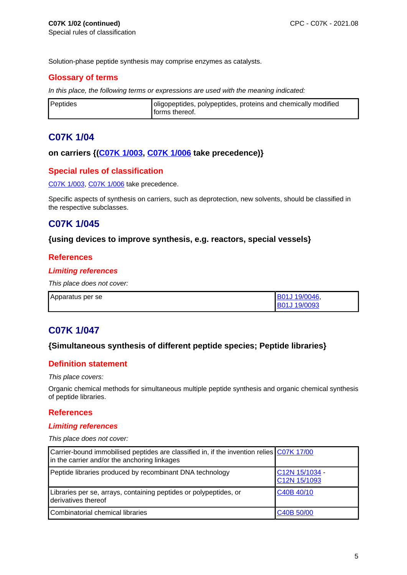Solution-phase peptide synthesis may comprise enzymes as catalysts.

## **Glossary of terms**

In this place, the following terms or expressions are used with the meaning indicated:

| Peptides | oligopeptides, polypeptides, proteins and chemically modified |
|----------|---------------------------------------------------------------|
|          | forms thereof.                                                |

## **C07K 1/04**

#### **on carriers {(C07K 1/003, C07K 1/006 take precedence)}**

### **Special rules of classification**

C07K 1/003, C07K 1/006 take precedence.

Specific aspects of synthesis on carriers, such as deprotection, new solvents, should be classified in the respective subclasses.

# **C07K 1/045**

### **{using devices to improve synthesis, e.g. reactors, special vessels}**

### **References**

#### **Limiting references**

This place does not cover:

| Apparatus per se | B01J 19/0046,      |
|------------------|--------------------|
|                  | <b>B01J19/0093</b> |

## **C07K 1/047**

### **{Simultaneous synthesis of different peptide species; Peptide libraries}**

### **Definition statement**

This place covers:

Organic chemical methods for simultaneous multiple peptide synthesis and organic chemical synthesis of peptide libraries.

### **References**

#### **Limiting references**

| Carrier-bound immobilised peptides are classified in, if the invention relies CO7K 17/00<br>in the carrier and/or the anchoring linkages |                                |
|------------------------------------------------------------------------------------------------------------------------------------------|--------------------------------|
| Peptide libraries produced by recombinant DNA technology                                                                                 | C12N 15/1034 -<br>C12N 15/1093 |
| Libraries per se, arrays, containing peptides or polypeptides, or<br>derivatives thereof                                                 | C40B 40/10                     |
| Combinatorial chemical libraries                                                                                                         | C40B 50/00                     |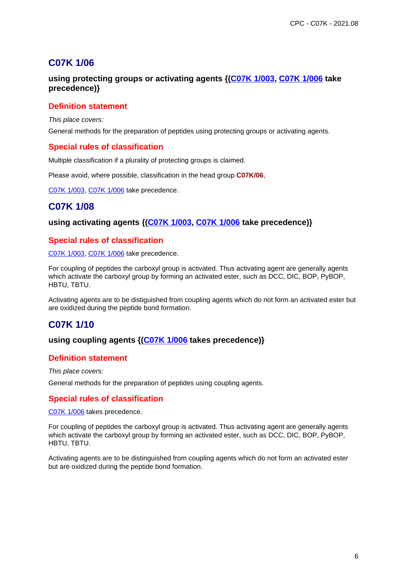# **C07K 1/06**

## **using protecting groups or activating agents {(C07K 1/003, C07K 1/006 take precedence)}**

## **Definition statement**

This place covers:

General methods for the preparation of peptides using protecting groups or activating agents.

### **Special rules of classification**

Multiple classification if a plurality of protecting groups is claimed.

Please avoid, where possible, classification in the head group **C07K/06**,

C07K 1/003, C07K 1/006 take precedence.

# **C07K 1/08**

### **using activating agents {(C07K 1/003, C07K 1/006 take precedence)}**

### **Special rules of classification**

C07K 1/003, C07K 1/006 take precedence.

For coupling of peptides the carboxyl group is activated. Thus activating agent are generally agents which activate the carboxyl group by forming an activated ester, such as DCC, DIC, BOP, PyBOP, HBTU, TBTU.

Activating agents are to be distiguished from coupling agents which do not form an activated ester but are oxidized during the peptide bond formation.

# **C07K 1/10**

### **using coupling agents {(C07K 1/006 takes precedence)}**

### **Definition statement**

This place covers:

General methods for the preparation of peptides using coupling agents.

## **Special rules of classification**

C07K 1/006 takes precedence.

For coupling of peptides the carboxyl group is activated. Thus activating agent are generally agents which activate the carboxyl group by forming an activated ester, such as DCC, DIC, BOP, PyBOP, HBTU, TBTU.

Activating agents are to be distinguished from coupling agents which do not form an activated ester but are oxidized during the peptide bond formation.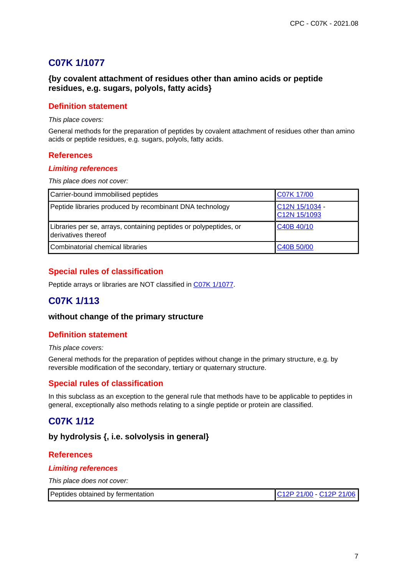# **C07K 1/1077**

## **{by covalent attachment of residues other than amino acids or peptide residues, e.g. sugars, polyols, fatty acids}**

### **Definition statement**

This place covers:

General methods for the preparation of peptides by covalent attachment of residues other than amino acids or peptide residues, e.g. sugars, polyols, fatty acids.

### **References**

#### **Limiting references**

This place does not cover:

| Carrier-bound immobilised peptides                                                       | C07K 17/00                     |
|------------------------------------------------------------------------------------------|--------------------------------|
| Peptide libraries produced by recombinant DNA technology                                 | C12N 15/1034 -<br>C12N 15/1093 |
| Libraries per se, arrays, containing peptides or polypeptides, or<br>derivatives thereof | C40B 40/10                     |
| Combinatorial chemical libraries                                                         | C40B 50/00                     |

## **Special rules of classification**

Peptide arrays or libraries are NOT classified in C07K 1/1077.

# **C07K 1/113**

#### **without change of the primary structure**

### **Definition statement**

#### This place covers:

General methods for the preparation of peptides without change in the primary structure, e.g. by reversible modification of the secondary, tertiary or quaternary structure.

## **Special rules of classification**

In this subclass as an exception to the general rule that methods have to be applicable to peptides in general, exceptionally also methods relating to a single peptide or protein are classified.

# **C07K 1/12**

### **by hydrolysis {, i.e. solvolysis in general}**

### **References**

#### **Limiting references**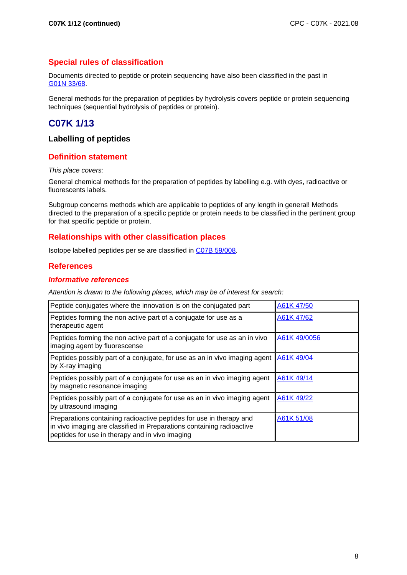## **Special rules of classification**

Documents directed to peptide or protein sequencing have also been classified in the past in G01N 33/68.

General methods for the preparation of peptides by hydrolysis covers peptide or protein sequencing techniques (sequential hydrolysis of peptides or protein).

# **C07K 1/13**

## **Labelling of peptides**

### **Definition statement**

#### This place covers:

General chemical methods for the preparation of peptides by labelling e.g. with dyes, radioactive or fluorescents labels.

Subgroup concerns methods which are applicable to peptides of any length in general! Methods directed to the preparation of a specific peptide or protein needs to be classified in the pertinent group for that specific peptide or protein.

### **Relationships with other classification places**

Isotope labelled peptides per se are classified in C07B 59/008.

### **References**

#### **Informative references**

Attention is drawn to the following places, which may be of interest for search:

| Peptide conjugates where the innovation is on the conjugated part                                                                                                                               | A61K 47/50   |
|-------------------------------------------------------------------------------------------------------------------------------------------------------------------------------------------------|--------------|
| Peptides forming the non active part of a conjugate for use as a<br>therapeutic agent                                                                                                           | A61K 47/62   |
| Peptides forming the non active part of a conjugate for use as an in vivo<br>imaging agent by fluorescense                                                                                      | A61K 49/0056 |
| Peptides possibly part of a conjugate, for use as an in vivo imaging agent<br>by X-ray imaging                                                                                                  | A61K 49/04   |
| Peptides possibly part of a conjugate for use as an in vivo imaging agent<br>by magnetic resonance imaging                                                                                      | A61K 49/14   |
| Peptides possibly part of a conjugate for use as an in vivo imaging agent<br>by ultrasound imaging                                                                                              | A61K 49/22   |
| Preparations containing radioactive peptides for use in therapy and<br>in vivo imaging are classified in Preparations containing radioactive<br>peptides for use in therapy and in vivo imaging | A61K 51/08   |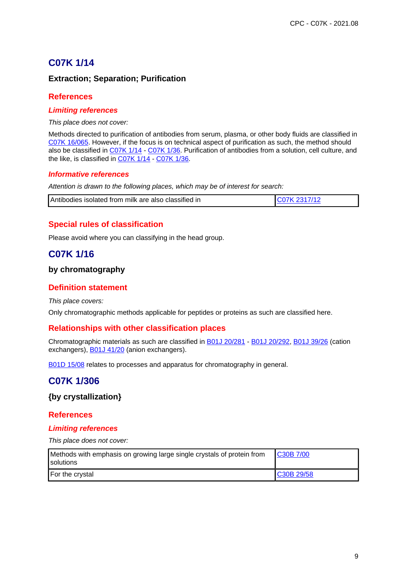# **C07K 1/14**

## **Extraction; Separation; Purification**

## **References**

### **Limiting references**

This place does not cover:

Methods directed to purification of antibodies from serum, plasma, or other body fluids are classified in C07K 16/065. However, if the focus is on technical aspect of purification as such, the method should also be classified in C07K 1/14 - C07K 1/36. Purification of antibodies from a solution, cell culture, and the like, is classified in C07K 1/14 - C07K 1/36.

### **Informative references**

Attention is drawn to the following places, which may be of interest for search:

| Antibodies isolated from milk are also classified in |  |
|------------------------------------------------------|--|
|                                                      |  |

## **Special rules of classification**

Please avoid where you can classifying in the head group.

# **C07K 1/16**

## **by chromatography**

## **Definition statement**

This place covers:

Only chromatographic methods applicable for peptides or proteins as such are classified here.

## **Relationships with other classification places**

Chromatographic materials as such are classified in B01J 20/281 - B01J 20/292, B01J 39/26 (cation exchangers), **B01J 41/20** (anion exchangers).

B01D 15/08 relates to processes and apparatus for chromatography in general.

# **C07K 1/306**

**{by crystallization}**

### **References**

### **Limiting references**

| Methods with emphasis on growing large single crystals of protein from<br><b>I</b> solutions | C30B 7/00  |
|----------------------------------------------------------------------------------------------|------------|
| For the crystal                                                                              | C30B 29/58 |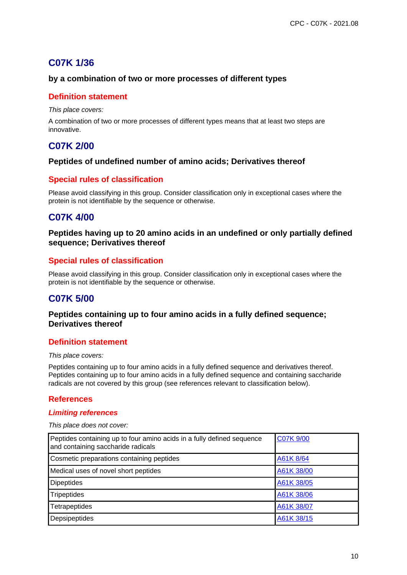# **C07K 1/36**

## **by a combination of two or more processes of different types**

### **Definition statement**

This place covers:

A combination of two or more processes of different types means that at least two steps are innovative.

# **C07K 2/00**

### **Peptides of undefined number of amino acids; Derivatives thereof**

## **Special rules of classification**

Please avoid classifying in this group. Consider classification only in exceptional cases where the protein is not identifiable by the sequence or otherwise.

# **C07K 4/00**

### **Peptides having up to 20 amino acids in an undefined or only partially defined sequence; Derivatives thereof**

## **Special rules of classification**

Please avoid classifying in this group. Consider classification only in exceptional cases where the protein is not identifiable by the sequence or otherwise.

# **C07K 5/00**

### **Peptides containing up to four amino acids in a fully defined sequence; Derivatives thereof**

### **Definition statement**

#### This place covers:

Peptides containing up to four amino acids in a fully defined sequence and derivatives thereof. Peptides containing up to four amino acids in a fully defined sequence and containing saccharide radicals are not covered by this group (see references relevant to classification below).

## **References**

#### **Limiting references**

| Peptides containing up to four amino acids in a fully defined sequence<br>and containing saccharide radicals | C07K 9/00  |
|--------------------------------------------------------------------------------------------------------------|------------|
| Cosmetic preparations containing peptides                                                                    | A61K 8/64  |
| Medical uses of novel short peptides                                                                         | A61K 38/00 |
| <b>Dipeptides</b>                                                                                            | A61K 38/05 |
| Tripeptides                                                                                                  | A61K 38/06 |
| Tetrapeptides                                                                                                | A61K 38/07 |
| Depsipeptides                                                                                                | A61K 38/15 |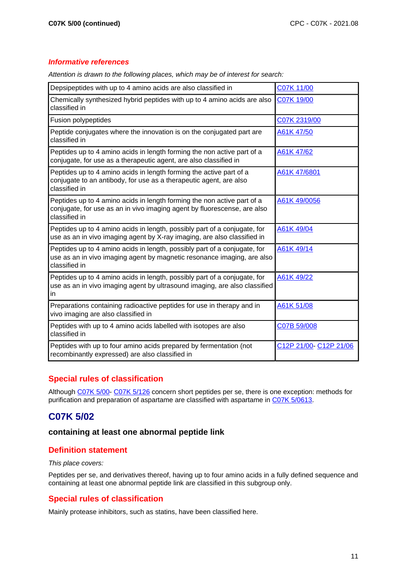### **Informative references**

| Depsipeptides with up to 4 amino acids are also classified in                                                                                                         | C07K 11/00            |
|-----------------------------------------------------------------------------------------------------------------------------------------------------------------------|-----------------------|
| Chemically synthesized hybrid peptides with up to 4 amino acids are also<br>classified in                                                                             | C07K 19/00            |
| Fusion polypeptides                                                                                                                                                   | C07K 2319/00          |
| Peptide conjugates where the innovation is on the conjugated part are<br>classified in                                                                                | A61K 47/50            |
| Peptides up to 4 amino acids in length forming the non active part of a<br>conjugate, for use as a therapeutic agent, are also classified in                          | A61K 47/62            |
| Peptides up to 4 amino acids in length forming the active part of a<br>conjugate to an antibody, for use as a therapeutic agent, are also<br>classified in            | A61K 47/6801          |
| Peptides up to 4 amino acids in length forming the non active part of a<br>conjugate, for use as an in vivo imaging agent by fluorescense, are also<br>classified in  | A61K 49/0056          |
| Peptides up to 4 amino acids in length, possibly part of a conjugate, for<br>use as an in vivo imaging agent by X-ray imaging, are also classified in                 | A61K 49/04            |
| Peptides up to 4 amino acids in length, possibly part of a conjugate, for<br>use as an in vivo imaging agent by magnetic resonance imaging, are also<br>classified in | A61K 49/14            |
| Peptides up to 4 amino acids in length, possibly part of a conjugate, for<br>use as an in vivo imaging agent by ultrasound imaging, are also classified<br>in         | A61K 49/22            |
| Preparations containing radioactive peptides for use in therapy and in<br>vivo imaging are also classified in                                                         | A61K 51/08            |
| Peptides with up to 4 amino acids labelled with isotopes are also<br>classified in                                                                                    | C07B 59/008           |
| Peptides with up to four amino acids prepared by fermentation (not<br>recombinantly expressed) are also classified in                                                 | C12P 21/00-C12P 21/06 |

Attention is drawn to the following places, which may be of interest for search:

## **Special rules of classification**

Although C07K 5/00- C07K 5/126 concern short peptides per se, there is one exception: methods for purification and preparation of aspartame are classified with aspartame in C07K 5/0613.

# **C07K 5/02**

### **containing at least one abnormal peptide link**

## **Definition statement**

#### This place covers:

Peptides per se, and derivatives thereof, having up to four amino acids in a fully defined sequence and containing at least one abnormal peptide link are classified in this subgroup only.

## **Special rules of classification**

Mainly protease inhibitors, such as statins, have been classified here.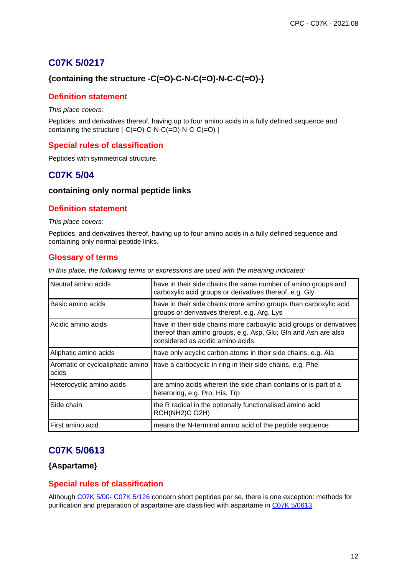# **C07K 5/0217**

## **{containing the structure -C(=O)-C-N-C(=O)-N-C-C(=O)-}**

## **Definition statement**

This place covers:

Peptides, and derivatives thereof, having up to four amino acids in a fully defined sequence and containing the structure [-C(=O)-C-N-C(=O)-N-C-C(=O)-]

## **Special rules of classification**

Peptides with symmetrical structure.

# **C07K 5/04**

### **containing only normal peptide links**

## **Definition statement**

#### This place covers:

Peptides, and derivatives thereof, having up to four amino acids in a fully defined sequence and containing only normal peptide links.

## **Glossary of terms**

|  |  |  | In this place, the following terms or expressions are used with the meaning indicated: |  |  |  |  |
|--|--|--|----------------------------------------------------------------------------------------|--|--|--|--|
|  |  |  |                                                                                        |  |  |  |  |

| Neutral amino acids                       | have in their side chains the same number of amino groups and<br>carboxylic acid groups or derivatives thereof, e.g. Gly                                                   |
|-------------------------------------------|----------------------------------------------------------------------------------------------------------------------------------------------------------------------------|
| Basic amino acids                         | have in their side chains more amino groups than carboxylic acid<br>groups or derivatives thereof, e.g. Arg, Lys                                                           |
| Acidic amino acids                        | have in their side chains more carboxylic acid groups or derivatives<br>thereof than amino groups, e.g. Asp, Glu; Gln and Asn are also<br>considered as acidic amino acids |
| Aliphatic amino acids                     | have only acyclic carbon atoms in their side chains, e.g. Ala                                                                                                              |
| Aromatic or cycloaliphatic amino<br>acids | have a carbocyclic in ring in their side chains, e.g. Phe                                                                                                                  |
| Heterocyclic amino acids                  | are amino acids wherein the side chain contains or is part of a<br>heteroring, e.g. Pro, His, Trp                                                                          |
| Side chain                                | the R radical in the optionally functionalised amino acid<br>RCH(NH2)C O2H)                                                                                                |
| First amino acid                          | means the N-terminal amino acid of the peptide sequence                                                                                                                    |

# **C07K 5/0613**

## **{Aspartame}**

## **Special rules of classification**

Although C07K 5/00- C07K 5/126 concern short peptides per se, there is one exception: methods for purification and preparation of aspartame are classified with aspartame in C07K 5/0613.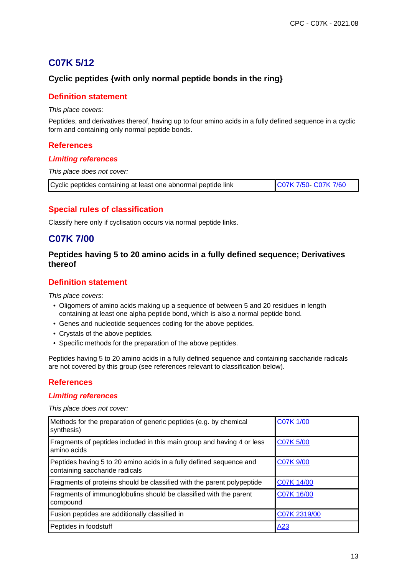# **C07K 5/12**

## **Cyclic peptides {with only normal peptide bonds in the ring}**

### **Definition statement**

This place covers:

Peptides, and derivatives thereof, having up to four amino acids in a fully defined sequence in a cyclic form and containing only normal peptide bonds.

### **References**

#### **Limiting references**

This place does not cover:

| Cyclic peptides containing at least one abnormal peptide link | C07K 7/50- C07K 7/60 |
|---------------------------------------------------------------|----------------------|
|---------------------------------------------------------------|----------------------|

## **Special rules of classification**

Classify here only if cyclisation occurs via normal peptide links.

## **C07K 7/00**

## **Peptides having 5 to 20 amino acids in a fully defined sequence; Derivatives thereof**

## **Definition statement**

This place covers:

- Oligomers of amino acids making up a sequence of between 5 and 20 residues in length containing at least one alpha peptide bond, which is also a normal peptide bond.
- Genes and nucleotide sequences coding for the above peptides.
- Crystals of the above peptides.
- Specific methods for the preparation of the above peptides.

Peptides having 5 to 20 amino acids in a fully defined sequence and containing saccharide radicals are not covered by this group (see references relevant to classification below).

## **References**

#### **Limiting references**

| Methods for the preparation of generic peptides (e.g. by chemical<br>synthesis)                       | C07K 1/00        |
|-------------------------------------------------------------------------------------------------------|------------------|
| Fragments of peptides included in this main group and having 4 or less<br>amino acids                 | <b>C07K 5/00</b> |
| Peptides having 5 to 20 amino acids in a fully defined sequence and<br>containing saccharide radicals | C07K 9/00        |
| Fragments of proteins should be classified with the parent polypeptide                                | C07K 14/00       |
| Fragments of immunoglobulins should be classified with the parent<br>compound                         | C07K 16/00       |
| Fusion peptides are additionally classified in                                                        | C07K 2319/00     |
| Peptides in foodstuff                                                                                 | A <sub>23</sub>  |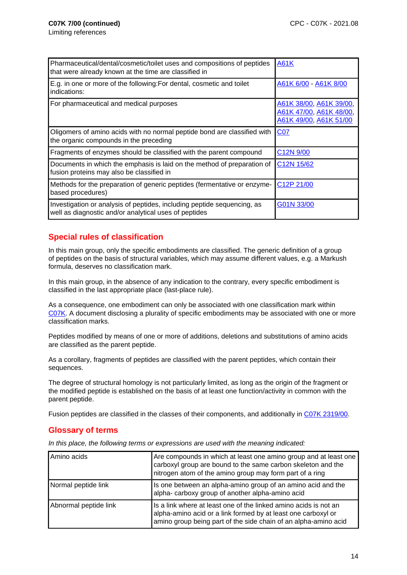| Pharmaceutical/dental/cosmetic/toilet uses and compositions of peptides<br>that were already known at the time are classified in | <b>A61K</b>                                                                  |
|----------------------------------------------------------------------------------------------------------------------------------|------------------------------------------------------------------------------|
| E.g. in one or more of the following: For dental, cosmetic and toilet<br>indications:                                            | A61K 6/00 - A61K 8/00                                                        |
| For pharmaceutical and medical purposes                                                                                          | A61K 38/00, A61K 39/00,<br>A61K 47/00, A61K 48/00,<br>A61K 49/00, A61K 51/00 |
| Oligomers of amino acids with no normal peptide bond are classified with<br>the organic compounds in the preceding               | <b>C07</b>                                                                   |
| Fragments of enzymes should be classified with the parent compound                                                               | C12N 9/00                                                                    |
| Documents in which the emphasis is laid on the method of preparation of<br>fusion proteins may also be classified in             | C <sub>12</sub> N 15/62                                                      |
| Methods for the preparation of generic peptides (fermentative or enzyme-<br>based procedures)                                    | C12P 21/00                                                                   |
| Investigation or analysis of peptides, including peptide sequencing, as<br>well as diagnostic and/or analytical uses of peptides | G01N 33/00                                                                   |

## **Special rules of classification**

In this main group, only the specific embodiments are classified. The generic definition of a group of peptides on the basis of structural variables, which may assume different values, e.g. a Markush formula, deserves no classification mark.

In this main group, in the absence of any indication to the contrary, every specific embodiment is classified in the last appropriate place (last-place rule).

As a consequence, one embodiment can only be associated with one classification mark within C07K. A document disclosing a plurality of specific embodiments may be associated with one or more classification marks.

Peptides modified by means of one or more of additions, deletions and substitutions of amino acids are classified as the parent peptide.

As a corollary, fragments of peptides are classified with the parent peptides, which contain their sequences.

The degree of structural homology is not particularly limited, as long as the origin of the fragment or the modified peptide is established on the basis of at least one function/activity in common with the parent peptide.

Fusion peptides are classified in the classes of their components, and additionally in C07K 2319/00.

### **Glossary of terms**

In this place, the following terms or expressions are used with the meaning indicated:

| Amino acids           | Are compounds in which at least one amino group and at least one<br>carboxyl group are bound to the same carbon skeleton and the<br>nitrogen atom of the amino group may form part of a ring         |
|-----------------------|------------------------------------------------------------------------------------------------------------------------------------------------------------------------------------------------------|
| Normal peptide link   | Is one between an alpha-amino group of an amino acid and the<br>alpha- carboxy group of another alpha-amino acid                                                                                     |
| Abnormal peptide link | Is a link where at least one of the linked amino acids is not an<br>alpha-amino acid or a link formed by at least one carboxyl or<br>amino group being part of the side chain of an alpha-amino acid |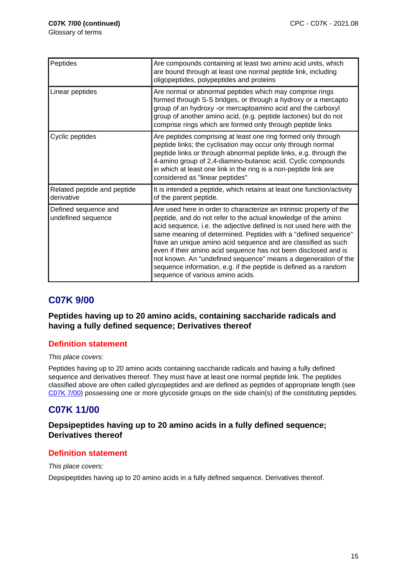Glossary of terms

| Peptides                                   | Are compounds containing at least two amino acid units, which<br>are bound through at least one normal peptide link, including<br>oligopeptides, polypeptides and proteins                                                                                                                                                                                                                                                                                                                                                                                                                   |
|--------------------------------------------|----------------------------------------------------------------------------------------------------------------------------------------------------------------------------------------------------------------------------------------------------------------------------------------------------------------------------------------------------------------------------------------------------------------------------------------------------------------------------------------------------------------------------------------------------------------------------------------------|
| Linear peptides                            | Are normal or abnormal peptides which may comprise rings<br>formed through S-S bridges, or through a hydroxy or a mercapto<br>group of an hydroxy -or mercaptoamino acid and the carboxyl<br>group of another amino acid, (e.g. peptide lactones) but do not<br>comprise rings which are formed only through peptide links                                                                                                                                                                                                                                                                   |
| Cyclic peptides                            | Are peptides comprising at least one ring formed only through<br>peptide links; the cyclisation may occur only through normal<br>peptide links or through abnormal peptide links, e.g. through the<br>4-amino group of 2,4-diamino-butanoic acid. Cyclic compounds<br>in which at least one link in the ring is a non-peptide link are<br>considered as "linear peptides"                                                                                                                                                                                                                    |
| Related peptide and peptide<br>derivative  | It is intended a peptide, which retains at least one function/activity<br>of the parent peptide.                                                                                                                                                                                                                                                                                                                                                                                                                                                                                             |
| Defined sequence and<br>undefined sequence | Are used here in order to characterize an intrinsic property of the<br>peptide, and do not refer to the actual knowledge of the amino<br>acid sequence, i.e. the adjective defined is not used here with the<br>same meaning of determined. Peptides with a "defined sequence"<br>have an unique amino acid sequence and are classified as such<br>even if their amino acid sequence has not been disclosed and is<br>not known. An "undefined sequence" means a degeneration of the<br>sequence information, e.g. if the peptide is defined as a random<br>sequence of various amino acids. |

# **C07K 9/00**

**Peptides having up to 20 amino acids, containing saccharide radicals and having a fully defined sequence; Derivatives thereof**

## **Definition statement**

This place covers:

Peptides having up to 20 amino acids containing saccharide radicals and having a fully defined sequence and derivatives thereof. They must have at least one normal peptide link. The peptides classified above are often called glycopeptides and are defined as peptides of appropriate length (see C07K 7/00) possessing one or more glycoside groups on the side chain(s) of the constituting peptides.

# **C07K 11/00**

## **Depsipeptides having up to 20 amino acids in a fully defined sequence; Derivatives thereof**

## **Definition statement**

This place covers:

Depsipeptides having up to 20 amino acids in a fully defined sequence. Derivatives thereof.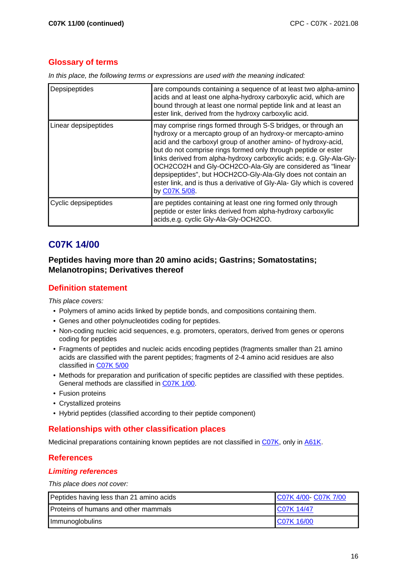## **Glossary of terms**

In this place, the following terms or expressions are used with the meaning indicated:

| Depsipeptides        | are compounds containing a sequence of at least two alpha-amino<br>acids and at least one alpha-hydroxy carboxylic acid, which are<br>bound through at least one normal peptide link and at least an<br>ester link, derived from the hydroxy carboxylic acid.                                                                                                                                                                                                                                                                                                 |
|----------------------|---------------------------------------------------------------------------------------------------------------------------------------------------------------------------------------------------------------------------------------------------------------------------------------------------------------------------------------------------------------------------------------------------------------------------------------------------------------------------------------------------------------------------------------------------------------|
| Linear depsipeptides | may comprise rings formed through S-S bridges, or through an<br>hydroxy or a mercapto group of an hydroxy-or mercapto-amino<br>acid and the carboxyl group of another amino- of hydroxy-acid,<br>but do not comprise rings formed only through peptide or ester<br>links derived from alpha-hydroxy carboxylic acids; e.g. Gly-Ala-Gly-<br>OCH2CO2H and Gly-OCH2CO-Ala-Gly are considered as "linear<br>depsipeptides", but HOCH2CO-Gly-Ala-Gly does not contain an<br>ester link, and is thus a derivative of Gly-Ala- Gly which is covered<br>by C07K 5/08. |
| Cyclic depsipeptides | are peptides containing at least one ring formed only through<br>peptide or ester links derived from alpha-hydroxy carboxylic<br>acids, e.g. cyclic Gly-Ala-Gly-OCH2CO.                                                                                                                                                                                                                                                                                                                                                                                       |

# **C07K 14/00**

## **Peptides having more than 20 amino acids; Gastrins; Somatostatins; Melanotropins; Derivatives thereof**

## **Definition statement**

This place covers:

- Polymers of amino acids linked by peptide bonds, and compositions containing them.
- Genes and other polynucleotides coding for peptides.
- Non-coding nucleic acid sequences, e.g. promoters, operators, derived from genes or operons coding for peptides
- Fragments of peptides and nucleic acids encoding peptides (fragments smaller than 21 amino acids are classified with the parent peptides; fragments of 2-4 amino acid residues are also classified in C07K 5/00
- Methods for preparation and purification of specific peptides are classified with these peptides. General methods are classified in C07K 1/00.
- Fusion proteins
- Crystallized proteins
- Hybrid peptides (classified according to their peptide component)

### **Relationships with other classification places**

Medicinal preparations containing known peptides are not classified in C07K, only in A61K.

### **References**

### **Limiting references**

| Peptides having less than 21 amino acids | C07K 4/00 C07K 7/00 |
|------------------------------------------|---------------------|
| Proteins of humans and other mammals     | IC07K 14/47         |
| Immunoglobulins                          | IC07K 16/00         |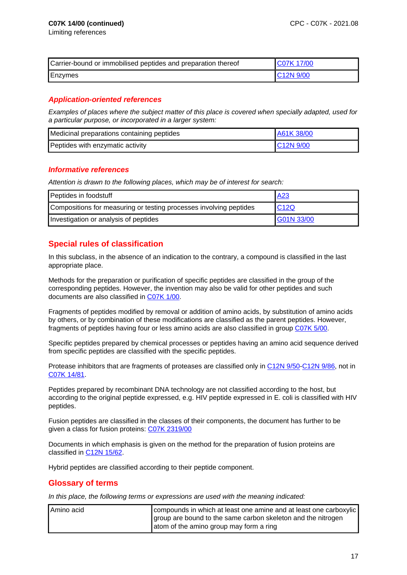| Carrier-bound or immobilised peptides and preparation thereof | IC07K 17/00 |
|---------------------------------------------------------------|-------------|
| Enzymes                                                       | IC12N 9/00  |

## **Application-oriented references**

Examples of places where the subject matter of this place is covered when specially adapted, used for a particular purpose, or incorporated in a larger system:

| Medicinal preparations containing peptides | A61K 38/00 |
|--------------------------------------------|------------|
| Peptides with enzymatic activity           | C12N 9/00  |

#### **Informative references**

Attention is drawn to the following places, which may be of interest for search:

| Peptides in foodstuff                                              | <u>A23</u> |
|--------------------------------------------------------------------|------------|
| Compositions for measuring or testing processes involving peptides | C12Q       |
| Investigation or analysis of peptides                              | G01N 33/00 |

## **Special rules of classification**

In this subclass, in the absence of an indication to the contrary, a compound is classified in the last appropriate place.

Methods for the preparation or purification of specific peptides are classified in the group of the corresponding peptides. However, the invention may also be valid for other peptides and such documents are also classified in C07K 1/00.

Fragments of peptides modified by removal or addition of amino acids, by substitution of amino acids by others, or by combination of these modifications are classified as the parent peptides. However, fragments of peptides having four or less amino acids are also classified in group C07K 5/00.

Specific peptides prepared by chemical processes or peptides having an amino acid sequence derived from specific peptides are classified with the specific peptides.

Protease inhibitors that are fragments of proteases are classified only in C12N 9/50-C12N 9/86, not in C07K 14/81.

Peptides prepared by recombinant DNA technology are not classified according to the host, but according to the original peptide expressed, e.g. HIV peptide expressed in E. coli is classified with HIV peptides.

Fusion peptides are classified in the classes of their components, the document has further to be given a class for fusion proteins: C07K 2319/00

Documents in which emphasis is given on the method for the preparation of fusion proteins are classified in C12N 15/62.

Hybrid peptides are classified according to their peptide component.

### **Glossary of terms**

In this place, the following terms or expressions are used with the meaning indicated:

| Amino acid | compounds in which at least one amine and at least one carboxylic |
|------------|-------------------------------------------------------------------|
|            | group are bound to the same carbon skeleton and the nitrogen      |
|            | atom of the amino group may form a ring                           |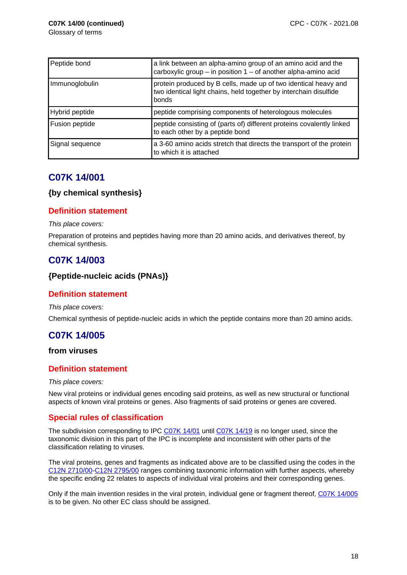| Peptide bond    | a link between an alpha-amino group of an amino acid and the<br>carboxylic group - in position 1 - of another alpha-amino acid                |
|-----------------|-----------------------------------------------------------------------------------------------------------------------------------------------|
| Immunoglobulin  | protein produced by B cells, made up of two identical heavy and<br>two identical light chains, held together by interchain disulfide<br>bonds |
| Hybrid peptide  | peptide comprising components of heterologous molecules                                                                                       |
| Fusion peptide  | peptide consisting of (parts of) different proteins covalently linked<br>to each other by a peptide bond                                      |
| Signal sequence | a 3-60 amino acids stretch that directs the transport of the protein<br>to which it is attached                                               |

# **C07K 14/001**

### **{by chemical synthesis}**

### **Definition statement**

#### This place covers:

Preparation of proteins and peptides having more than 20 amino acids, and derivatives thereof, by chemical synthesis.

# **C07K 14/003**

### **{Peptide-nucleic acids (PNAs)}**

### **Definition statement**

This place covers:

Chemical synthesis of peptide-nucleic acids in which the peptide contains more than 20 amino acids.

# **C07K 14/005**

### **from viruses**

### **Definition statement**

#### This place covers:

New viral proteins or individual genes encoding said proteins, as well as new structural or functional aspects of known viral proteins or genes. Also fragments of said proteins or genes are covered.

## **Special rules of classification**

The subdivision corresponding to IPC C07K 14/01 until C07K 14/19 is no longer used, since the taxonomic division in this part of the IPC is incomplete and inconsistent with other parts of the classification relating to viruses.

The viral proteins, genes and fragments as indicated above are to be classified using the codes in the C12N 2710/00-C12N 2795/00 ranges combining taxonomic information with further aspects, whereby the specific ending 22 relates to aspects of individual viral proteins and their corresponding genes.

Only if the main invention resides in the viral protein, individual gene or fragment thereof, C07K 14/005 is to be given. No other EC class should be assigned.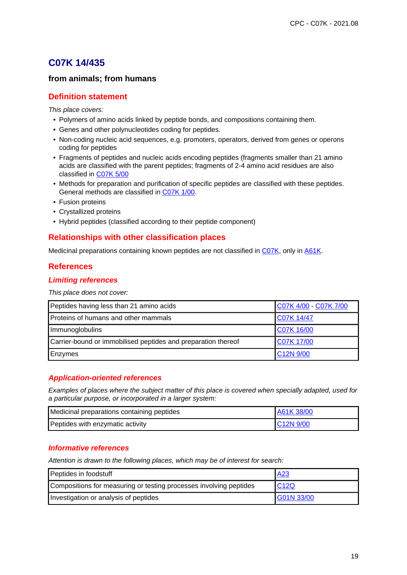# **C07K 14/435**

## **from animals; from humans**

### **Definition statement**

This place covers:

- Polymers of amino acids linked by peptide bonds, and compositions containing them.
- Genes and other polynucleotides coding for peptides.
- Non-coding nucleic acid sequences, e.g. promoters, operators, derived from genes or operons coding for peptides
- Fragments of peptides and nucleic acids encoding peptides (fragments smaller than 21 amino acids are classified with the parent peptides; fragments of 2-4 amino acid residues are also classified in C07K 5/00
- Methods for preparation and purification of specific peptides are classified with these peptides. General methods are classified in C07K 1/00.
- Fusion proteins
- Crystallized proteins
- Hybrid peptides (classified according to their peptide component)

### **Relationships with other classification places**

Medicinal preparations containing known peptides are not classified in C07K, only in A61K.

### **References**

### **Limiting references**

This place does not cover:

| Peptides having less than 21 amino acids                      | C07K 4/00 - C07K 7/00  |
|---------------------------------------------------------------|------------------------|
| Proteins of humans and other mammals                          | C07K 14/47             |
| Immunoglobulins                                               | C07K 16/00             |
| Carrier-bound or immobilised peptides and preparation thereof | C07K 17/00             |
| Enzymes                                                       | C <sub>12</sub> N 9/00 |

### **Application-oriented references**

Examples of places where the subject matter of this place is covered when specially adapted, used for a particular purpose, or incorporated in a larger system:

| Medicinal preparations containing peptides | LA61K 38/00           |
|--------------------------------------------|-----------------------|
| Peptides with enzymatic activity           | C <sub>12N</sub> 9/00 |

### **Informative references**

Attention is drawn to the following places, which may be of interest for search:

| Peptides in foodstuff                                              | A <sub>23</sub> |
|--------------------------------------------------------------------|-----------------|
| Compositions for measuring or testing processes involving peptides | C12Q            |
| Investigation or analysis of peptides                              | G01N 33/00      |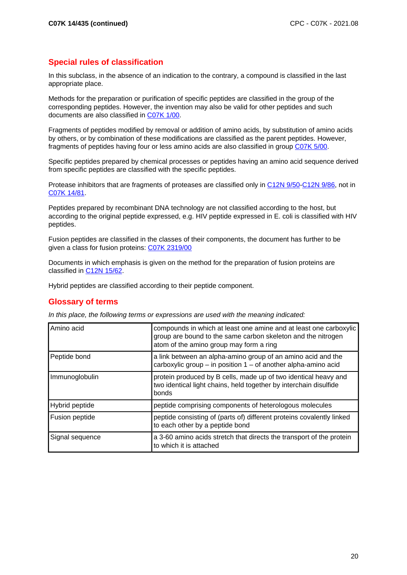## **Special rules of classification**

In this subclass, in the absence of an indication to the contrary, a compound is classified in the last appropriate place.

Methods for the preparation or purification of specific peptides are classified in the group of the corresponding peptides. However, the invention may also be valid for other peptides and such documents are also classified in C07K 1/00.

Fragments of peptides modified by removal or addition of amino acids, by substitution of amino acids by others, or by combination of these modifications are classified as the parent peptides. However, fragments of peptides having four or less amino acids are also classified in group C07K 5/00.

Specific peptides prepared by chemical processes or peptides having an amino acid sequence derived from specific peptides are classified with the specific peptides.

Protease inhibitors that are fragments of proteases are classified only in C12N 9/50-C12N 9/86, not in C07K 14/81.

Peptides prepared by recombinant DNA technology are not classified according to the host, but according to the original peptide expressed, e.g. HIV peptide expressed in E. coli is classified with HIV peptides.

Fusion peptides are classified in the classes of their components, the document has further to be given a class for fusion proteins: C07K 2319/00

Documents in which emphasis is given on the method for the preparation of fusion proteins are classified in C12N 15/62.

Hybrid peptides are classified according to their peptide component.

## **Glossary of terms**

In this place, the following terms or expressions are used with the meaning indicated:

| Amino acid      | compounds in which at least one amine and at least one carboxylic<br>group are bound to the same carbon skeleton and the nitrogen<br>atom of the amino group may form a ring |
|-----------------|------------------------------------------------------------------------------------------------------------------------------------------------------------------------------|
| Peptide bond    | a link between an alpha-amino group of an amino acid and the<br>carboxylic group $-$ in position 1 $-$ of another alpha-amino acid                                           |
| Immunoglobulin  | protein produced by B cells, made up of two identical heavy and<br>two identical light chains, held together by interchain disulfide<br>bonds                                |
| Hybrid peptide  | peptide comprising components of heterologous molecules                                                                                                                      |
| Fusion peptide  | peptide consisting of (parts of) different proteins covalently linked<br>to each other by a peptide bond                                                                     |
| Signal sequence | a 3-60 amino acids stretch that directs the transport of the protein<br>to which it is attached                                                                              |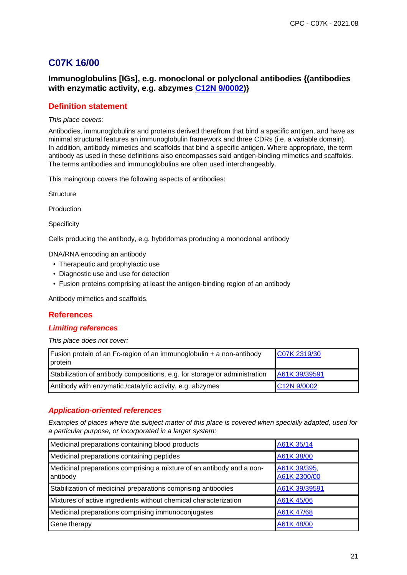# **C07K 16/00**

## **Immunoglobulins [IGs], e.g. monoclonal or polyclonal antibodies {(antibodies with enzymatic activity, e.g. abzymes C12N 9/0002)}**

### **Definition statement**

#### This place covers:

Antibodies, immunoglobulins and proteins derived therefrom that bind a specific antigen, and have as minimal structural features an immunoglobulin framework and three CDRs (i.e. a variable domain). In addition, antibody mimetics and scaffolds that bind a specific antigen. Where appropriate, the term antibody as used in these definitions also encompasses said antigen-binding mimetics and scaffolds. The terms antibodies and immunoglobulins are often used interchangeably.

This maingroup covers the following aspects of antibodies:

**Structure** 

Production

**Specificity** 

Cells producing the antibody, e.g. hybridomas producing a monoclonal antibody

DNA/RNA encoding an antibody

- Therapeutic and prophylactic use
- Diagnostic use and use for detection
- Fusion proteins comprising at least the antigen-binding region of an antibody

Antibody mimetics and scaffolds.

### **References**

#### **Limiting references**

This place does not cover:

| <b>Fusion protein of an Fc-region of an immunoglobulin + a non-antibody</b><br>protein | C07K 2319/30             |
|----------------------------------------------------------------------------------------|--------------------------|
| Stabilization of antibody compositions, e.g. for storage or administration             | A61K 39/39591            |
| Antibody with enzymatic / catalytic activity, e.g. abzymes                             | C <sub>12</sub> N 9/0002 |

#### **Application-oriented references**

Examples of places where the subject matter of this place is covered when specially adapted, used for a particular purpose, or incorporated in a larger system:

| Medicinal preparations containing blood products                                  | A61K 35/14                   |
|-----------------------------------------------------------------------------------|------------------------------|
| Medicinal preparations containing peptides                                        | A61K 38/00                   |
| Medicinal preparations comprising a mixture of an antibody and a non-<br>antibody | A61K 39/395,<br>A61K 2300/00 |
| Stabilization of medicinal preparations comprising antibodies                     | A61K 39/39591                |
| Mixtures of active ingredients without chemical characterization                  | A61K 45/06                   |
| Medicinal preparations comprising immunoconjugates                                | A61K 47/68                   |
| Gene therapy                                                                      | A61K 48/00                   |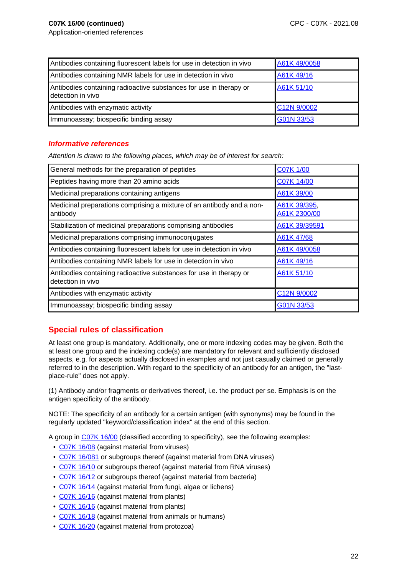| Antibodies containing fluorescent labels for use in detection in vivo                   | A61K 49/0058 |
|-----------------------------------------------------------------------------------------|--------------|
| Antibodies containing NMR labels for use in detection in vivo                           | A61K 49/16   |
| Antibodies containing radioactive substances for use in therapy or<br>detection in vivo | A61K 51/10   |
| Antibodies with enzymatic activity                                                      | C12N 9/0002  |
| Immunoassay; biospecific binding assay                                                  | G01N 33/53   |

### **Informative references**

Attention is drawn to the following places, which may be of interest for search:

| General methods for the preparation of peptides                                         | C07K 1/00                    |
|-----------------------------------------------------------------------------------------|------------------------------|
| Peptides having more than 20 amino acids                                                | C07K 14/00                   |
| Medicinal preparations containing antigens                                              | A61K 39/00                   |
| Medicinal preparations comprising a mixture of an antibody and a non-<br>antibody       | A61K 39/395,<br>A61K 2300/00 |
| Stabilization of medicinal preparations comprising antibodies                           | A61K 39/39591                |
| Medicinal preparations comprising immunoconjugates                                      | A61K 47/68                   |
| Antibodies containing fluorescent labels for use in detection in vivo                   | A61K 49/0058                 |
| Antibodies containing NMR labels for use in detection in vivo                           | A61K 49/16                   |
| Antibodies containing radioactive substances for use in therapy or<br>detection in vivo | A61K 51/10                   |
| Antibodies with enzymatic activity                                                      | C12N 9/0002                  |
| Immunoassay; biospecific binding assay                                                  | G01N 33/53                   |

## **Special rules of classification**

At least one group is mandatory. Additionally, one or more indexing codes may be given. Both the at least one group and the indexing code(s) are mandatory for relevant and sufficiently disclosed aspects, e.g. for aspects actually disclosed in examples and not just casually claimed or generally referred to in the description. With regard to the specificity of an antibody for an antigen, the "lastplace-rule" does not apply.

(1) Antibody and/or fragments or derivatives thereof, i.e. the product per se. Emphasis is on the antigen specificity of the antibody.

NOTE: The specificity of an antibody for a certain antigen (with synonyms) may be found in the regularly updated "keyword/classification index" at the end of this section.

A group in C07K 16/00 (classified according to specificity), see the following examples:

- C07K 16/08 (against material from viruses)
- C07K 16/081 or subgroups thereof (against material from DNA viruses)
- C07K 16/10 or subgroups thereof (against material from RNA viruses)
- C07K 16/12 or subgroups thereof (against material from bacteria)
- C07K 16/14 (against material from fungi, algae or lichens)
- C07K 16/16 (against material from plants)
- C07K 16/16 (against material from plants)
- C07K 16/18 (against material from animals or humans)
- C07K 16/20 (against material from protozoa)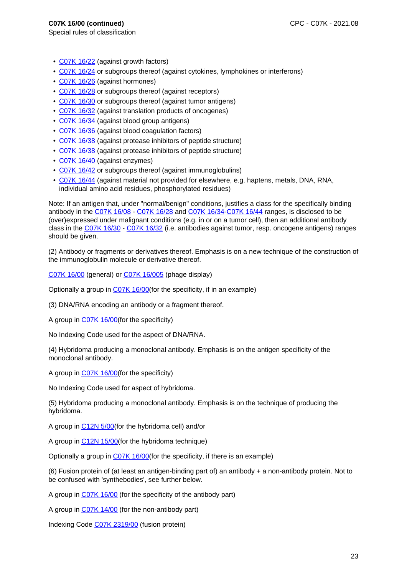Special rules of classification

- C07K 16/22 (against growth factors)
- C07K 16/24 or subgroups thereof (against cytokines, lymphokines or interferons)
- C07K 16/26 (against hormones)
- C07K 16/28 or subgroups thereof (against receptors)
- C07K 16/30 or subgroups thereof (against tumor antigens)
- C07K 16/32 (against translation products of oncogenes)
- C07K 16/34 (against blood group antigens)
- C07K 16/36 (against blood coagulation factors)
- C07K 16/38 (against protease inhibitors of peptide structure)
- C07K 16/38 (against protease inhibitors of peptide structure)
- C07K 16/40 (against enzymes)
- C07K 16/42 or subgroups thereof (against immunoglobulins)
- C07K 16/44 (against material not provided for elsewhere, e.g. haptens, metals, DNA, RNA, individual amino acid residues, phosphorylated residues)

Note: If an antigen that, under "normal/benign" conditions, justifies a class for the specifically binding antibody in the C07K 16/08 - C07K 16/28 and C07K 16/34-C07K 16/44 ranges, is disclosed to be (over)expressed under malignant conditions (e.g. in or on a tumor cell), then an additional antibody class in the C07K 16/30 - C07K 16/32 (i.e. antibodies against tumor, resp. oncogene antigens) ranges should be given.

(2) Antibody or fragments or derivatives thereof. Emphasis is on a new technique of the construction of the immunoglobulin molecule or derivative thereof.

C07K 16/00 (general) or C07K 16/005 (phage display)

Optionally a group in C07K 16/00(for the specificity, if in an example)

(3) DNA/RNA encoding an antibody or a fragment thereof.

A group in C07K 16/00(for the specificity)

No Indexing Code used for the aspect of DNA/RNA.

(4) Hybridoma producing a monoclonal antibody. Emphasis is on the antigen specificity of the monoclonal antibody.

A group in C07K 16/00(for the specificity)

No Indexing Code used for aspect of hybridoma.

(5) Hybridoma producing a monoclonal antibody. Emphasis is on the technique of producing the hybridoma.

A group in C12N 5/00(for the hybridoma cell) and/or

A group in C12N 15/00(for the hybridoma technique)

Optionally a group in C07K 16/00(for the specificity, if there is an example)

(6) Fusion protein of (at least an antigen-binding part of) an antibody + a non-antibody protein. Not to be confused with 'synthebodies', see further below.

A group in C07K 16/00 (for the specificity of the antibody part)

A group in C07K 14/00 (for the non-antibody part)

Indexing Code C07K 2319/00 (fusion protein)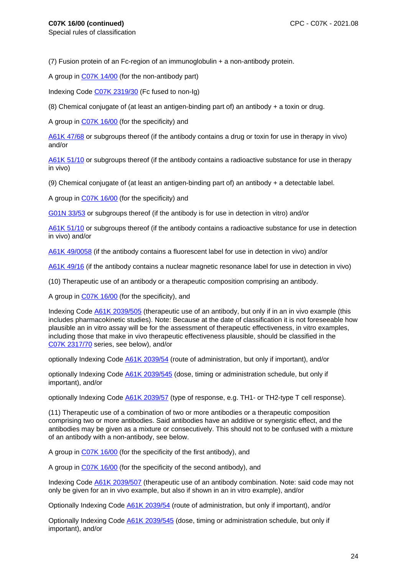(7) Fusion protein of an Fc-region of an immunoglobulin + a non-antibody protein.

A group in C07K 14/00 (for the non-antibody part)

Indexing Code C07K 2319/30 (Fc fused to non-Ig)

(8) Chemical conjugate of (at least an antigen-binding part of) an antibody  $+$  a toxin or drug.

A group in C07K 16/00 (for the specificity) and

A61K 47/68 or subgroups thereof (if the antibody contains a drug or toxin for use in therapy in vivo) and/or

A61K 51/10 or subgroups thereof (if the antibody contains a radioactive substance for use in therapy in vivo)

(9) Chemical conjugate of (at least an antigen-binding part of) an antibody + a detectable label.

A group in C07K 16/00 (for the specificity) and

G01N 33/53 or subgroups thereof (if the antibody is for use in detection in vitro) and/or

A61K 51/10 or subgroups thereof (if the antibody contains a radioactive substance for use in detection in vivo) and/or

A61K 49/0058 (if the antibody contains a fluorescent label for use in detection in vivo) and/or

A61K 49/16 (if the antibody contains a nuclear magnetic resonance label for use in detection in vivo)

(10) Therapeutic use of an antibody or a therapeutic composition comprising an antibody.

A group in C07K 16/00 (for the specificity), and

Indexing Code A61K 2039/505 (therapeutic use of an antibody, but only if in an in vivo example (this includes pharmacokinetic studies). Note: Because at the date of classification it is not foreseeable how plausible an in vitro assay will be for the assessment of therapeutic effectiveness, in vitro examples, including those that make in vivo therapeutic effectiveness plausible, should be classified in the C07K 2317/70 series, see below), and/or

optionally Indexing Code A61K 2039/54 (route of administration, but only if important), and/or

optionally Indexing Code **A61K 2039/545** (dose, timing or administration schedule, but only if important), and/or

optionally Indexing Code A61K 2039/57 (type of response, e.g. TH1- or TH2-type T cell response).

(11) Therapeutic use of a combination of two or more antibodies or a therapeutic composition comprising two or more antibodies. Said antibodies have an additive or synergistic effect, and the antibodies may be given as a mixture or consecutively. This should not to be confused with a mixture of an antibody with a non-antibody, see below.

A group in C07K 16/00 (for the specificity of the first antibody), and

A group in C07K 16/00 (for the specificity of the second antibody), and

Indexing Code A61K 2039/507 (therapeutic use of an antibody combination. Note: said code may not only be given for an in vivo example, but also if shown in an in vitro example), and/or

Optionally Indexing Code A61K 2039/54 (route of administration, but only if important), and/or

Optionally Indexing Code A61K 2039/545 (dose, timing or administration schedule, but only if important), and/or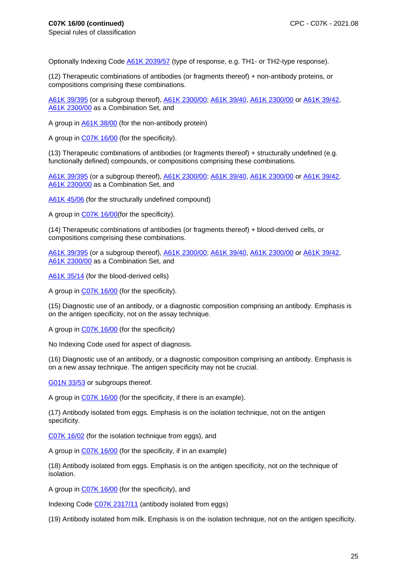Optionally Indexing Code A61K 2039/57 (type of response, e.g. TH1- or TH2-type response).

(12) Therapeutic combinations of antibodies (or fragments thereof) + non-antibody proteins, or compositions comprising these combinations.

A61K 39/395 (or a subgroup thereof), A61K 2300/00; A61K 39/40, A61K 2300/00 or A61K 39/42, A61K 2300/00 as a Combination Set, and

A group in A61K 38/00 (for the non-antibody protein)

A group in C07K 16/00 (for the specificity).

(13) Therapeutic combinations of antibodies (or fragments thereof) + structurally undefined (e.g. functionally defined) compounds, or compositions comprising these combinations.

A61K 39/395 (or a subgroup thereof), A61K 2300/00; A61K 39/40, A61K 2300/00 or A61K 39/42, A61K 2300/00 as a Combination Set, and

A61K 45/06 (for the structurally undefined compound)

A group in C07K 16/00(for the specificity).

(14) Therapeutic combinations of antibodies (or fragments thereof) + blood-derived cells, or compositions comprising these combinations.

A61K 39/395 (or a subgroup thereof), A61K 2300/00; A61K 39/40, A61K 2300/00 or A61K 39/42, A61K 2300/00 as a Combination Set, and

A61K 35/14 (for the blood-derived cells)

A group in C07K 16/00 (for the specificity).

(15) Diagnostic use of an antibody, or a diagnostic composition comprising an antibody. Emphasis is on the antigen specificity, not on the assay technique.

A group in C07K 16/00 (for the specificity)

No Indexing Code used for aspect of diagnosis.

(16) Diagnostic use of an antibody, or a diagnostic composition comprising an antibody. Emphasis is on a new assay technique. The antigen specificity may not be crucial.

G01N 33/53 or subgroups thereof.

A group in C07K 16/00 (for the specificity, if there is an example).

(17) Antibody isolated from eggs. Emphasis is on the isolation technique, not on the antigen specificity.

C07K 16/02 (for the isolation technique from eggs), and

A group in C07K 16/00 (for the specificity, if in an example)

(18) Antibody isolated from eggs. Emphasis is on the antigen specificity, not on the technique of isolation.

A group in C07K 16/00 (for the specificity), and

Indexing Code C07K 2317/11 (antibody isolated from eggs)

(19) Antibody isolated from milk. Emphasis is on the isolation technique, not on the antigen specificity.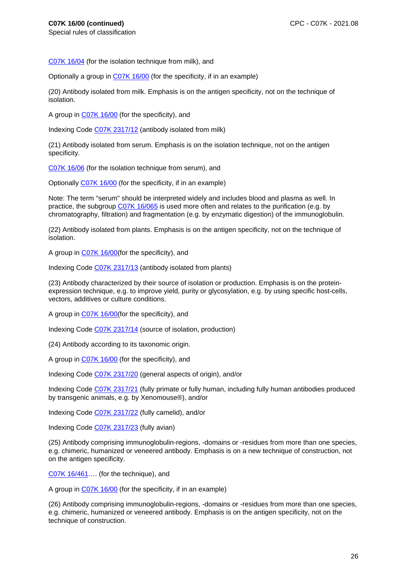Special rules of classification

C07K 16/04 (for the isolation technique from milk), and

Optionally a group in C07K 16/00 (for the specificity, if in an example)

(20) Antibody isolated from milk. Emphasis is on the antigen specificity, not on the technique of isolation.

A group in C07K 16/00 (for the specificity), and

Indexing Code C07K 2317/12 (antibody isolated from milk)

(21) Antibody isolated from serum. Emphasis is on the isolation technique, not on the antigen specificity.

C07K 16/06 (for the isolation technique from serum), and

Optionally C07K 16/00 (for the specificity, if in an example)

Note: The term "serum" should be interpreted widely and includes blood and plasma as well. In practice, the subgroup C07K 16/065 is used more often and relates to the purification (e.g. by chromatography, filtration) and fragmentation (e.g. by enzymatic digestion) of the immunoglobulin.

(22) Antibody isolated from plants. Emphasis is on the antigen specificity, not on the technique of isolation.

A group in C07K 16/00(for the specificity), and

Indexing Code C07K 2317/13 (antibody isolated from plants)

(23) Antibody characterized by their source of isolation or production. Emphasis is on the proteinexpression technique, e.g. to improve yield, purity or glycosylation, e.g. by using specific host-cells, vectors, additives or culture conditions.

A group in C07K 16/00(for the specificity), and

Indexing Code C07K 2317/14 (source of isolation, production)

(24) Antibody according to its taxonomic origin.

A group in C07K 16/00 (for the specificity), and

Indexing Code C07K 2317/20 (general aspects of origin), and/or

Indexing Code C07K 2317/21 (fully primate or fully human, including fully human antibodies produced by transgenic animals, e.g. by Xenomouse®), and/or

Indexing Code C07K 2317/22 (fully camelid), and/or

Indexing Code C07K 2317/23 (fully avian)

(25) Antibody comprising immunoglobulin-regions, -domains or -residues from more than one species, e.g. chimeric, humanized or veneered antibody. Emphasis is on a new technique of construction, not on the antigen specificity.

C07K 16/461…. (for the technique), and

A group in C07K 16/00 (for the specificity, if in an example)

(26) Antibody comprising immunoglobulin-regions, -domains or -residues from more than one species, e.g. chimeric, humanized or veneered antibody. Emphasis is on the antigen specificity, not on the technique of construction.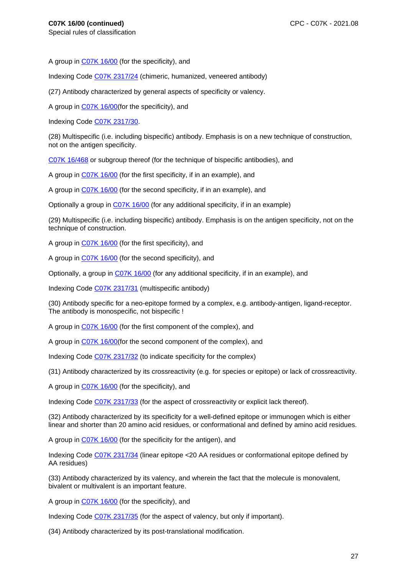A group in C07K 16/00 (for the specificity), and

Indexing Code C07K 2317/24 (chimeric, humanized, veneered antibody)

(27) Antibody characterized by general aspects of specificity or valency.

A group in C07K 16/00(for the specificity), and

Indexing Code C07K 2317/30.

(28) Multispecific (i.e. including bispecific) antibody. Emphasis is on a new technique of construction, not on the antigen specificity.

C07K 16/468 or subgroup thereof (for the technique of bispecific antibodies), and

A group in C07K 16/00 (for the first specificity, if in an example), and

A group in C07K 16/00 (for the second specificity, if in an example), and

Optionally a group in C07K 16/00 (for any additional specificity, if in an example)

(29) Multispecific (i.e. including bispecific) antibody. Emphasis is on the antigen specificity, not on the technique of construction.

A group in C07K 16/00 (for the first specificity), and

A group in C07K 16/00 (for the second specificity), and

Optionally, a group in C07K 16/00 (for any additional specificity, if in an example), and

Indexing Code C07K 2317/31 (multispecific antibody)

(30) Antibody specific for a neo-epitope formed by a complex, e.g. antibody-antigen, ligand-receptor. The antibody is monospecific, not bispecific !

A group in C07K 16/00 (for the first component of the complex), and

A group in C07K 16/00(for the second component of the complex), and

Indexing Code C07K 2317/32 (to indicate specificity for the complex)

(31) Antibody characterized by its crossreactivity (e.g. for species or epitope) or lack of crossreactivity.

A group in C07K 16/00 (for the specificity), and

Indexing Code C07K 2317/33 (for the aspect of crossreactivity or explicit lack thereof).

(32) Antibody characterized by its specificity for a well-defined epitope or immunogen which is either linear and shorter than 20 amino acid residues, or conformational and defined by amino acid residues.

A group in C07K 16/00 (for the specificity for the antigen), and

Indexing Code C07K 2317/34 (linear epitope <20 AA residues or conformational epitope defined by AA residues)

(33) Antibody characterized by its valency, and wherein the fact that the molecule is monovalent, bivalent or multivalent is an important feature.

A group in C07K 16/00 (for the specificity), and

Indexing Code C07K 2317/35 (for the aspect of valency, but only if important).

(34) Antibody characterized by its post-translational modification.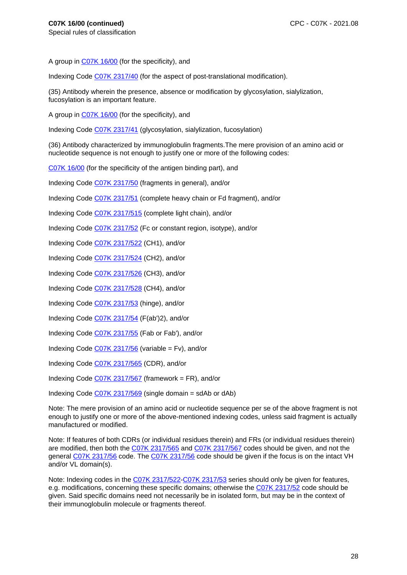A group in C07K 16/00 (for the specificity), and

Indexing Code C07K 2317/40 (for the aspect of post-translational modification).

(35) Antibody wherein the presence, absence or modification by glycosylation, sialylization, fucosylation is an important feature.

A group in C07K 16/00 (for the specificity), and

Indexing Code C07K 2317/41 (glycosylation, sialylization, fucosylation)

(36) Antibody characterized by immunoglobulin fragments.The mere provision of an amino acid or nucleotide sequence is not enough to justify one or more of the following codes:

C07K 16/00 (for the specificity of the antigen binding part), and

Indexing Code C07K 2317/50 (fragments in general), and/or

Indexing Code C07K 2317/51 (complete heavy chain or Fd fragment), and/or

Indexing Code C07K 2317/515 (complete light chain), and/or

Indexing Code C07K 2317/52 (Fc or constant region, isotype), and/or

Indexing Code C07K 2317/522 (CH1), and/or

Indexing Code C07K 2317/524 (CH2), and/or

Indexing Code C07K 2317/526 (CH3), and/or

Indexing Code C07K 2317/528 (CH4), and/or

Indexing Code C07K 2317/53 (hinge), and/or

Indexing Code C07K 2317/54 (F(ab')2), and/or

Indexing Code C07K 2317/55 (Fab or Fab'), and/or

Indexing Code C07K 2317/56 (variable = Fv), and/or

Indexing Code C07K 2317/565 (CDR), and/or

Indexing Code C07K 2317/567 (framework = FR), and/or

Indexing Code C07K 2317/569 (single domain = sdAb or dAb)

Note: The mere provision of an amino acid or nucleotide sequence per se of the above fragment is not enough to justify one or more of the above-mentioned indexing codes, unless said fragment is actually manufactured or modified.

Note: If features of both CDRs (or individual residues therein) and FRs (or individual residues therein) are modified, then both the C07K 2317/565 and C07K 2317/567 codes should be given, and not the general C07K 2317/56 code. The C07K 2317/56 code should be given if the focus is on the intact VH and/or VL domain(s).

Note: Indexing codes in the C07K 2317/522-C07K 2317/53 series should only be given for features, e.g. modifications, concerning these specific domains; otherwise the C07K 2317/52 code should be given. Said specific domains need not necessarily be in isolated form, but may be in the context of their immunoglobulin molecule or fragments thereof.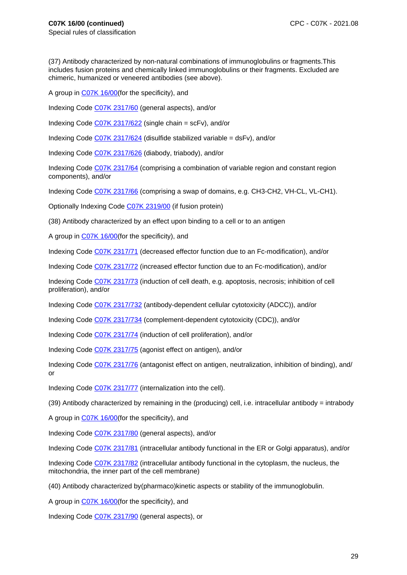(37) Antibody characterized by non-natural combinations of immunoglobulins or fragments.This includes fusion proteins and chemically linked immunoglobulins or their fragments. Excluded are chimeric, humanized or veneered antibodies (see above).

A group in C07K 16/00(for the specificity), and

Indexing Code C07K 2317/60 (general aspects), and/or

Indexing Code C07K 2317/622 (single chain = scFv), and/or

Indexing Code C07K 2317/624 (disulfide stabilized variable = dsFv), and/or

Indexing Code C07K 2317/626 (diabody, triabody), and/or

Indexing Code C07K 2317/64 (comprising a combination of variable region and constant region components), and/or

Indexing Code C07K 2317/66 (comprising a swap of domains, e.g. CH3-CH2, VH-CL, VL-CH1).

Optionally Indexing Code C07K 2319/00 (if fusion protein)

(38) Antibody characterized by an effect upon binding to a cell or to an antigen

A group in C07K 16/00(for the specificity), and

Indexing Code C07K 2317/71 (decreased effector function due to an Fc-modification), and/or

Indexing Code C07K 2317/72 (increased effector function due to an Fc-modification), and/or

Indexing Code C07K 2317/73 (induction of cell death, e.g. apoptosis, necrosis; inhibition of cell proliferation), and/or

Indexing Code C07K 2317/732 (antibody-dependent cellular cytotoxicity (ADCC)), and/or

Indexing Code C07K 2317/734 (complement-dependent cytotoxicity (CDC)), and/or

Indexing Code C07K 2317/74 (induction of cell proliferation), and/or

Indexing Code C07K 2317/75 (agonist effect on antigen), and/or

Indexing Code C07K 2317/76 (antagonist effect on antigen, neutralization, inhibition of binding), and/ or

Indexing Code C07K 2317/77 (internalization into the cell).

(39) Antibody characterized by remaining in the (producing) cell, i.e. intracellular antibody = intrabody

A group in C07K 16/00(for the specificity), and

Indexing Code C07K 2317/80 (general aspects), and/or

Indexing Code C07K 2317/81 (intracellular antibody functional in the ER or Golgi apparatus), and/or

Indexing Code C07K 2317/82 (intracellular antibody functional in the cytoplasm, the nucleus, the mitochondria, the inner part of the cell membrane)

(40) Antibody characterized by(pharmaco)kinetic aspects or stability of the immunoglobulin.

A group in C07K 16/00(for the specificity), and

Indexing Code C07K 2317/90 (general aspects), or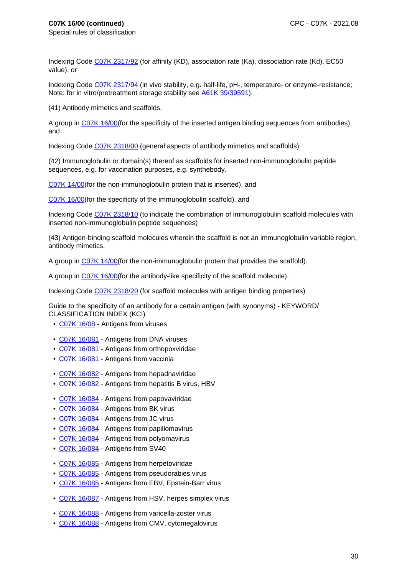Indexing Code C07K 2317/92 (for affinity (KD), association rate (Ka), dissociation rate (Kd), EC50 value), or

Indexing Code C07K 2317/94 (in vivo stability, e.g. half-life, pH-, temperature- or enzyme-resistance; Note: for in vitro/pretreatment storage stability see A61K 39/39591).

(41) Antibody mimetics and scaffolds.

A group in C07K 16/00(for the specificity of the inserted antigen binding sequences from antibodies), and

Indexing Code C07K 2318/00 (general aspects of antibody mimetics and scaffolds)

(42) Immunoglobulin or domain(s) thereof as scaffolds for inserted non-immunoglobulin peptide sequences, e.g. for vaccination purposes, e.g. synthebody.

C07K 14/00(for the non-immunoglobulin protein that is inserted), and

C07K 16/00(for the specificity of the immunoglobulin scaffold), and

Indexing Code C07K 2318/10 (to indicate the combination of immunoglobulin scaffold molecules with inserted non-immunoglobulin peptide sequences)

(43) Antigen-binding scaffold molecules wherein the scaffold is not an immunoglobulin variable region, antibody mimetics.

A group in C07K 14/00(for the non-immunoglobulin protein that provides the scaffold).

A group in C07K 16/00(for the antibody-like specificity of the scaffold molecule).

Indexing Code C07K 2318/20 (for scaffold molecules with antigen binding properties)

Guide to the specificity of an antibody for a certain antigen (with synonyms) - KEYWORD/ CLASSIFICATION INDEX (KCI)

- C07K 16/08 Antigens from viruses
- C07K 16/081 Antigens from DNA viruses
- C07K 16/081 Antigens from orthopoxviridae
- C07K 16/081 Antigens from vaccinia
- C07K 16/082 Antigens from hepadnaviridae
- C07K 16/082 Antigens from hepatitis B virus, HBV
- C07K 16/084 Antigens from papovaviridae
- C07K 16/084 Antigens from BK virus
- C07K 16/084 Antigens from JC virus
- C07K 16/084 Antigens from papillomavirus
- C07K 16/084 Antigens from polyomavirus
- C07K 16/084 Antigens from SV40
- C07K 16/085 Antigens from herpetoviridae
- C07K 16/085 Antigens from pseudorabies virus
- C07K 16/085 Antigens from EBV, Epstein-Barr virus
- C07K 16/087 Antigens from HSV, herpes simplex virus
- C07K 16/088 Antigens from varicella-zoster virus
- C07K 16/088 Antigens from CMV, cytomegalovirus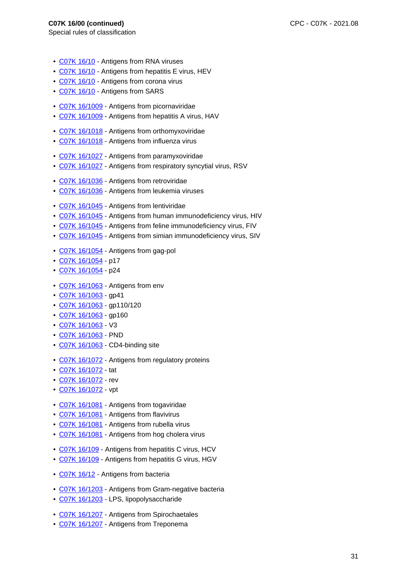- C07K 16/10 Antigens from RNA viruses
- C07K 16/10 Antigens from hepatitis E virus, HEV
- C07K 16/10 Antigens from corona virus
- C07K 16/10 Antigens from SARS
- C07K 16/1009 Antigens from picornaviridae
- C07K 16/1009 Antigens from hepatitis A virus, HAV
- C07K 16/1018 Antigens from orthomyxoviridae
- C07K 16/1018 Antigens from influenza virus
- C07K 16/1027 Antigens from paramyxoviridae
- C07K 16/1027 Antigens from respiratory syncytial virus, RSV
- C07K 16/1036 Antigens from retroviridae
- C07K 16/1036 Antigens from leukemia viruses
- C07K 16/1045 Antigens from lentiviridae
- C07K 16/1045 Antigens from human immunodeficiency virus, HIV
- C07K 16/1045 Antigens from feline immunodeficiency virus, FIV
- C07K 16/1045 Antigens from simian immunodeficiency virus, SIV
- C07K 16/1054 Antigens from gag-pol
- C07K 16/1054 p17
- C07K 16/1054 p24
- C07K 16/1063 Antigens from env
- C07K 16/1063 gp41
- C07K 16/1063 gp110/120
- C07K 16/1063 gp160
- C07K 16/1063 V3
- C07K 16/1063 PND
- C07K 16/1063 CD4-binding site
- C07K 16/1072 Antigens from regulatory proteins
- C07K 16/1072 tat
- C07K 16/1072 rev
- C07K 16/1072 vpt
- C07K 16/1081 Antigens from togaviridae
- C07K 16/1081 Antigens from flavivirus
- C07K 16/1081 Antigens from rubella virus
- C07K 16/1081 Antigens from hog cholera virus
- C07K 16/109 Antigens from hepatitis C virus, HCV
- C07K 16/109 Antigens from hepatitis G virus, HGV
- C07K 16/12 Antigens from bacteria
- C07K 16/1203 Antigens from Gram-negative bacteria
- C07K 16/1203 LPS, lipopolysaccharide
- C07K 16/1207 Antigens from Spirochaetales
- C07K 16/1207 Antigens from Treponema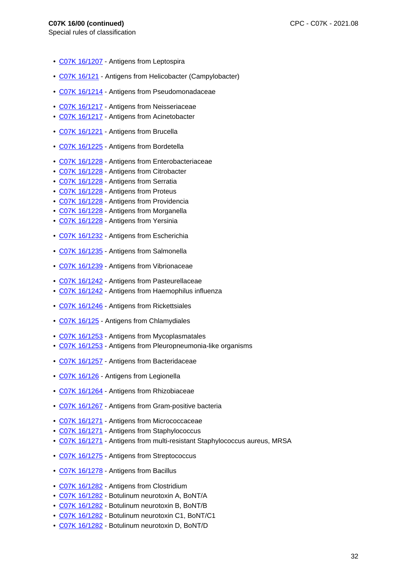- C07K 16/1207 Antigens from Leptospira
- C07K 16/121 Antigens from Helicobacter (Campylobacter)
- C07K 16/1214 Antigens from Pseudomonadaceae
- C07K 16/1217 Antigens from Neisseriaceae
- C07K 16/1217 Antigens from Acinetobacter
- C07K 16/1221 Antigens from Brucella
- C07K 16/1225 Antigens from Bordetella
- C07K 16/1228 Antigens from Enterobacteriaceae
- C07K 16/1228 Antigens from Citrobacter
- C07K 16/1228 Antigens from Serratia
- C07K 16/1228 Antigens from Proteus
- C07K 16/1228 Antigens from Providencia
- C07K 16/1228 Antigens from Morganella
- C07K 16/1228 Antigens from Yersinia
- C07K 16/1232 Antigens from Escherichia
- C07K 16/1235 Antigens from Salmonella
- C07K 16/1239 Antigens from Vibrionaceae
- C07K 16/1242 Antigens from Pasteurellaceae
- C07K 16/1242 Antigens from Haemophilus influenza
- C07K 16/1246 Antigens from Rickettsiales
- C07K 16/125 Antigens from Chlamydiales
- C07K 16/1253 Antigens from Mycoplasmatales
- C07K 16/1253 Antigens from Pleuropneumonia-like organisms
- C07K 16/1257 Antigens from Bacteridaceae
- C07K 16/126 Antigens from Legionella
- C07K 16/1264 Antigens from Rhizobiaceae
- C07K 16/1267 Antigens from Gram-positive bacteria
- C07K 16/1271 Antigens from Micrococcaceae
- C07K 16/1271 Antigens from Staphylococcus
- C07K 16/1271 Antigens from multi-resistant Staphylococcus aureus, MRSA
- C07K 16/1275 Antigens from Streptococcus
- C07K 16/1278 Antigens from Bacillus
- C07K 16/1282 Antigens from Clostridium
- C07K 16/1282 Botulinum neurotoxin A, BoNT/A
- C07K 16/1282 Botulinum neurotoxin B, BoNT/B
- C07K 16/1282 Botulinum neurotoxin C1, BoNT/C1
- C07K 16/1282 Botulinum neurotoxin D, BoNT/D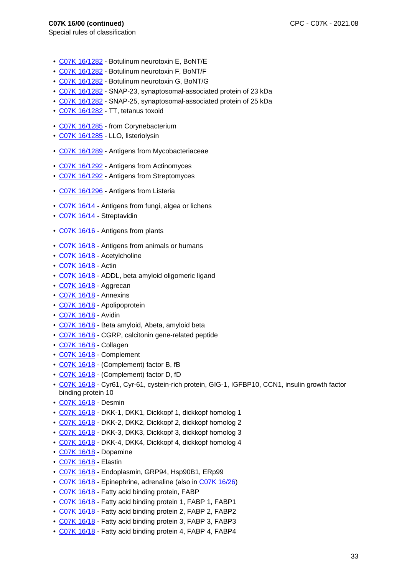- C07K 16/1282 Botulinum neurotoxin E, BoNT/E
- C07K 16/1282 Botulinum neurotoxin F, BoNT/F
- C07K 16/1282 Botulinum neurotoxin G, BoNT/G
- C07K 16/1282 SNAP-23, synaptosomal-associated protein of 23 kDa
- C07K 16/1282 SNAP-25, synaptosomal-associated protein of 25 kDa
- C07K 16/1282 TT, tetanus toxoid
- C07K 16/1285 from Corynebacterium
- C07K 16/1285 LLO, listeriolysin
- C07K 16/1289 Antigens from Mycobacteriaceae
- C07K 16/1292 Antigens from Actinomyces
- C07K 16/1292 Antigens from Streptomyces
- C07K 16/1296 Antigens from Listeria
- C07K 16/14 Antigens from fungi, algea or lichens
- C07K 16/14 Streptavidin
- C07K 16/16 Antigens from plants
- C07K 16/18 Antigens from animals or humans
- C07K 16/18 Acetylcholine
- C07K 16/18 Actin
- C07K 16/18 ADDL, beta amyloid oligomeric ligand
- C07K 16/18 Aggrecan
- C07K 16/18 Annexins
- C07K 16/18 Apolipoprotein
- C07K 16/18 Avidin
- C07K 16/18 Beta amyloid, Abeta, amyloid beta
- C07K 16/18 CGRP, calcitonin gene-related peptide
- C07K 16/18 Collagen
- C07K 16/18 Complement
- C07K 16/18 (Complement) factor B, fB
- C07K 16/18 (Complement) factor D, fD
- C07K 16/18 Cyr61, Cyr-61, cystein-rich protein, GIG-1, IGFBP10, CCN1, insulin growth factor binding protein 10
- C07K 16/18 Desmin
- C07K 16/18 DKK-1, DKK1, Dickkopf 1, dickkopf homolog 1
- C07K 16/18 DKK-2, DKK2, Dickkopf 2, dickkopf homolog 2
- C07K 16/18 DKK-3, DKK3, Dickkopf 3, dickkopf homolog 3
- C07K 16/18 DKK-4, DKK4, Dickkopf 4, dickkopf homolog 4
- C07K 16/18 Dopamine
- C07K 16/18 Elastin
- C07K 16/18 Endoplasmin, GRP94, Hsp90B1, ERp99
- C07K 16/18 Epinephrine, adrenaline (also in C07K 16/26)
- C07K 16/18 Fatty acid binding protein, FABP
- C07K 16/18 Fatty acid binding protein 1, FABP 1, FABP1
- C07K 16/18 Fatty acid binding protein 2, FABP 2, FABP2
- C07K 16/18 Fatty acid binding protein 3, FABP 3, FABP3
- C07K 16/18 Fatty acid binding protein 4, FABP 4, FABP4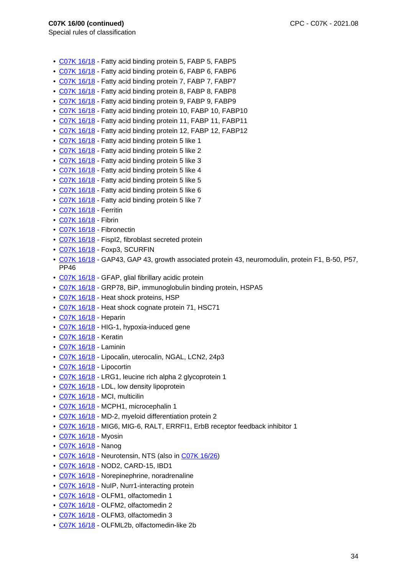- C07K 16/18 Fatty acid binding protein 5, FABP 5, FABP5
- C07K 16/18 Fatty acid binding protein 6, FABP 6, FABP6
- C07K 16/18 Fatty acid binding protein 7, FABP 7, FABP7
- C07K 16/18 Fatty acid binding protein 8, FABP 8, FABP8
- C07K 16/18 Fatty acid binding protein 9, FABP 9, FABP9
- C07K 16/18 Fatty acid binding protein 10, FABP 10, FABP10
- C07K 16/18 Fatty acid binding protein 11, FABP 11, FABP11
- C07K 16/18 Fatty acid binding protein 12, FABP 12, FABP12
- C07K 16/18 Fatty acid binding protein 5 like 1
- C07K 16/18 Fatty acid binding protein 5 like 2
- C07K 16/18 Fatty acid binding protein 5 like 3
- C07K 16/18 Fatty acid binding protein 5 like 4
- C07K 16/18 Fatty acid binding protein 5 like 5
- C07K 16/18 Fatty acid binding protein 5 like 6
- C07K 16/18 Fatty acid binding protein 5 like 7
- C07K 16/18 Ferritin
- C07K 16/18 Fibrin
- C07K 16/18 Fibronectin
- C07K 16/18 FispI2, fibroblast secreted protein
- C07K 16/18 Foxp3, SCURFIN
- C07K 16/18 GAP43, GAP 43, growth associated protein 43, neuromodulin, protein F1, B-50, P57, PP46
- C07K 16/18 GFAP, glial fibrillary acidic protein
- C07K 16/18 GRP78, BiP, immunoglobulin binding protein, HSPA5
- C07K 16/18 Heat shock proteins, HSP
- C07K 16/18 Heat shock cognate protein 71, HSC71
- C07K 16/18 Heparin
- C07K 16/18 HIG-1, hypoxia-induced gene
- C07K 16/18 Keratin
- C07K 16/18 Laminin
- C07K 16/18 Lipocalin, uterocalin, NGAL, LCN2, 24p3
- C07K 16/18 Lipocortin
- C07K 16/18 LRG1, leucine rich alpha 2 glycoprotein 1
- C07K 16/18 LDL, low density lipoprotein
- C07K 16/18 MCI, multicilin
- C07K 16/18 MCPH1, microcephalin 1
- C07K 16/18 MD-2, myeloid differentiation protein 2
- C07K 16/18 MIG6, MIG-6, RALT, ERRFI1, ErbB receptor feedback inhibitor 1
- C07K 16/18 Myosin
- C07K 16/18 Nanog
- C07K 16/18 Neurotensin, NTS (also in C07K 16/26)
- C07K 16/18 NOD2, CARD-15, IBD1
- C07K 16/18 Norepinephrine, noradrenaline
- C07K 16/18 NuIP, Nurr1-interacting protein
- C07K 16/18 OLFM1, olfactomedin 1
- C07K 16/18 OLFM2, olfactomedin 2
- C07K 16/18 OLFM3, olfactomedin 3
- C07K 16/18 OLFML2b, olfactomedin-like 2b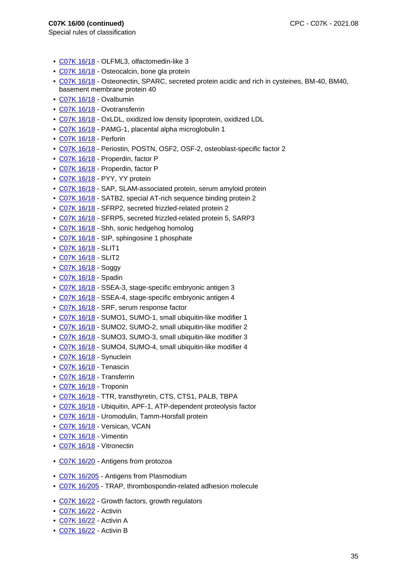- C07K 16/18 OLFML3, olfactomedin-like 3
- C07K 16/18 Osteocalcin, bone gla protein
- C07K 16/18 Osteonectin, SPARC, secreted protein acidic and rich in cysteines, BM-40, BM40, basement membrane protein 40
- C07K 16/18 Ovalbumin
- C07K 16/18 Ovotransferrin
- C07K 16/18 OxLDL, oxidized low density lipoprotein, oxidized LDL
- C07K 16/18 PAMG-1, placental alpha microglobulin 1
- C07K 16/18 Perforin
- C07K 16/18 Periostin, POSTN, OSF2, OSF-2, osteoblast-specific factor 2
- C07K 16/18 Properdin, factor P
- C07K 16/18 Properdin, factor P
- C07K 16/18 PYY, YY protein
- C07K 16/18 SAP, SLAM-associated protein, serum amyloid protein
- C07K 16/18 SATB2, special AT-rich sequence binding protein 2
- C07K 16/18 SFRP2, secreted frizzled-related protein 2
- C07K 16/18 SFRP5, secreted frizzled-related protein 5, SARP3
- C07K 16/18 Shh, sonic hedgehog homolog
- C07K 16/18 SIP, sphingosine 1 phosphate
- C07K 16/18 SLIT1
- C07K 16/18 SLIT2
- C07K 16/18 Soggy
- C07K 16/18 Spadin
- C07K 16/18 SSEA-3, stage-specific embryonic antigen 3
- C07K 16/18 SSEA-4, stage-specific embryonic antigen 4
- C07K 16/18 SRF, serum response factor
- C07K 16/18 SUMO1, SUMO-1, small ubiquitin-like modifier 1
- C07K 16/18 SUMO2, SUMO-2, small ubiquitin-like modifier 2
- C07K 16/18 SUMO3, SUMO-3, small ubiquitin-like modifier 3
- C07K 16/18 SUMO4, SUMO-4, small ubiquitin-like modifier 4
- C07K 16/18 Synuclein
- C07K 16/18 Tenascin
- C07K 16/18 Transferrin
- C07K 16/18 Troponin
- C07K 16/18 TTR, transthyretin, CTS, CTS1, PALB, TBPA
- C07K 16/18 Ubiquitin, APF-1, ATP-dependent proteolysis factor
- C07K 16/18 Uromodulin, Tamm-Horsfall protein
- C07K 16/18 Versican, VCAN
- C07K 16/18 Vimentin
- C07K 16/18 Vitronectin
- C07K 16/20 Antigens from protozoa
- C07K 16/205 Antigens from Plasmodium
- C07K 16/205 TRAP, thrombospondin-related adhesion molecule
- C07K 16/22 Growth factors, growth regulators
- C07K 16/22 Activin
- C07K 16/22 Activin A
- C07K 16/22 Activin B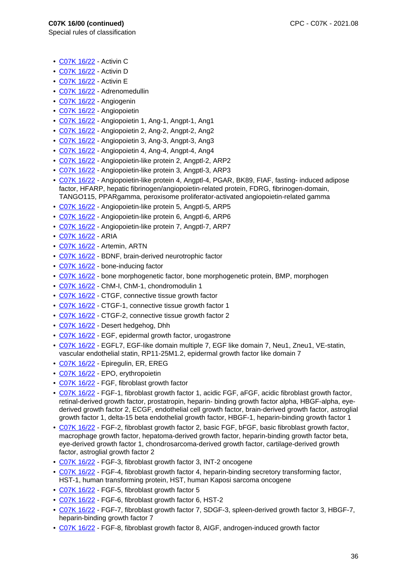- Special rules of classification
	- C07K 16/22 Activin C
	- C07K 16/22 Activin D
	- C07K 16/22 Activin E
	- C07K 16/22 Adrenomedullin
	- C07K 16/22 Angiogenin
	- C07K 16/22 Angiopoietin
	- C07K 16/22 Angiopoietin 1, Ang-1, Angpt-1, Ang1
	- C07K 16/22 Angiopoietin 2, Ang-2, Angpt-2, Ang2
	- C07K 16/22 Angiopoietin 3, Ang-3, Angpt-3, Ang3
	- C07K 16/22 Angiopoietin 4, Ang-4, Angpt-4, Ang4
	- C07K 16/22 Angiopoietin-like protein 2, Angptl-2, ARP2
	- C07K 16/22 Angiopoietin-like protein 3, Angptl-3, ARP3
	- C07K 16/22 Angiopoietin-like protein 4, Angptl-4, PGAR, BK89, FIAF, fasting- induced adipose factor, HFARP, hepatic fibrinogen/angiopoietin-related protein, FDRG, fibrinogen-domain, TANGO115, PPARgamma, peroxisome proliferator-activated angiopoietin-related gamma
	- C07K 16/22 Angiopoietin-like protein 5, Angptl-5, ARP5
	- C07K 16/22 Angiopoietin-like protein 6, Angptl-6, ARP6
	- C07K 16/22 Angiopoietin-like protein 7, Angptl-7, ARP7
	- C07K 16/22 ARIA
	- C07K 16/22 Artemin, ARTN
	- C07K 16/22 BDNF, brain-derived neurotrophic factor
	- C07K 16/22 bone-inducing factor
	- C07K 16/22 bone morphogenetic factor, bone morphogenetic protein, BMP, morphogen
	- C07K 16/22 ChM-I, ChM-1, chondromodulin 1
	- C07K 16/22 CTGF, connective tissue growth factor
	- C07K 16/22 CTGF-1, connective tissue growth factor 1
	- C07K 16/22 CTGF-2, connective tissue growth factor 2
	- C07K 16/22 Desert hedgehog, Dhh
	- C07K 16/22 EGF, epidermal growth factor, urogastrone
	- C07K 16/22 EGFL7, EGF-like domain multiple 7, EGF like domain 7, Neu1, Zneu1, VE-statin, vascular endothelial statin, RP11-25M1.2, epidermal growth factor like domain 7
	- C07K 16/22 Epiregulin, ER, EREG
	- C07K 16/22 EPO, erythropoietin
	- C07K 16/22 FGF, fibroblast growth factor
	- C07K 16/22 FGF-1, fibroblast growth factor 1, acidic FGF, aFGF, acidic fibroblast growth factor, retinal-derived growth factor, prostatropin, heparin- binding growth factor alpha, HBGF-alpha, eyederived growth factor 2, ECGF, endothelial cell growth factor, brain-derived growth factor, astroglial growth factor 1, delta-15 beta endothelial growth factor, HBGF-1, heparin-binding growth factor 1
	- C07K 16/22 FGF-2, fibroblast growth factor 2, basic FGF, bFGF, basic fibroblast growth factor, macrophage growth factor, hepatoma-derived growth factor, heparin-binding growth factor beta, eye-derived growth factor 1, chondrosarcoma-derived growth factor, cartilage-derived growth factor, astroglial growth factor 2
	- C07K 16/22 FGF-3, fibroblast growth factor 3, INT-2 oncogene
	- C07K 16/22 FGF-4, fibroblast growth factor 4, heparin-binding secretory transforming factor, HST-1, human transforming protein, HST, human Kaposi sarcoma oncogene
	- C07K 16/22 FGF-5, fibroblast growth factor 5
	- C07K 16/22 FGF-6, fibroblast growth factor 6, HST-2
	- C07K 16/22 FGF-7, fibroblast growth factor 7, SDGF-3, spleen-derived growth factor 3, HBGF-7, heparin-binding growth factor 7
	- C07K 16/22 FGF-8, fibroblast growth factor 8, AIGF, androgen-induced growth factor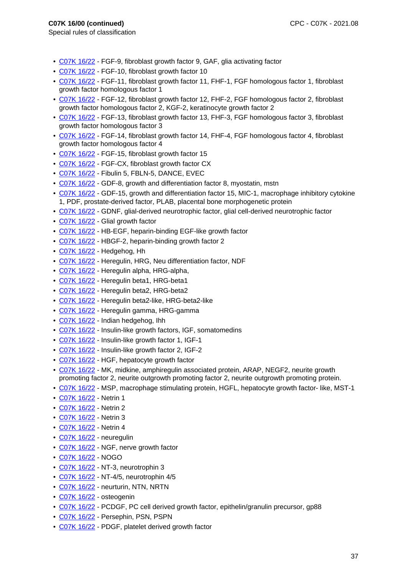- C07K 16/22 FGF-9, fibroblast growth factor 9, GAF, glia activating factor
- C07K 16/22 FGF-10, fibroblast growth factor 10
- C07K 16/22 FGF-11, fibroblast growth factor 11, FHF-1, FGF homologous factor 1, fibroblast growth factor homologous factor 1
- C07K 16/22 FGF-12, fibroblast growth factor 12, FHF-2, FGF homologous factor 2, fibroblast growth factor homologous factor 2, KGF-2, keratinocyte growth factor 2
- C07K 16/22 FGF-13, fibroblast growth factor 13, FHF-3, FGF homologous factor 3, fibroblast growth factor homologous factor 3
- C07K 16/22 FGF-14, fibroblast growth factor 14, FHF-4, FGF homologous factor 4, fibroblast growth factor homologous factor 4
- C07K 16/22 FGF-15, fibroblast growth factor 15
- C07K 16/22 FGF-CX, fibroblast growth factor CX
- C07K 16/22 Fibulin 5, FBLN-5, DANCE, EVEC
- C07K 16/22 GDF-8, growth and differentiation factor 8, myostatin, mstn
- C07K 16/22 GDF-15, growth and differentiation factor 15, MIC-1, macrophage inhibitory cytokine 1, PDF, prostate-derived factor, PLAB, placental bone morphogenetic protein
- C07K 16/22 GDNF, glial-derived neurotrophic factor, glial cell-derived neurotrophic factor
- C07K 16/22 Glial growth factor
- C07K 16/22 HB-EGF, heparin-binding EGF-like growth factor
- C07K 16/22 HBGF-2, heparin-binding growth factor 2
- C07K 16/22 Hedgehog, Hh
- C07K 16/22 Heregulin, HRG, Neu differentiation factor, NDF
- C07K 16/22 Heregulin alpha, HRG-alpha,
- C07K 16/22 Heregulin beta1, HRG-beta1
- C07K 16/22 Heregulin beta2, HRG-beta2
- C07K 16/22 Heregulin beta2-like, HRG-beta2-like
- C07K 16/22 Heregulin gamma, HRG-gamma
- C07K 16/22 Indian hedgehog, Ihh
- C07K 16/22 Insulin-like growth factors, IGF, somatomedins
- C07K 16/22 Insulin-like growth factor 1, IGF-1
- C07K 16/22 Insulin-like growth factor 2, IGF-2
- C07K 16/22 HGF, hepatocyte growth factor
- C07K 16/22 MK, midkine, amphiregulin associated protein, ARAP, NEGF2, neurite growth promoting factor 2, neurite outgrowth promoting factor 2, neurite outgrowth promoting protein.
- C07K 16/22 MSP, macrophage stimulating protein, HGFL, hepatocyte growth factor- like, MST-1
- C07K 16/22 Netrin 1
- C07K 16/22 Netrin 2
- C07K 16/22 Netrin 3
- C07K 16/22 Netrin 4
- C07K 16/22 neuregulin
- C07K 16/22 NGF, nerve growth factor
- C07K 16/22 NOGO
- C07K 16/22 NT-3, neurotrophin 3
- C07K 16/22 NT-4/5, neurotrophin 4/5
- C07K 16/22 neurturin, NTN, NRTN
- C07K 16/22 osteogenin
- C07K 16/22 PCDGF, PC cell derived growth factor, epithelin/granulin precursor, gp88
- C07K 16/22 Persephin, PSN, PSPN
- C07K 16/22 PDGF, platelet derived growth factor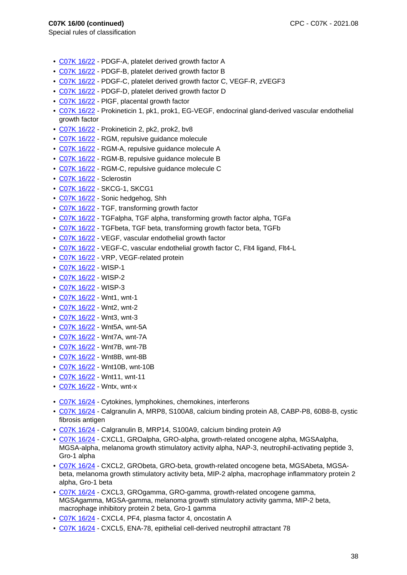- C07K 16/22 PDGF-A, platelet derived growth factor A
- C07K 16/22 PDGF-B, platelet derived growth factor B
- C07K 16/22 PDGF-C, platelet derived growth factor C, VEGF-R, zVEGF3
- C07K 16/22 PDGF-D, platelet derived growth factor D
- C07K 16/22 PlGF, placental growth factor
- C07K 16/22 Prokineticin 1, pk1, prok1, EG-VEGF, endocrinal gland-derived vascular endothelial growth factor
- C07K 16/22 Prokineticin 2, pk2, prok2, bv8
- C07K 16/22 RGM, repulsive guidance molecule
- C07K 16/22 RGM-A, repulsive guidance molecule A
- C07K 16/22 RGM-B, repulsive guidance molecule B
- C07K 16/22 RGM-C, repulsive guidance molecule C
- C07K 16/22 Sclerostin
- C07K 16/22 SKCG-1, SKCG1
- C07K 16/22 Sonic hedgehog, Shh
- C07K 16/22 TGF, transforming growth factor
- C07K 16/22 TGFalpha, TGF alpha, transforming growth factor alpha, TGFa
- C07K 16/22 TGFbeta, TGF beta, transforming growth factor beta, TGFb
- C07K 16/22 VEGF, vascular endothelial growth factor
- C07K 16/22 VEGF-C, vascular endothelial growth factor C, Flt4 ligand, Flt4-L
- C07K 16/22 VRP, VEGF-related protein
- C07K 16/22 WISP-1
- C07K 16/22 WISP-2
- C07K 16/22 WISP-3
- C07K 16/22 Wnt1, wnt-1
- C07K 16/22 Wnt2, wnt-2
- C07K 16/22 Wnt3, wnt-3
- C07K 16/22 Wnt5A, wnt-5A
- C07K 16/22 Wnt7A, wnt-7A
- C07K 16/22 Wnt7B, wnt-7B
- C07K 16/22 Wnt8B, wnt-8B
- C07K 16/22 Wnt10B, wnt-10B
- C07K 16/22 Wnt11, wnt-11
- C07K 16/22 Wntx, wnt-x
- C07K 16/24 Cytokines, lymphokines, chemokines, interferons
- C07K 16/24 Calgranulin A, MRP8, S100A8, calcium binding protein A8, CABP-P8, 60B8-B, cystic fibrosis antigen
- C07K 16/24 Calgranulin B, MRP14, S100A9, calcium binding protein A9
- C07K 16/24 CXCL1, GROalpha, GRO-alpha, growth-related oncogene alpha, MGSAalpha, MGSA-alpha, melanoma growth stimulatory activity alpha, NAP-3, neutrophil-activating peptide 3, Gro-1 alpha
- C07K 16/24 CXCL2, GRObeta, GRO-beta, growth-related oncogene beta, MGSAbeta, MGSAbeta, melanoma growth stimulatory activity beta, MIP-2 alpha, macrophage inflammatory protein 2 alpha, Gro-1 beta
- C07K 16/24 CXCL3, GROgamma, GRO-gamma, growth-related oncogene gamma, MGSAgamma, MGSA-gamma, melanoma growth stimulatory activity gamma, MIP-2 beta, macrophage inhibitory protein 2 beta, Gro-1 gamma
- C07K 16/24 CXCL4, PF4, plasma factor 4, oncostatin A
- C07K 16/24 CXCL5, ENA-78, epithelial cell-derived neutrophil attractant 78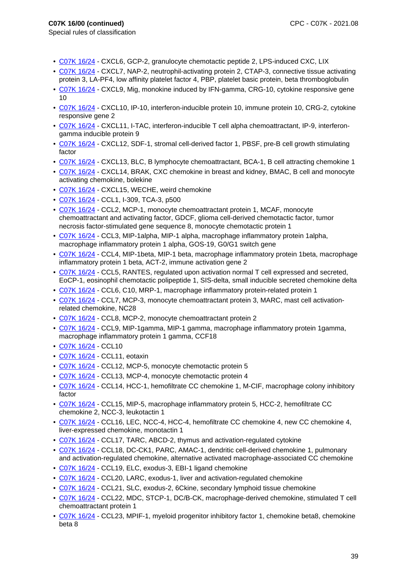- C07K 16/24 CXCL6, GCP-2, granulocyte chemotactic peptide 2, LPS-induced CXC, LIX
- C07K 16/24 CXCL7, NAP-2, neutrophil-activating protein 2, CTAP-3, connective tissue activating protein 3, LA-PF4, low affinity platelet factor 4, PBP, platelet basic protein, beta thromboglobulin
- C07K 16/24 CXCL9, Mig, monokine induced by IFN-gamma, CRG-10, cytokine responsive gene 10
- C07K 16/24 CXCL10, IP-10, interferon-inducible protein 10, immune protein 10, CRG-2, cytokine responsive gene 2
- C07K 16/24 CXCL11, I-TAC, interferon-inducible T cell alpha chemoattractant, IP-9, interferongamma inducible protein 9
- C07K 16/24 CXCL12, SDF-1, stromal cell-derived factor 1, PBSF, pre-B cell growth stimulating factor
- C07K 16/24 CXCL13, BLC, B lymphocyte chemoattractant, BCA-1, B cell attracting chemokine 1
- C07K 16/24 CXCL14, BRAK, CXC chemokine in breast and kidney, BMAC, B cell and monocyte activating chemokine, bolekine
- C07K 16/24 CXCL15, WECHE, weird chemokine
- C07K 16/24 CCL1, I-309, TCA-3, p500
- C07K 16/24 CCL2, MCP-1, monocyte chemoattractant protein 1, MCAF, monocyte chemoattractant and activating factor, GDCF, glioma cell-derived chemotactic factor, tumor necrosis factor-stimulated gene sequence 8, monocyte chemotactic protein 1
- C07K 16/24 CCL3, MIP-1alpha, MIP-1 alpha, macrophage inflammatory protein 1alpha, macrophage inflammatory protein 1 alpha, GOS-19, G0/G1 switch gene
- C07K 16/24 CCL4, MIP-1beta, MIP-1 beta, macrophage inflammatory protein 1beta, macrophage inflammatory protein 1 beta, ACT-2, immune activation gene 2
- C07K 16/24 CCL5, RANTES, regulated upon activation normal T cell expressed and secreted, EoCP-1, eosinophil chemotactic polipeptide 1, SIS-delta, small inducible secreted chemokine delta
- C07K 16/24 CCL6, C10, MRP-1, macrophage inflammatory protein-related protein 1
- C07K 16/24 CCL7, MCP-3, monocyte chemoattractant protein 3, MARC, mast cell activationrelated chemokine, NC28
- C07K 16/24 CCL8, MCP-2, monocyte chemoattractant protein 2
- C07K 16/24 CCL9, MIP-1gamma, MIP-1 gamma, macrophage inflammatory protein 1gamma, macrophage inflammatory protein 1 gamma, CCF18
- C07K 16/24 CCL10
- C07K 16/24 CCL11, eotaxin
- C07K 16/24 CCL12, MCP-5, monocyte chemotactic protein 5
- C07K 16/24 CCL13, MCP-4, monocyte chemotactic protein 4
- C07K 16/24 CCL14, HCC-1, hemofiltrate CC chemokine 1, M-CIF, macrophage colony inhibitory factor
- C07K 16/24 CCL15, MIP-5, macrophage inflammatory protein 5, HCC-2, hemofiltrate CC chemokine 2, NCC-3, leukotactin 1
- C07K 16/24 CCL16, LEC, NCC-4, HCC-4, hemofiltrate CC chemokine 4, new CC chemokine 4, liver-expressed chemokine, monotactin 1
- C07K 16/24 CCL17, TARC, ABCD-2, thymus and activation-regulated cytokine
- C07K 16/24 CCL18, DC-CK1, PARC, AMAC-1, dendritic cell-derived chemokine 1, pulmonary and activation-regulated chemokine, alternative activated macrophage-associated CC chemokine
- C07K 16/24 CCL19, ELC, exodus-3, EBI-1 ligand chemokine
- C07K 16/24 CCL20, LARC, exodus-1, liver and activation-regulated chemokine
- C07K 16/24 CCL21, SLC, exodus-2, 6Ckine, secondary lymphoid tissue chemokine
- C07K 16/24 CCL22, MDC, STCP-1, DC/B-CK, macrophage-derived chemokine, stimulated T cell chemoattractant protein 1
- C07K 16/24 CCL23, MPIF-1, myeloid progenitor inhibitory factor 1, chemokine beta8, chemokine beta 8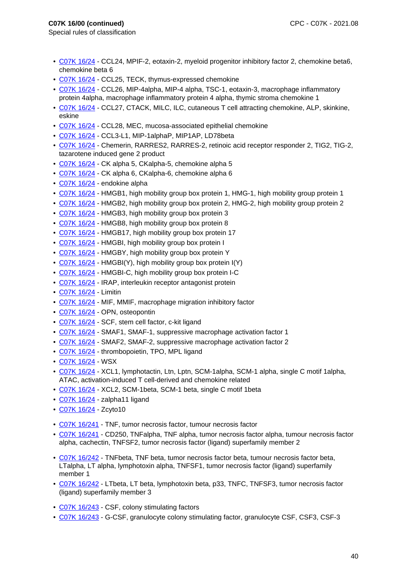- Special rules of classification
	- C07K 16/24 CCL24, MPIF-2, eotaxin-2, myeloid progenitor inhibitory factor 2, chemokine beta6, chemokine beta 6
	- C07K 16/24 CCL25, TECK, thymus-expressed chemokine
- C07K 16/24 CCL26, MIP-4alpha, MIP-4 alpha, TSC-1, eotaxin-3, macrophage inflammatory protein 4alpha, macrophage inflammatory protein 4 alpha, thymic stroma chemokine 1
- C07K 16/24 CCL27, CTACK, MILC, ILC, cutaneous T cell attracting chemokine, ALP, skinkine, eskine
- C07K 16/24 CCL28, MEC, mucosa-associated epithelial chemokine
- C07K 16/24 CCL3-L1, MIP-1alphaP, MIP1AP, LD78beta
- C07K 16/24 Chemerin, RARRES2, RARRES-2, retinoic acid receptor responder 2, TIG2, TIG-2, tazarotene induced gene 2 product
- C07K 16/24 CK alpha 5, CKalpha-5, chemokine alpha 5
- C07K 16/24 CK alpha 6, CKalpha-6, chemokine alpha 6
- C07K 16/24 endokine alpha
- C07K 16/24 HMGB1, high mobility group box protein 1, HMG-1, high mobility group protein 1
- C07K 16/24 HMGB2, high mobility group box protein 2, HMG-2, high mobility group protein 2
- C07K 16/24 HMGB3, high mobility group box protein 3
- C07K 16/24 HMGB8, high mobility group box protein 8
- C07K 16/24 HMGB17, high mobility group box protein 17
- C07K 16/24 HMGBI, high mobility group box protein I
- C07K 16/24 HMGBY, high mobility group box protein Y
- C07K 16/24 HMGBI(Y), high mobility group box protein I(Y)
- C07K 16/24 HMGBI-C, high mobility group box protein I-C
- C07K 16/24 IRAP, interleukin receptor antagonist protein
- C07K 16/24 Limitin
- C07K 16/24 MIF, MMIF, macrophage migration inhibitory factor
- C07K 16/24 OPN, osteopontin
- C07K 16/24 SCF, stem cell factor, c-kit ligand
- C07K 16/24 SMAF1, SMAF-1, suppressive macrophage activation factor 1
- C07K 16/24 SMAF2, SMAF-2, suppressive macrophage activation factor 2
- C07K 16/24 thrombopoietin, TPO, MPL ligand
- C07K 16/24 WSX
- C07K 16/24 XCL1, lymphotactin, Ltn, Lptn, SCM-1alpha, SCM-1 alpha, single C motif 1alpha, ATAC, activation-induced T cell-derived and chemokine related
- C07K 16/24 XCL2, SCM-1beta, SCM-1 beta, single C motif 1beta
- C07K 16/24 zalpha11 ligand
- C07K 16/24 Zcyto10
- C07K 16/241 TNF, tumor necrosis factor, tumour necrosis factor
- C07K 16/241 CD250, TNFalpha, TNF alpha, tumor necrosis factor alpha, tumour necrosis factor alpha, cachectin, TNFSF2, tumor necrosis factor (ligand) superfamily member 2
- C07K 16/242 TNFbeta, TNF beta, tumor necrosis factor beta, tumour necrosis factor beta, LTalpha, LT alpha, lymphotoxin alpha, TNFSF1, tumor necrosis factor (ligand) superfamily member 1
- C07K 16/242 LTbeta, LT beta, lymphotoxin beta, p33, TNFC, TNFSF3, tumor necrosis factor (ligand) superfamily member 3
- C07K 16/243 CSF, colony stimulating factors
- C07K 16/243 G-CSF, granulocyte colony stimulating factor, granulocyte CSF, CSF3, CSF-3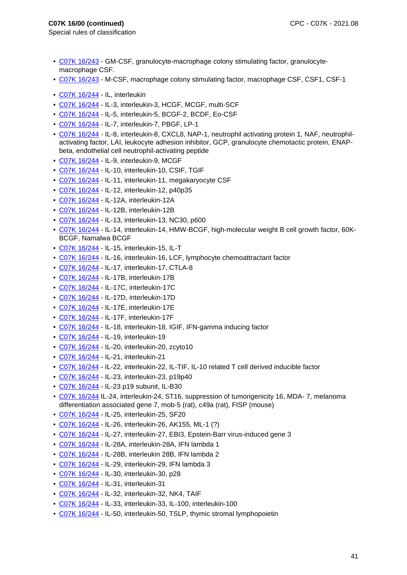- C07K 16/243 GM-CSF, granulocyte-macrophage colony stimulating factor, granulocytemacrophage CSF.
- C07K 16/243 M-CSF, macrophage colony stimulating factor, macrophage CSF, CSF1, CSF-1
- C07K 16/244 IL, interleukin
- C07K 16/244 IL-3, interleukin-3, HCGF, MCGF, multi-SCF
- C07K 16/244 IL-5, interleukin-5, BCGF-2, BCDF, Eo-CSF
- C07K 16/244 IL-7, interleukin-7, PBGF, LP-1
- C07K 16/244 IL-8, interleukin-8, CXCL8, NAP-1, neutrophil activating protein 1, NAF, neutrophilactivating factor, LAI, leukocyte adhesion inhibitor, GCP, granulocyte chemotactic protein, ENAPbeta, endothelial cell neutrophil-activating peptide
- C07K 16/244 IL-9, interleukin-9, MCGF
- C07K 16/244 IL-10, interleukin-10, CSIF, TGIF
- C07K 16/244 IL-11, interleukin-11, megakaryocyte CSF
- C07K 16/244 IL-12, interleukin-12, p40p35
- C07K 16/244 IL-12A, interleukin-12A
- C07K 16/244 IL-12B, interleukin-12B
- C07K 16/244 IL-13, interleukin-13, NC30, p600
- C07K 16/244 IL-14, interleukin-14, HMW-BCGF, high-molecular weight B cell growth factor, 60K-BCGF, Namalwa BCGF
- C07K 16/244 IL-15, interleukin-15, IL-T
- C07K 16/244 IL-16, interleukin-16, LCF, lymphocyte chemoattractant factor
- C07K 16/244 IL-17, interleukin-17, CTLA-8
- C07K 16/244 IL-17B, interleukin-17B
- C07K 16/244 IL-17C, interleukin-17C
- C07K 16/244 IL-17D, interleukin-17D
- C07K 16/244 IL-17E, interleukin-17E
- C07K 16/244 IL-17F, interleukin-17F
- C07K 16/244 IL-18, interleukin-18, IGIF, IFN-gamma inducing factor
- C07K 16/244 IL-19, interleukin-19
- C07K 16/244 IL-20, interleukin-20, zcyto10
- C07K 16/244 IL-21, interleukin-21
- C07K 16/244 IL-22, interleukin-22, IL-TIF, IL-10 related T cell derived inducible factor
- C07K 16/244 IL-23, interleukin-23, p19p40
- C07K 16/244 IL-23 p19 subunit, IL-B30
- C07K 16/244 IL-24, interleukin-24, ST16, suppression of tumorigenicity 16, MDA- 7, melanoma differentiation associated gene 7, mob-5 (rat), c49a (rat), FISP (mouse)
- C07K 16/244 IL-25, interleukin-25, SF20
- C07K 16/244 IL-26, interleukin-26, AK155, ML-1 (?)
- C07K 16/244 IL-27, interleukin-27, EBI3, Epstein-Barr virus-induced gene 3
- C07K 16/244 IL-28A, interleukin-28A, IFN lambda 1
- C07K 16/244 IL-28B, interleukin 28B, IFN lambda 2
- C07K 16/244 IL-29, interleukin-29, IFN lambda 3
- C07K 16/244 IL-30, interleukin-30, p28
- C07K 16/244 IL-31, interleukin-31
- C07K 16/244 IL-32, interleukin-32, NK4, TAIF
- C07K 16/244 IL-33, interleukin-33, IL-100, interleukin-100
- C07K 16/244 IL-50, interleukin-50, TSLP, thymic stromal lymphopoietin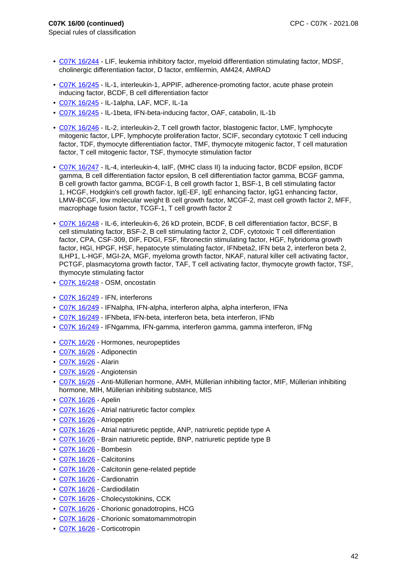- Special rules of classification
	- C07K 16/244 LIF, leukemia inhibitory factor, myeloid differentiation stimulating factor, MDSF, cholinergic differentiation factor, D factor, emfilermin, AM424, AMRAD
	- C07K 16/245 IL-1, interleukin-1, APPIF, adherence-promoting factor, acute phase protein inducing factor, BCDF, B cell differentiation factor
	- C07K 16/245 IL-1alpha, LAF, MCF, IL-1a
	- C07K 16/245 IL-1beta, IFN-beta-inducing factor, OAF, catabolin, IL-1b
	- C07K 16/246 IL-2, interleukin-2, T cell growth factor, blastogenic factor, LMF, lymphocyte mitogenic factor, LPF, lymphocyte proliferation factor, SCIF, secondary cytotoxic T cell inducing factor, TDF, thymocyte differentiation factor, TMF, thymocyte mitogenic factor, T cell maturation factor, T cell mitogenic factor, TSF, thymocyte stimulation factor
	- C07K 16/247 IL-4, interleukin-4, IaIF, (MHC class II) Ia inducing factor, BCDF epsilon, BCDF gamma, B cell differentiation factor epsilon, B cell differentiation factor gamma, BCGF gamma, B cell growth factor gamma, BCGF-1, B cell growth factor 1, BSF-1, B cell stimulating factor 1, HCGF, Hodgkin's cell growth factor, IgE-EF, IgE enhancing factor, IgG1 enhancing factor, LMW-BCGF, low molecular weight B cell growth factor, MCGF-2, mast cell growth factor 2, MFF, macrophage fusion factor, TCGF-1, T cell growth factor 2
	- C07K 16/248 IL-6, interleukin-6, 26 kD protein, BCDF, B cell differentiation factor, BCSF, B cell stimulating factor, BSF-2, B cell stimulating factor 2, CDF, cytotoxic T cell differentiation factor, CPA, CSF-309, DIF, FDGI, FSF, fibronectin stimulating factor, HGF, hybridoma growth factor, HGI, HPGF, HSF, hepatocyte stimulating factor, IFNbeta2, IFN beta 2, interferon beta 2, ILHP1, L-HGF, MGI-2A, MGF, myeloma growth factor, NKAF, natural killer cell activating factor, PCTGF, plasmacytoma growth factor, TAF, T cell activating factor, thymocyte growth factor, TSF, thymocyte stimulating factor
	- C07K 16/248 OSM, oncostatin
	- C07K 16/249 IFN, interferons
	- C07K 16/249 IFNalpha, IFN-alpha, interferon alpha, alpha interferon, IFNa
	- C07K 16/249 IFNbeta, IFN-beta, interferon beta, beta interferon, IFNb
	- C07K 16/249 IFNgamma, IFN-gamma, interferon gamma, gamma interferon, IFNg
	- C07K 16/26 Hormones, neuropeptides
	- C07K 16/26 Adiponectin
	- C07K 16/26 Alarin
	- C07K 16/26 Angiotensin
	- C07K 16/26 Anti-Müllerian hormone, AMH, Müllerian inhibiting factor, MIF, Müllerian inhibiting hormone, MIH, Müllerian inhibiting substance, MIS
	- C07K 16/26 Apelin
	- C07K 16/26 Atrial natriuretic factor complex
	- C07K 16/26 Atriopeptin
	- C07K 16/26 Atrial natriuretic peptide, ANP, natriuretic peptide type A
	- C07K 16/26 Brain natriuretic peptide, BNP, natriuretic peptide type B
	- C07K 16/26 Bombesin
	- C07K 16/26 Calcitonins
	- C07K 16/26 Calcitonin gene-related peptide
	- C07K 16/26 Cardionatrin
- C07K 16/26 Cardiodilatin
- C07K 16/26 Cholecystokinins, CCK
- C07K 16/26 Chorionic gonadotropins, HCG
- C07K 16/26 Chorionic somatomammotropin
- C07K 16/26 Corticotropin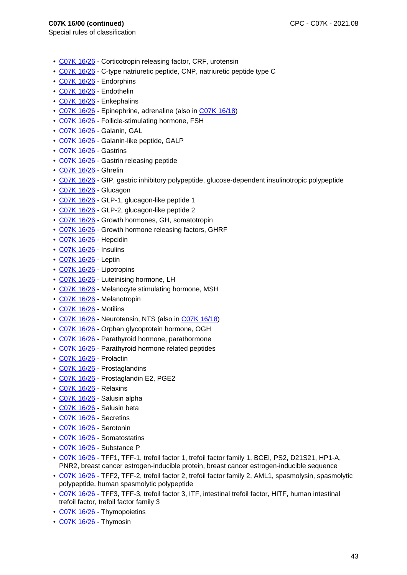- Special rules of classification
	- C07K 16/26 Corticotropin releasing factor, CRF, urotensin
	- C07K 16/26 C-type natriuretic peptide, CNP, natriuretic peptide type C
	- C07K 16/26 Endorphins
	- C07K 16/26 Endothelin
	- C07K 16/26 Enkephalins
	- C07K 16/26 Epinephrine, adrenaline (also in C07K 16/18)
	- C07K 16/26 Follicle-stimulating hormone, FSH
	- C07K 16/26 Galanin, GAL
	- C07K 16/26 Galanin-like peptide, GALP
	- C07K 16/26 Gastrins
	- C07K 16/26 Gastrin releasing peptide
	- C07K 16/26 Ghrelin
	- C07K 16/26 GIP, gastric inhibitory polypeptide, glucose-dependent insulinotropic polypeptide
	- C07K 16/26 Glucagon
	- C07K 16/26 GLP-1, glucagon-like peptide 1
- C07K 16/26 GLP-2, glucagon-like peptide 2
- C07K 16/26 Growth hormones, GH, somatotropin
- C07K 16/26 Growth hormone releasing factors, GHRF
- C07K 16/26 Hepcidin
- C07K 16/26 Insulins
- C07K 16/26 Leptin
- C07K 16/26 Lipotropins
- C07K 16/26 Luteinising hormone, LH
- C07K 16/26 Melanocyte stimulating hormone, MSH
- C07K 16/26 Melanotropin
- C07K 16/26 Motilins
- C07K 16/26 Neurotensin, NTS (also in C07K 16/18)
- C07K 16/26 Orphan glycoprotein hormone, OGH
- C07K 16/26 Parathyroid hormone, parathormone
- C07K 16/26 Parathyroid hormone related peptides
- C07K 16/26 Prolactin
- C07K 16/26 Prostaglandins
- C07K 16/26 Prostaglandin E2, PGE2
- C07K 16/26 Relaxins
- C07K 16/26 Salusin alpha
- C07K 16/26 Salusin beta
- C07K 16/26 Secretins
- C07K 16/26 Serotonin
- C07K 16/26 Somatostatins
- C07K 16/26 Substance P
- C07K 16/26 TFF1, TFF-1, trefoil factor 1, trefoil factor family 1, BCEI, PS2, D21S21, HP1-A, PNR2, breast cancer estrogen-inducible protein, breast cancer estrogen-inducible sequence
- C07K 16/26 TFF2, TFF-2, trefoil factor 2, trefoil factor family 2, AML1, spasmolysin, spasmolytic polypeptide, human spasmolytic polypeptide
- C07K 16/26 TFF3, TFF-3, trefoil factor 3, ITF, intestinal trefoil factor, HITF, human intestinal trefoil factor, trefoil factor family 3
- C07K 16/26 Thymopoietins
- C07K 16/26 Thymosin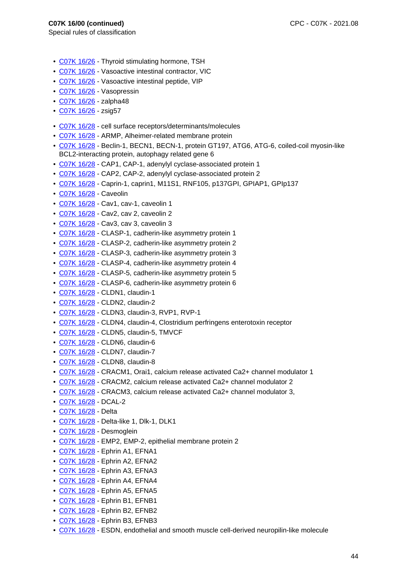- C07K 16/26 Thyroid stimulating hormone, TSH
- C07K 16/26 Vasoactive intestinal contractor, VIC
- C07K 16/26 Vasoactive intestinal peptide, VIP
- C07K 16/26 Vasopressin
- C07K 16/26 zalpha48
- C07K 16/26 zsig57
- C07K 16/28 cell surface receptors/determinants/molecules
- C07K 16/28 ARMP, Alheimer-related membrane protein
- C07K 16/28 Beclin-1, BECN1, BECN-1, protein GT197, ATG6, ATG-6, coiled-coil myosin-like BCL2-interacting protein, autophagy related gene 6
- C07K 16/28 CAP1, CAP-1, adenylyl cyclase-associated protein 1
- C07K 16/28 CAP2, CAP-2, adenylyl cyclase-associated protein 2
- C07K 16/28 Caprin-1, caprin1, M11S1, RNF105, p137GPI, GPIAP1, GPIp137
- C07K 16/28 Caveolin
- C07K 16/28 Cav1, cav-1, caveolin 1
- C07K 16/28 Cav2, cav 2, caveolin 2
- C07K 16/28 Cav3, cav 3, caveolin 3
- C07K 16/28 CLASP-1, cadherin-like asymmetry protein 1
- C07K 16/28 CLASP-2, cadherin-like asymmetry protein 2
- C07K 16/28 CLASP-3, cadherin-like asymmetry protein 3
- C07K 16/28 CLASP-4, cadherin-like asymmetry protein 4
- C07K 16/28 CLASP-5, cadherin-like asymmetry protein 5
- C07K 16/28 CLASP-6, cadherin-like asymmetry protein 6
- C07K 16/28 CLDN1, claudin-1
- C07K 16/28 CLDN2, claudin-2
- C07K 16/28 CLDN3, claudin-3, RVP1, RVP-1
- C07K 16/28 CLDN4, claudin-4, Clostridium perfringens enterotoxin receptor
- C07K 16/28 CLDN5, claudin-5, TMVCF
- C07K 16/28 CLDN6, claudin-6
- C07K 16/28 CLDN7, claudin-7
- C07K 16/28 CLDN8, claudin-8
- C07K 16/28 CRACM1, Orai1, calcium release activated Ca2+ channel modulator 1
- C07K 16/28 CRACM2, calcium release activated Ca2+ channel modulator 2
- C07K 16/28 CRACM3, calcium release activated Ca2+ channel modulator 3,
- C07K 16/28 DCAL-2
- C07K 16/28 Delta
- C07K 16/28 Delta-like 1, Dlk-1, DLK1
- C07K 16/28 Desmoglein
- C07K 16/28 EMP2, EMP-2, epithelial membrane protein 2
- C07K 16/28 Ephrin A1, EFNA1
- C07K 16/28 Ephrin A2, EFNA2
- C07K 16/28 Ephrin A3, EFNA3
- C07K 16/28 Ephrin A4, EFNA4
- C07K 16/28 Ephrin A5, EFNA5
- C07K 16/28 Ephrin B1, EFNB1
- C07K 16/28 Ephrin B2, EFNB2
- C07K 16/28 Ephrin B3, EFNB3
- C07K 16/28 ESDN, endothelial and smooth muscle cell-derived neuropilin-like molecule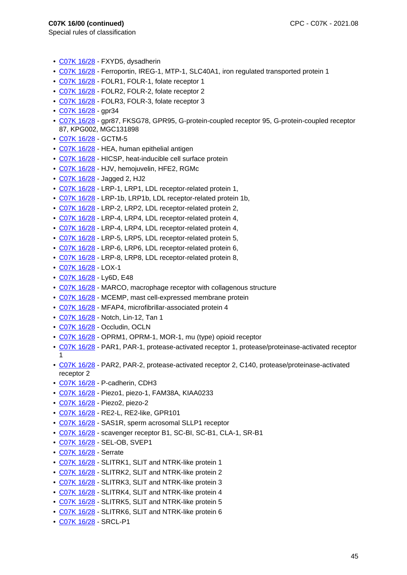- C07K 16/28 FXYD5, dysadherin
- C07K 16/28 Ferroportin, IREG-1, MTP-1, SLC40A1, iron regulated transported protein 1
- C07K 16/28 FOLR1, FOLR-1, folate receptor 1
- C07K 16/28 FOLR2, FOLR-2, folate receptor 2
- C07K 16/28 FOLR3, FOLR-3, folate receptor 3
- C07K 16/28 gpr34
- C07K 16/28 gpr87, FKSG78, GPR95, G-protein-coupled receptor 95, G-protein-coupled receptor 87, KPG002, MGC131898
- C07K 16/28 GCTM-5
- C07K 16/28 HEA, human epithelial antigen
- C07K 16/28 HICSP, heat-inducible cell surface protein
- C07K 16/28 HJV, hemojuvelin, HFE2, RGMc
- C07K 16/28 Jagged 2, HJ2
- C07K 16/28 LRP-1, LRP1, LDL receptor-related protein 1,
- C07K 16/28 LRP-1b, LRP1b, LDL receptor-related protein 1b,
- C07K 16/28 LRP-2, LRP2, LDL receptor-related protein 2,
- C07K 16/28 LRP-4, LRP4, LDL receptor-related protein 4,
- C07K 16/28 LRP-4, LRP4, LDL receptor-related protein 4,
- C07K 16/28 LRP-5, LRP5, LDL receptor-related protein 5,
- C07K 16/28 LRP-6, LRP6, LDL receptor-related protein 6,
- C07K 16/28 LRP-8, LRP8, LDL receptor-related protein 8,
- C07K 16/28 LOX-1
- C07K 16/28 Ly6D, E48
- C07K 16/28 MARCO, macrophage receptor with collagenous structure
- C07K 16/28 MCEMP, mast cell-expressed membrane protein
- C07K 16/28 MFAP4, microfibrillar-associated protein 4
- C07K 16/28 Notch, Lin-12, Tan 1
- C07K 16/28 Occludin, OCLN
- C07K 16/28 OPRM1, OPRM-1, MOR-1, mu (type) opioid receptor
- C07K 16/28 PAR1, PAR-1, protease-activated receptor 1, protease/proteinase-activated receptor 1
- C07K 16/28 PAR2, PAR-2, protease-activated receptor 2, C140, protease/proteinase-activated receptor 2
- C07K 16/28 P-cadherin, CDH3
- C07K 16/28 Piezo1, piezo-1, FAM38A, KIAA0233
- C07K 16/28 Piezo2, piezo-2
- C07K 16/28 RE2-L, RE2-like, GPR101
- C07K 16/28 SAS1R, sperm acrosomal SLLP1 receptor
- C07K 16/28 scavenger receptor B1, SC-BI, SC-B1, CLA-1, SR-B1
- C07K 16/28 SEL-OB, SVEP1
- C07K 16/28 Serrate
- C07K 16/28 SLITRK1, SLIT and NTRK-like protein 1
- C07K 16/28 SLITRK2, SLIT and NTRK-like protein 2
- C07K 16/28 SLITRK3, SLIT and NTRK-like protein 3
- C07K 16/28 SLITRK4, SLIT and NTRK-like protein 4
- C07K 16/28 SLITRK5, SLIT and NTRK-like protein 5
- C07K 16/28 SLITRK6, SLIT and NTRK-like protein 6
- C07K 16/28 SRCL-P1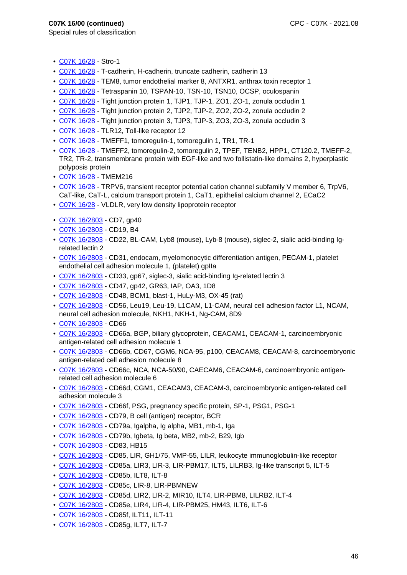- C07K 16/28 Stro-1
- C07K 16/28 T-cadherin, H-cadherin, truncate cadherin, cadherin 13
- C07K 16/28 TEM8, tumor endothelial marker 8, ANTXR1, anthrax toxin receptor 1
- C07K 16/28 Tetraspanin 10, TSPAN-10, TSN-10, TSN10, OCSP, oculospanin
- C07K 16/28 Tight junction protein 1, TJP1, TJP-1, ZO1, ZO-1, zonula occludin 1
- C07K 16/28 Tight junction protein 2, TJP2, TJP-2, ZO2, ZO-2, zonula occludin 2
- C07K 16/28 Tight junction protein 3, TJP3, TJP-3, ZO3, ZO-3, zonula occludin 3
- C07K 16/28 TLR12, Toll-like receptor 12
- C07K 16/28 TMEFF1, tomoregulin-1, tomoregulin 1, TR1, TR-1
- C07K 16/28 TMEFF2, tomoregulin-2, tomoregulin 2, TPEF, TENB2, HPP1, CT120.2, TMEFF-2, TR2, TR-2, transmembrane protein with EGF-like and two follistatin-like domains 2, hyperplastic polyposis protein
- C07K 16/28 TMEM216
- C07K 16/28 TRPV6, transient receptor potential cation channel subfamily V member 6, TrpV6, CaT-like, CaT-L, calcium transport protein 1, CaT1, epithelial calcium channel 2, ECaC2
- C07K 16/28 VLDLR, very low density lipoprotein receptor
- C07K 16/2803 CD7, gp40
- C07K 16/2803 CD19, B4
- C07K 16/2803 CD22, BL-CAM, Lyb8 (mouse), Lyb-8 (mouse), siglec-2, sialic acid-binding Igrelated lectin 2
- C07K 16/2803 CD31, endocam, myelomonocytic differentiation antigen, PECAM-1, platelet endothelial cell adhesion molecule 1, (platelet) gplla
- C07K 16/2803 CD33, gp67, siglec-3, sialic acid-binding Ig-related lectin 3
- C07K 16/2803 CD47, gp42, GR63, IAP, OA3, 1D8
- C07K 16/2803 CD48, BCM1, blast-1, HuLy-M3, OX-45 (rat)
- C07K 16/2803 CD56, Leu19, Leu-19, L1CAM, L1-CAM, neural cell adhesion factor L1, NCAM, neural cell adhesion molecule, NKH1, NKH-1, Ng-CAM, 8D9
- C07K 16/2803 CD66
- C07K 16/2803 CD66a, BGP, biliary glycoprotein, CEACAM1, CEACAM-1, carcinoembryonic antigen-related cell adhesion molecule 1
- C07K 16/2803 CD66b, CD67, CGM6, NCA-95, p100, CEACAM8, CEACAM-8, carcinoembryonic antigen-related cell adhesion molecule 8
- C07K 16/2803 CD66c, NCA, NCA-50/90, CAECAM6, CEACAM-6, carcinoembryonic antigenrelated cell adhesion molecule 6
- C07K 16/2803 CD66d, CGM1, CEACAM3, CEACAM-3, carcinoembryonic antigen-related cell adhesion molecule 3
- C07K 16/2803 CD66f, PSG, pregnancy specific protein, SP-1, PSG1, PSG-1
- C07K 16/2803 CD79, B cell (antigen) receptor, BCR
- C07K 16/2803 CD79a, Igalpha, Ig alpha, MB1, mb-1, Iga
- C07K 16/2803 CD79b, Igbeta, Ig beta, MB2, mb-2, B29, Igb
- C07K 16/2803 CD83, HB15
- C07K 16/2803 CD85, LIR, GH1/75, VMP-55, LILR, leukocyte immunoglobulin-like receptor
- C07K 16/2803 CD85a, LIR3, LIR-3, LIR-PBM17, ILT5, LILRB3, Ig-like transcript 5, ILT-5
- C07K 16/2803 CD85b, ILT8, ILT-8
- C07K 16/2803 CD85c, LIR-8, LIR-PBMNEW
- C07K 16/2803 CD85d, LIR2, LIR-2, MIR10, ILT4, LIR-PBM8, LILRB2, ILT-4
- C07K 16/2803 CD85e, LIR4, LIR-4, LIR-PBM25, HM43, ILT6, ILT-6
- C07K 16/2803 CD85f, ILT11, ILT-11
- C07K 16/2803 CD85g, ILT7, ILT-7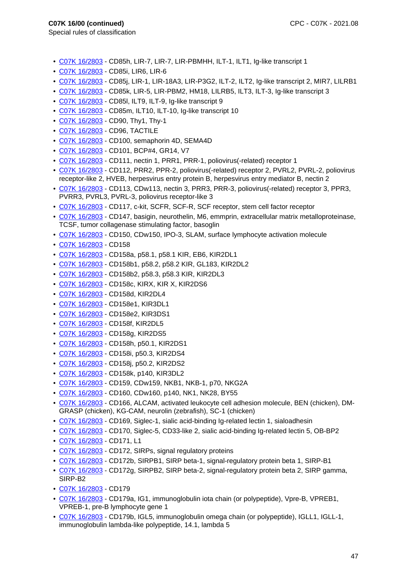- C07K 16/2803 CD85h, LIR-7, LIR-7, LIR-PBMHH, ILT-1, ILT1, Ig-like transcript 1
- C07K 16/2803 CD85i, LIR6, LIR-6
- C07K 16/2803 CD85j, LIR-1, LIR-18A3, LIR-P3G2, ILT-2, ILT2, Ig-like transcript 2, MIR7, LILRB1
- C07K 16/2803 CD85k, LIR-5, LIR-PBM2, HM18, LILRB5, ILT3, ILT-3, Ig-like transcript 3
- C07K 16/2803 CD85l, ILT9, ILT-9, Ig-like transcript 9
- C07K 16/2803 CD85m, ILT10, ILT-10, Ig-like transcript 10
- C07K 16/2803 CD90, Thy1, Thy-1
- C07K 16/2803 CD96, TACTILE
- C07K 16/2803 CD100, semaphorin 4D, SEMA4D
- C07K 16/2803 CD101, BCP#4, GR14, V7
- C07K 16/2803 CD111, nectin 1, PRR1, PRR-1, poliovirus(-related) receptor 1
- C07K 16/2803 CD112, PRR2, PPR-2, poliovirus(-related) receptor 2, PVRL2, PVRL-2, poliovirus receptor-like 2, HVEB, herpesvirus entry protein B, herpesvirus entry mediator B, nectin 2
- C07K 16/2803 CD113, CDw113, nectin 3, PRR3, PRR-3, poliovirus(-related) receptor 3, PPR3, PVRR3, PVRL3, PVRL-3, poliovirus receptor-like 3
- C07K 16/2803 CD117, c-kit, SCFR, SCF-R, SCF receptor, stem cell factor receptor
- C07K 16/2803 CD147, basigin, neurothelin, M6, emmprin, extracellular matrix metalloproteinase, TCSF, tumor collagenase stimulating factor, basoglin
- C07K 16/2803 CD150, CDw150, IPO-3, SLAM, surface lymphocyte activation molecule
- C07K 16/2803 CD158
- C07K 16/2803 CD158a, p58.1, p58.1 KIR, EB6, KIR2DL1
- C07K 16/2803 CD158b1, p58.2, p58.2 KIR, GL183, KIR2DL2
- C07K 16/2803 CD158b2, p58.3, p58.3 KIR, KIR2DL3
- C07K 16/2803 CD158c, KIRX, KIR X, KIR2DS6
- C07K 16/2803 CD158d, KIR2DL4
- C07K 16/2803 CD158e1, KIR3DL1
- C07K 16/2803 CD158e2, KIR3DS1
- C07K 16/2803 CD158f, KIR2DL5
- C07K 16/2803 CD158g, KIR2DS5
- C07K 16/2803 CD158h, p50.1, KIR2DS1
- C07K 16/2803 CD158i, p50.3, KIR2DS4
- C07K 16/2803 CD158j, p50.2, KIR2DS2
- C07K 16/2803 CD158k, p140, KIR3DL2
- C07K 16/2803 CD159, CDw159, NKB1, NKB-1, p70, NKG2A
- C07K 16/2803 CD160, CDw160, p140, NK1, NK28, BY55
- C07K 16/2803 CD166, ALCAM, activated leukocyte cell adhesion molecule, BEN (chicken), DM-GRASP (chicken), KG-CAM, neurolin (zebrafish), SC-1 (chicken)
- C07K 16/2803 CD169, Siglec-1, sialic acid-binding Ig-related lectin 1, sialoadhesin
- C07K 16/2803 CD170, Siglec-5, CD33-like 2, sialic acid-binding Ig-related lectin 5, OB-BP2
- C07K 16/2803 CD171, L1
- C07K 16/2803 CD172, SIRPs, signal regulatory proteins
- C07K 16/2803 CD172b, SIRPB1, SIRP beta-1, signal-regulatory protein beta 1, SIRP-B1
- C07K 16/2803 CD172g, SIRPB2, SIRP beta-2, signal-regulatory protein beta 2, SIRP gamma, SIRP-B2
- C07K 16/2803 CD179
- C07K 16/2803 CD179a, IG1, immunoglobulin iota chain (or polypeptide), Vpre-B, VPREB1, VPREB-1, pre-B lymphocyte gene 1
- C07K 16/2803 CD179b, IGL5, immunoglobulin omega chain (or polypeptide), IGLL1, IGLL-1, immunoglobulin lambda-like polypeptide, 14.1, lambda 5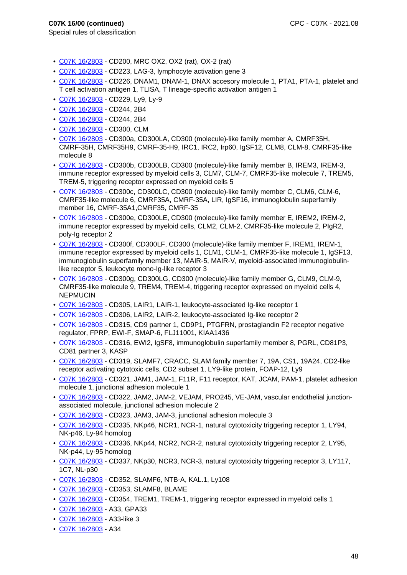- C07K 16/2803 CD200, MRC OX2, OX2 (rat), OX-2 (rat)
- C07K 16/2803 CD223, LAG-3, lymphocyte activation gene 3
- C07K 16/2803 CD226, DNAM1, DNAM-1, DNAX accesory molecule 1, PTA1, PTA-1, platelet and T cell activation antigen 1, TLISA, T lineage-specific activation antigen 1
- C07K 16/2803 CD229, Ly9, Ly-9
- C07K 16/2803 CD244, 2B4
- C07K 16/2803 CD244, 2B4
- C07K 16/2803 CD300, CLM
- C07K 16/2803 CD300a, CD300LA, CD300 (molecule)-like family member A, CMRF35H, CMRF-35H, CMRF35H9, CMRF-35-H9, IRC1, IRC2, Irp60, IgSF12, CLM8, CLM-8, CMRF35-like molecule 8
- C07K 16/2803 CD300b, CD300LB, CD300 (molecule)-like family member B, IREM3, IREM-3, immune receptor expressed by myeloid cells 3, CLM7, CLM-7, CMRF35-like molecule 7, TREM5, TREM-5, triggering receptor expressed on myeloid cells 5
- C07K 16/2803 CD300c, CD300LC, CD300 (molecule)-like family member C, CLM6, CLM-6, CMRF35-like molecule 6, CMRF35A, CMRF-35A, LIR, IgSF16, immunoglobulin superfamily member 16, CMRF-35A1,CMRF35, CMRF-35
- C07K 16/2803 CD300e, CD300LE, CD300 (molecule)-like family member E, IREM2, IREM-2, immune receptor expressed by myeloid cells, CLM2, CLM-2, CMRF35-like molecule 2, PIgR2, poly-Ig receptor 2
- C07K 16/2803 CD300f, CD300LF, CD300 (molecule)-like family member F, IREM1, IREM-1, immune receptor expressed by myeloid cells 1, CLM1, CLM-1, CMRF35-like molecule 1, IgSF13, immunoglobulin superfamily member 13, MAIR-5, MAIR-V, myeloid-associated immunoglobulinlike receptor 5, leukocyte mono-Ig-like receptor 3
- C07K 16/2803 CD300g, CD300LG, CD300 (molecule)-like family member G, CLM9, CLM-9, CMRF35-like molecule 9, TREM4, TREM-4, triggering receptor expressed on myeloid cells 4, NEPMUCIN
- C07K 16/2803 CD305, LAIR1, LAIR-1, leukocyte-associated Ig-like receptor 1
- C07K 16/2803 CD306, LAIR2, LAIR-2, leukocyte-associated Ig-like receptor 2
- C07K 16/2803 CD315, CD9 partner 1, CD9P1, PTGFRN, prostaglandin F2 receptor negative regulator, FPRP, EWI-F, SMAP-6, FLJ11001, KIAA1436
- C07K 16/2803 CD316, EWI2, IgSF8, immunoglobulin superfamily member 8, PGRL, CD81P3, CD81 partner 3, KASP
- C07K 16/2803 CD319, SLAMF7, CRACC, SLAM family member 7, 19A, CS1, 19A24, CD2-like receptor activating cytotoxic cells, CD2 subset 1, LY9-like protein, FOAP-12, Ly9
- C07K 16/2803 CD321, JAM1, JAM-1, F11R, F11 receptor, KAT, JCAM, PAM-1, platelet adhesion molecule 1, junctional adhesion molecule 1
- C07K 16/2803 CD322, JAM2, JAM-2, VEJAM, PRO245, VE-JAM, vascular endothelial junctionassociated molecule, junctional adhesion molecule 2
- C07K 16/2803 CD323, JAM3, JAM-3, junctional adhesion molecule 3
- C07K 16/2803 CD335, NKp46, NCR1, NCR-1, natural cytotoxicity triggering receptor 1, LY94, NK-p46, Ly-94 homolog
- C07K 16/2803 CD336, NKp44, NCR2, NCR-2, natural cytotoxicity triggering receptor 2, LY95, NK-p44, Ly-95 homolog
- C07K 16/2803 CD337, NKp30, NCR3, NCR-3, natural cytotoxicity triggering receptor 3, LY117, 1C7, NL-p30
- C07K 16/2803 CD352, SLAMF6, NTB-A, KAL.1, Ly108
- C07K 16/2803 CD353, SLAMF8, BLAME
- C07K 16/2803 CD354, TREM1, TREM-1, triggering receptor expressed in myeloid cells 1
- C07K 16/2803 A33, GPA33
- C07K 16/2803 A33-like 3
- C07K 16/2803 A34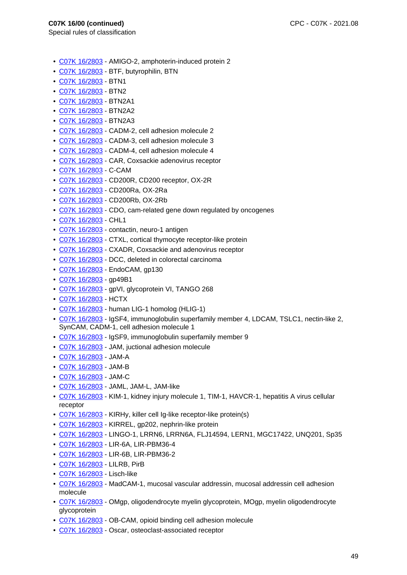- C07K 16/2803 AMIGO-2, amphoterin-induced protein 2
- C07K 16/2803 BTF, butyrophilin, BTN
- C07K 16/2803 BTN1
- C07K 16/2803 BTN2
- C07K 16/2803 BTN2A1
- C07K 16/2803 BTN2A2
- C07K 16/2803 BTN2A3
- C07K 16/2803 CADM-2, cell adhesion molecule 2
- C07K 16/2803 CADM-3, cell adhesion molecule 3
- C07K 16/2803 CADM-4, cell adhesion molecule 4
- C07K 16/2803 CAR, Coxsackie adenovirus receptor
- C07K 16/2803 C-CAM
- C07K 16/2803 CD200R, CD200 receptor, OX-2R
- C07K 16/2803 CD200Ra, OX-2Ra
- C07K 16/2803 CD200Rb, OX-2Rb
- C07K 16/2803 CDO, cam-related gene down regulated by oncogenes
- C07K 16/2803 CHL1
- C07K 16/2803 contactin, neuro-1 antigen
- C07K 16/2803 CTXL, cortical thymocyte receptor-like protein
- C07K 16/2803 CXADR, Coxsackie and adenovirus receptor
- C07K 16/2803 DCC, deleted in colorectal carcinoma
- C07K 16/2803 EndoCAM, gp130
- C07K 16/2803 gp49B1
- C07K 16/2803 gpVI, glycoprotein VI, TANGO 268
- C07K 16/2803 HCTX
- C07K 16/2803 human LIG-1 homolog (HLIG-1)
- C07K 16/2803 IgSF4, immunoglobulin superfamily member 4, LDCAM, TSLC1, nectin-like 2, SynCAM, CADM-1, cell adhesion molecule 1
- C07K 16/2803 IgSF9, immunoglobulin superfamily member 9
- C07K 16/2803 JAM, juctional adhesion molecule
- C07K 16/2803 JAM-A
- C07K 16/2803 JAM-B
- C07K 16/2803 JAM-C
- C07K 16/2803 JAML, JAM-L, JAM-like
- C07K 16/2803 KIM-1, kidney injury molecule 1, TIM-1, HAVCR-1, hepatitis A virus cellular receptor
- C07K 16/2803 KIRHy, killer cell Ig-like receptor-like protein(s)
- C07K 16/2803 KIRREL, gp202, nephrin-like protein
- C07K 16/2803 LINGO-1, LRRN6, LRRN6A, FLJ14594, LERN1, MGC17422, UNQ201, Sp35
- C07K 16/2803 LIR-6A, LIR-PBM36-4
- C07K 16/2803 LIR-6B, LIR-PBM36-2
- C07K 16/2803 LILRB, PirB
- C07K 16/2803 Lisch-like
- C07K 16/2803 MadCAM-1, mucosal vascular addressin, mucosal addressin cell adhesion molecule
- C07K 16/2803 OMgp, oligodendrocyte myelin glycoprotein, MOgp, myelin oligodendrocyte glycoprotein
- C07K 16/2803 OB-CAM, opioid binding cell adhesion molecule
- C07K 16/2803 Oscar, osteoclast-associated receptor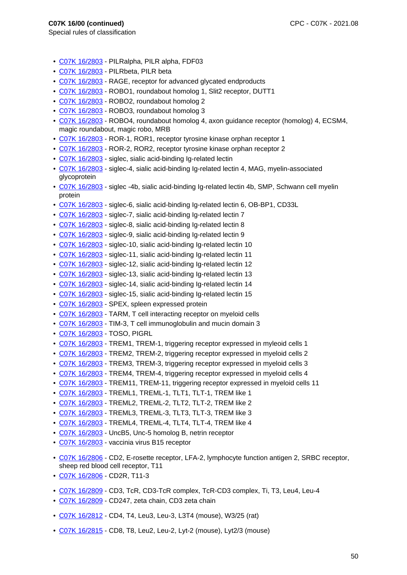- C07K 16/2803 PILRalpha, PILR alpha, FDF03
- C07K 16/2803 PILRbeta, PILR beta
- C07K 16/2803 RAGE, receptor for advanced glycated endproducts
- C07K 16/2803 ROBO1, roundabout homolog 1, Slit2 receptor, DUTT1
- C07K 16/2803 ROBO2, roundabout homolog 2
- C07K 16/2803 ROBO3, roundabout homolog 3
- C07K 16/2803 ROBO4, roundabout homolog 4, axon guidance receptor (homolog) 4, ECSM4, magic roundabout, magic robo, MRB
- C07K 16/2803 ROR-1, ROR1, receptor tyrosine kinase orphan receptor 1
- C07K 16/2803 ROR-2, ROR2, receptor tyrosine kinase orphan receptor 2
- C07K 16/2803 siglec, sialic acid-binding Ig-related lectin
- C07K 16/2803 siglec-4, sialic acid-binding Ig-related lectin 4, MAG, myelin-associated glycoprotein
- C07K 16/2803 siglec -4b, sialic acid-binding Ig-related lectin 4b, SMP, Schwann cell myelin protein
- C07K 16/2803 siglec-6, sialic acid-binding Ig-related lectin 6, OB-BP1, CD33L
- C07K 16/2803 siglec-7, sialic acid-binding Ig-related lectin 7
- C07K 16/2803 siglec-8, sialic acid-binding Ig-related lectin 8
- C07K 16/2803 siglec-9, sialic acid-binding Ig-related lectin 9
- C07K 16/2803 siglec-10, sialic acid-binding Ig-related lectin 10
- C07K 16/2803 siglec-11, sialic acid-binding Ig-related lectin 11
- C07K 16/2803 siglec-12, sialic acid-binding Ig-related lectin 12
- C07K 16/2803 siglec-13, sialic acid-binding Ig-related lectin 13
- C07K 16/2803 siglec-14, sialic acid-binding Ig-related lectin 14
- C07K 16/2803 siglec-15, sialic acid-binding Ig-related lectin 15
- C07K 16/2803 SPEX, spleen expressed protein
- C07K 16/2803 TARM, T cell interacting receptor on myeloid cells
- C07K 16/2803 TIM-3, T cell immunoglobulin and mucin domain 3
- C07K 16/2803 TOSO, PIGRL
- C07K 16/2803 TREM1, TREM-1, triggering receptor expressed in myleoid cells 1
- C07K 16/2803 TREM2, TREM-2, triggering receptor expressed in myeloid cells 2
- C07K 16/2803 TREM3, TREM-3, triggering receptor expressed in myeloid cells 3
- C07K 16/2803 TREM4, TREM-4, triggering receptor expressed in myeloid cells 4
- C07K 16/2803 TREM11, TREM-11, triggering receptor expressed in myeloid cells 11
- C07K 16/2803 TREML1, TREML-1, TLT1, TLT-1, TREM like 1
- C07K 16/2803 TREML2, TREML-2, TLT2, TLT-2, TREM like 2
- C07K 16/2803 TREML3, TREML-3, TLT3, TLT-3, TREM like 3
- C07K 16/2803 TREML4, TREML-4, TLT4, TLT-4, TREM like 4
- C07K 16/2803 UncB5, Unc-5 homolog B, netrin receptor
- C07K 16/2803 vaccinia virus B15 receptor
- C07K 16/2806 CD2, E-rosette receptor, LFA-2, lymphocyte function antigen 2, SRBC receptor, sheep red blood cell receptor, T11
- C07K 16/2806 CD2R, T11-3
- C07K 16/2809 CD3, TcR, CD3-TcR complex, TcR-CD3 complex, Ti, T3, Leu4, Leu-4
- C07K 16/2809 CD247, zeta chain, CD3 zeta chain
- C07K 16/2812 CD4, T4, Leu3, Leu-3, L3T4 (mouse), W3/25 (rat)
- C07K 16/2815 CD8, T8, Leu2, Leu-2, Lyt-2 (mouse), Lyt2/3 (mouse)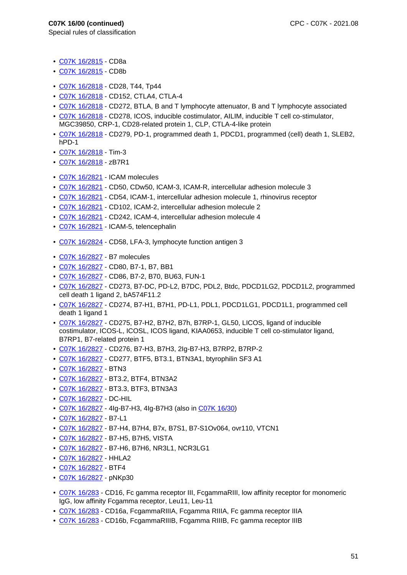- C07K 16/2815 CD8a
- C07K 16/2815 CD8b
- C07K 16/2818 CD28, T44, Tp44
- C07K 16/2818 CD152, CTLA4, CTLA-4
- C07K 16/2818 CD272, BTLA, B and T lymphocyte attenuator, B and T lymphocyte associated
- C07K 16/2818 CD278, ICOS, inducible costimulator, AILIM, inducible T cell co-stimulator, MGC39850, CRP-1, CD28-related protein 1, CLP, CTLA-4-like protein
- C07K 16/2818 CD279, PD-1, programmed death 1, PDCD1, programmed (cell) death 1, SLEB2, hPD-1
- C07K 16/2818 Tim-3
- C07K 16/2818 zB7R1
- C07K 16/2821 ICAM molecules
- C07K 16/2821 CD50, CDw50, ICAM-3, ICAM-R, intercellular adhesion molecule 3
- C07K 16/2821 CD54, ICAM-1, intercellular adhesion molecule 1, rhinovirus receptor
- C07K 16/2821 CD102, ICAM-2, intercellular adhesion molecule 2
- C07K 16/2821 CD242, ICAM-4, intercellular adhesion molecule 4
- C07K 16/2821 ICAM-5, telencephalin
- C07K 16/2824 CD58, LFA-3, lymphocyte function antigen 3
- C07K 16/2827 B7 molecules
- C07K 16/2827 CD80, B7-1, B7, BB1
- C07K 16/2827 CD86, B7-2, B70, BU63, FUN-1
- C07K 16/2827 CD273, B7-DC, PD-L2, B7DC, PDL2, Btdc, PDCD1LG2, PDCD1L2, programmed cell death 1 ligand 2, bA574F11.2
- C07K 16/2827 CD274, B7-H1, B7H1, PD-L1, PDL1, PDCD1LG1, PDCD1L1, programmed cell death 1 ligand 1
- C07K 16/2827 CD275, B7-H2, B7H2, B7h, B7RP-1, GL50, LICOS, ligand of inducible costimulator, ICOS-L, ICOSL, ICOS ligand, KIAA0653, inducible T cell co-stimulator ligand, B7RP1, B7-related protein 1
- C07K 16/2827 CD276, B7-H3, B7H3, 2Ig-B7-H3, B7RP2, B7RP-2
- C07K 16/2827 CD277, BTF5, BT3.1, BTN3A1, btyrophilin SF3 A1
- C07K 16/2827 BTN3
- C07K 16/2827 BT3.2, BTF4, BTN3A2
- C07K 16/2827 BT3.3, BTF3, BTN3A3
- C07K 16/2827 DC-HIL
- C07K 16/2827 4Ig-B7-H3, 4Ig-B7H3 (also in C07K 16/30)
- C07K 16/2827 B7-L1
- C07K 16/2827 B7-H4, B7H4, B7x, B7S1, B7-S1Ov064, ovr110, VTCN1
- C07K 16/2827 B7-H5, B7H5, VISTA
- C07K 16/2827 B7-H6, B7H6, NR3L1, NCR3LG1
- C07K 16/2827 HHLA2
- C07K 16/2827 BTF4
- C07K 16/2827 pNKp30
- C07K 16/283 CD16, Fc gamma receptor III, FcgammaRIII, low affinity receptor for monomeric IgG, low affinity Fcgamma receptor, Leu11, Leu-11
- C07K 16/283 CD16a, FcgammaRIIIA, Fcgamma RIIIA, Fc gamma receptor IIIA
- C07K 16/283 CD16b, FcgammaRIIIB, Fcgamma RIIIB, Fc gamma receptor IIIB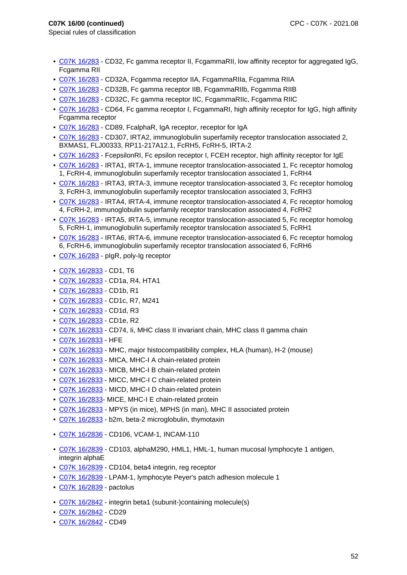- Special rules of classification
	- C07K 16/283 CD32, Fc gamma receptor II, FcgammaRII, low affinity receptor for aggregated IgG, Fcgamma RII
	- C07K 16/283 CD32A, Fcgamma receptor IIA, FcgammaRIIa, Fcgamma RIIA
	- C07K 16/283 CD32B, Fc gamma receptor IIB, FcgammaRIIb, Fcgamma RIIB
	- C07K 16/283 CD32C, Fc gamma receptor IIC, FcgammaRIIc, Fcgamma RIIC
	- C07K 16/283 CD64, Fc gamma receptor I, FcgammaRI, high affinity receptor for IgG, high affinity Fcgamma receptor
	- C07K 16/283 CD89, FcalphaR, IgA receptor, receptor for IgA
	- C07K 16/283 CD307, IRTA2, immunoglobulin superfamily receptor translocation associated 2, BXMAS1, FLJ00333, RP11-217A12.1, FcRH5, FcRH-5, IRTA-2
	- C07K 16/283 FcepsilonRI, Fc epsilon receptor I, FCEH receptor, high affinity receptor for IgE
	- C07K 16/283 IRTA1, IRTA-1, immune receptor translocation-associated 1, Fc receptor homolog 1, FcRH-4, immunoglobulin superfamily receptor translocation associated 1, FcRH4
	- C07K 16/283 IRTA3, IRTA-3, immune receptor translocation-associated 3, Fc receptor homolog 3, FcRH-3, immunoglobulin superfamily receptor translocation associated 3, FcRH3
	- C07K 16/283 IRTA4, IRTA-4, immune receptor translocation-associated 4, Fc receptor homolog 4, FcRH-2, immunoglobulin superfamily receptor translocation associated 4, FcRH2
	- C07K 16/283 IRTA5, IRTA-5, immune receptor translocation-associated 5, Fc receptor homolog 5, FcRH-1, immunoglobulin superfamily receptor translocation associated 5, FcRH1
	- C07K 16/283 IRTA6, IRTA-6, immune receptor translocation-associated 6, Fc receptor homolog 6, FcRH-6, immunoglobulin superfamily receptor translocation associated 6, FcRH6
	- C07K 16/283 pIgR, poly-Ig receptor
	- C07K 16/2833 CD1, T6
	- C07K 16/2833 CD1a, R4, HTA1
	- C07K 16/2833 CD1b, R1
	- C07K 16/2833 CD1c, R7, M241
	- C07K 16/2833 CD1d, R3
	- C07K 16/2833 CD1e, R2
- C07K 16/2833 CD74, Ii, MHC class II invariant chain, MHC class II gamma chain
- C07K 16/2833 HFE
- C07K 16/2833 MHC, major histocompatibility complex, HLA (human), H-2 (mouse)
- C07K 16/2833 MICA, MHC-I A chain-related protein
- C07K 16/2833 MICB, MHC-I B chain-related protein
- C07K 16/2833 MICC, MHC-I C chain-related protein
- C07K 16/2833 MICD, MHC-I D chain-related protein
- C07K 16/2833- MICE, MHC-I E chain-related protein
- C07K 16/2833 MPYS (in mice), MPHS (in man), MHC II associated protein
- C07K 16/2833 b2m, beta-2 microglobulin, thymotaxin
- C07K 16/2836 CD106, VCAM-1, INCAM-110
- C07K 16/2839 CD103, alphaM290, HML1, HML-1, human mucosal lymphocyte 1 antigen, integrin alphaE
- C07K 16/2839 CD104, beta4 integrin, reg receptor
- C07K 16/2839 LPAM-1, lymphocyte Peyer's patch adhesion molecule 1
- C07K 16/2839 pactolus
- C07K 16/2842 integrin beta1 (subunit-)containing molecule(s)
- C07K 16/2842 CD29
- C07K 16/2842 CD49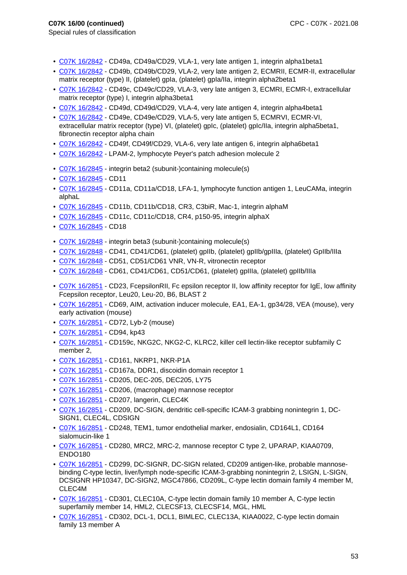- Special rules of classification
	- C07K 16/2842 CD49a, CD49a/CD29, VLA-1, very late antigen 1, integrin alpha1beta1
	- C07K 16/2842 CD49b, CD49b/CD29, VLA-2, very late antigen 2, ECMRII, ECMR-II, extracellular matrix receptor (type) II, (platelet) gpIa, (platelet) gpIa/IIa, integrin alpha2beta1
	- C07K 16/2842 CD49c, CD49c/CD29, VLA-3, very late antigen 3, ECMRI, ECMR-I, extracellular matrix receptor (type) I, integrin alpha3beta1
- C07K 16/2842 CD49d, CD49d/CD29, VLA-4, very late antigen 4, integrin alpha4beta1
- C07K 16/2842 CD49e, CD49e/CD29, VLA-5, very late antigen 5, ECMRVI, ECMR-VI, extracellular matrix receptor (type) VI, (platelet) gpIc, (platelet) gpIc/IIa, integrin alpha5beta1, fibronectin receptor alpha chain
- C07K 16/2842 CD49f, CD49f/CD29, VLA-6, very late antigen 6, integrin alpha6beta1
- C07K 16/2842 LPAM-2, lymphocyte Peyer's patch adhesion molecule 2
- C07K 16/2845 integrin beta2 (subunit-)containing molecule(s)
- C07K 16/2845 CD11
- C07K 16/2845 CD11a, CD11a/CD18, LFA-1, lymphocyte function antigen 1, LeuCAMa, integrin alphaL
- C07K 16/2845 CD11b, CD11b/CD18, CR3, C3biR, Mac-1, integrin alphaM
- C07K 16/2845 CD11c, CD11c/CD18, CR4, p150-95, integrin alphaX
- C07K 16/2845 CD18
- C07K 16/2848 integrin beta3 (subunit-)containing molecule(s)
- C07K 16/2848 CD41, CD41/CD61, (platelet) gpIIb, (platelet) gpIIb/gpIIIa, (platelet) GpIIb/IIIa
- C07K 16/2848 CD51, CD51/CD61 VNR, VN-R, vitronectin receptor
- C07K 16/2848 CD61, CD41/CD61, CD51/CD61, (platelet) gpIIIa, (platelet) gpIIb/IIIa
- C07K 16/2851 CD23, FcepsilonRII, Fc epsilon receptor II, low affinity receptor for IgE, low affinity Fcepsilon receptor, Leu20, Leu-20, B6, BLAST 2
- C07K 16/2851 CD69, AIM, activation inducer molecule, EA1, EA-1, gp34/28, VEA (mouse), very early activation (mouse)
- C07K 16/2851 CD72, Lyb-2 (mouse)
- C07K 16/2851 CD94, kp43
- C07K 16/2851 CD159c, NKG2C, NKG2-C, KLRC2, killer cell lectin-like receptor subfamily C member 2,
- C07K 16/2851 CD161, NKRP1, NKR-P1A
- C07K 16/2851 CD167a, DDR1, discoidin domain receptor 1
- C07K 16/2851 CD205, DEC-205, DEC205, LY75
- C07K 16/2851 CD206, (macrophage) mannose receptor
- C07K 16/2851 CD207, langerin, CLEC4K
- C07K 16/2851 CD209, DC-SIGN, dendritic cell-specific ICAM-3 grabbing nonintegrin 1, DC-SIGN1, CLEC4L, CDSIGN
- C07K 16/2851 CD248, TEM1, tumor endothelial marker, endosialin, CD164L1, CD164 sialomucin-like 1
- C07K 16/2851 CD280, MRC2, MRC-2, mannose receptor C type 2, UPARAP, KIAA0709, ENDO180
- C07K 16/2851 CD299, DC-SIGNR, DC-SIGN related, CD209 antigen-like, probable mannosebinding C-type lectin, liver/lymph node-specific ICAM-3-grabbing nonintegrin 2, LSIGN, L-SIGN, DCSIGNR HP10347, DC-SIGN2, MGC47866, CD209L, C-type lectin domain family 4 member M, CLEC4M
- C07K 16/2851 CD301, CLEC10A, C-type lectin domain family 10 member A, C-type lectin superfamily member 14, HML2, CLECSF13, CLECSF14, MGL, HML
- C07K 16/2851 CD302, DCL-1, DCL1, BIMLEC, CLEC13A, KIAA0022, C-type lectin domain family 13 member A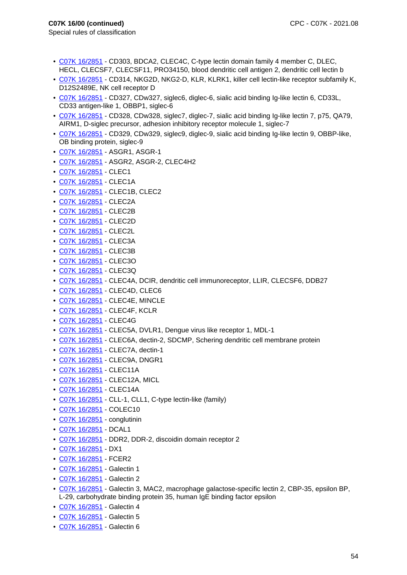- Special rules of classification
	- C07K 16/2851 CD303, BDCA2, CLEC4C, C-type lectin domain family 4 member C, DLEC, HECL, CLECSF7, CLECSF11, PRO34150, blood dendritic cell antigen 2, dendritic cell lectin b
	- C07K 16/2851 CD314, NKG2D, NKG2-D, KLR, KLRK1, killer cell lectin-like receptor subfamily K, D12S2489E, NK cell receptor D
	- C07K 16/2851 CD327, CDw327, siglec6, diglec-6, sialic acid binding Ig-like lectin 6, CD33L, CD33 antigen-like 1, OBBP1, siglec-6
	- C07K 16/2851 CD328, CDw328, siglec7, diglec-7, sialic acid binding Ig-like lectin 7, p75, QA79, AIRM1, D-siglec precursor, adhesion inhibitory receptor molecule 1, siglec-7
	- C07K 16/2851 CD329, CDw329, siglec9, diglec-9, sialic acid binding Ig-like lectin 9, OBBP-like, OB binding protein, siglec-9
	- C07K 16/2851 ASGR1, ASGR-1
	- C07K 16/2851 ASGR2, ASGR-2, CLEC4H2
	- C07K 16/2851 CLEC1
	- C07K 16/2851 CLEC1A
	- C07K 16/2851 CLEC1B, CLEC2
	- C07K 16/2851 CLEC2A
	- C07K 16/2851 CLEC2B
	- C07K 16/2851 CLEC2D
	- C07K 16/2851 CLEC2L
	- C07K 16/2851 CLEC3A
	- C07K 16/2851 CLEC3B
	- C07K 16/2851 CLEC3O
	- C07K 16/2851 CLEC3Q
	- C07K 16/2851 CLEC4A, DCIR, dendritic cell immunoreceptor, LLIR, CLECSF6, DDB27
	- C07K 16/2851 CLEC4D, CLEC6
	- C07K 16/2851 CLEC4E, MINCLE
	- C07K 16/2851 CLEC4F, KCLR
	- C07K 16/2851 CLEC4G
- C07K 16/2851 CLEC5A, DVLR1, Dengue virus like receptor 1, MDL-1
- C07K 16/2851 CLEC6A, dectin-2, SDCMP, Schering dendritic cell membrane protein
- C07K 16/2851 CLEC7A, dectin-1
- C07K 16/2851 CLEC9A, DNGR1
- C07K 16/2851 CLEC11A
- C07K 16/2851 CLEC12A, MICL
- C07K 16/2851 CLEC14A
- C07K 16/2851 CLL-1, CLL1, C-type lectin-like (family)
- C07K 16/2851 COLEC10
- C07K 16/2851 conglutinin
- C07K 16/2851 DCAL1
- C07K 16/2851 DDR2, DDR-2, discoidin domain receptor 2
- C07K 16/2851 DX1
- C07K 16/2851 FCER2
- C07K 16/2851 Galectin 1
- C07K 16/2851 Galectin 2
- C07K 16/2851 Galectin 3, MAC2, macrophage galactose-specific lectin 2, CBP-35, epsilon BP, L-29, carbohydrate binding protein 35, human IgE binding factor epsilon
- C07K 16/2851 Galectin 4
- C07K 16/2851 Galectin 5
- C07K 16/2851 Galectin 6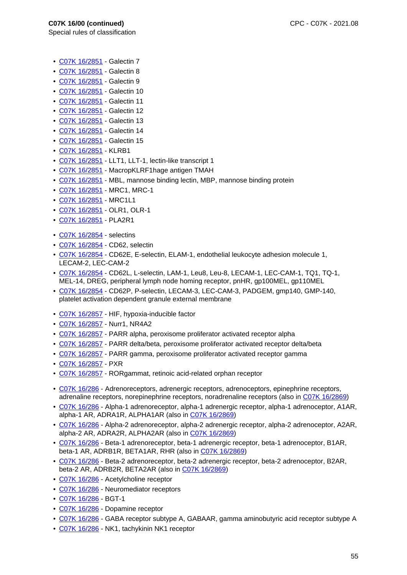- Special rules of classification
	- C07K 16/2851 Galectin 7
	- C07K 16/2851 Galectin 8
	- C07K 16/2851 Galectin 9
	- C07K 16/2851 Galectin 10
	- C07K 16/2851 Galectin 11
	- C07K 16/2851 Galectin 12
	- C07K 16/2851 Galectin 13
	- C07K 16/2851 Galectin 14
	- C07K 16/2851 Galectin 15
	- C07K 16/2851 KLRB1
	- C07K 16/2851 LLT1, LLT-1, lectin-like transcript 1
	- C07K 16/2851 MacropKLRF1hage antigen TMAH
	- C07K 16/2851 MBL, mannose binding lectin, MBP, mannose binding protein
	- C07K 16/2851 MRC1, MRC-1
	- C07K 16/2851 MRC1L1
	- C07K 16/2851 OLR1, OLR-1
	- C07K 16/2851 PLA2R1
	- C07K 16/2854 selectins
	- C07K 16/2854 CD62, selectin
	- C07K 16/2854 CD62E, E-selectin, ELAM-1, endothelial leukocyte adhesion molecule 1, LECAM-2, LEC-CAM-2
	- C07K 16/2854 CD62L, L-selectin, LAM-1, Leu8, Leu-8, LECAM-1, LEC-CAM-1, TQ1, TQ-1, MEL-14, DREG, peripheral lymph node homing receptor, pnHR, gp100MEL, gp110MEL
	- C07K 16/2854 CD62P, P-selectin, LECAM-3, LEC-CAM-3, PADGEM, gmp140, GMP-140, platelet activation dependent granule external membrane
	- C07K 16/2857 HIF, hypoxia-inducible factor
	- C07K 16/2857 Nurr1, NR4A2
	- C07K 16/2857 PARR alpha, peroxisome proliferator activated receptor alpha
	- C07K 16/2857 PARR delta/beta, peroxisome proliferator activated receptor delta/beta
- C07K 16/2857 PARR gamma, peroxisome proliferator activated receptor gamma
- C07K 16/2857 PXR
- C07K 16/2857 RORgammat, retinoic acid-related orphan receptor
- C07K 16/286 Adrenoreceptors, adrenergic receptors, adrenoceptors, epinephrine receptors, adrenaline receptors, norepinephrine receptors, noradrenaline receptors (also in C07K 16/2869)
- C07K 16/286 Alpha-1 adrenoreceptor, alpha-1 adrenergic receptor, alpha-1 adrenoceptor, A1AR, alpha-1 AR, ADRA1R, ALPHA1AR (also in C07K 16/2869)
- C07K 16/286 Alpha-2 adrenoreceptor, alpha-2 adrenergic receptor, alpha-2 adrenoceptor, A2AR, alpha-2 AR, ADRA2R, ALPHA2AR (also in C07K 16/2869)
- C07K 16/286 Beta-1 adrenoreceptor, beta-1 adrenergic receptor, beta-1 adrenoceptor, B1AR, beta-1 AR, ADRB1R, BETA1AR, RHR (also in C07K 16/2869)
- C07K 16/286 Beta-2 adrenoreceptor, beta-2 adrenergic receptor, beta-2 adrenoceptor, B2AR, beta-2 AR, ADRB2R, BETA2AR (also in C07K 16/2869)
- C07K 16/286 Acetylcholine receptor
- C07K 16/286 Neuromediator receptors
- C07K 16/286 BGT-1
- C07K 16/286 Dopamine receptor
- C07K 16/286 GABA receptor subtype A, GABAAR, gamma aminobutyric acid receptor subtype A
- C07K 16/286 NK1, tachykinin NK1 receptor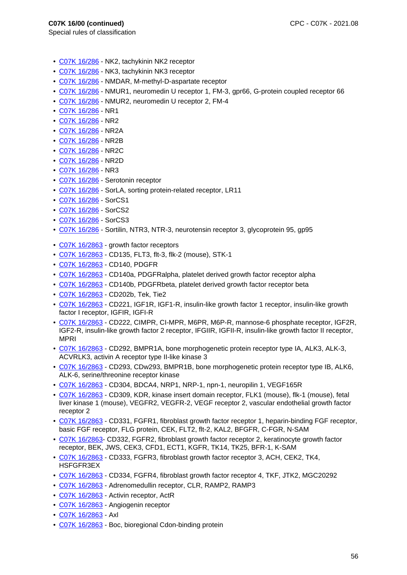- C07K 16/286 NK2, tachykinin NK2 receptor
- C07K 16/286 NK3, tachykinin NK3 receptor
- C07K 16/286 NMDAR, M-methyl-D-aspartate receptor
- C07K 16/286 NMUR1, neuromedin U receptor 1, FM-3, gpr66, G-protein coupled receptor 66
- C07K 16/286 NMUR2, neuromedin U receptor 2, FM-4
- C07K 16/286 NR1
- C07K 16/286 NR2
- C07K 16/286 NR2A
- C07K 16/286 NR2B
- C07K 16/286 NR2C
- C07K 16/286 NR2D
- C07K 16/286 NR3
- C07K 16/286 Serotonin receptor
- C07K 16/286 SorLA, sorting protein-related receptor, LR11
- C07K 16/286 SorCS1
- C07K 16/286 SorCS2
- C07K 16/286 SorCS3
- C07K 16/286 Sortilin, NTR3, NTR-3, neurotensin receptor 3, glycoprotein 95, gp95
- C07K 16/2863 growth factor receptors
- C07K 16/2863 CD135, FLT3, flt-3, flk-2 (mouse), STK-1
- C07K 16/2863 CD140, PDGFR
- C07K 16/2863 CD140a, PDGFRalpha, platelet derived growth factor receptor alpha
- C07K 16/2863 CD140b, PDGFRbeta, platelet derived growth factor receptor beta
- C07K 16/2863 CD202b, Tek, Tie2
- C07K 16/2863 CD221, IGF1R, IGF1-R, insulin-like growth factor 1 receptor, insulin-like growth factor I receptor, IGFIR, IGFI-R
- C07K 16/2863 CD222, CIMPR, CI-MPR, M6PR, M6P-R, mannose-6 phosphate receptor, IGF2R, IGF2-R, insulin-like growth factor 2 receptor, IFGIIR, IGFII-R, insulin-like growth factor II receptor, MPRI
- C07K 16/2863 CD292, BMPR1A, bone morphogenetic protein receptor type IA, ALK3, ALK-3, ACVRLK3, activin A receptor type II-like kinase 3
- C07K 16/2863 CD293, CDw293, BMPR1B, bone morphogenetic protein receptor type IB, ALK6, ALK-6, serine/threonine receptor kinase
- C07K 16/2863 CD304, BDCA4, NRP1, NRP-1, npn-1, neuropilin 1, VEGF165R
- C07K 16/2863 CD309, KDR, kinase insert domain receptor, FLK1 (mouse), flk-1 (mouse), fetal liver kinase 1 (mouse), VEGFR2, VEGFR-2, VEGF receptor 2, vascular endothelial growth factor receptor 2
- C07K 16/2863 CD331, FGFR1, fibroblast growth factor receptor 1, heparin-binding FGF receptor, basic FGF receptor, FLG protein, CEK, FLT2, flt-2, KAL2, BFGFR, C-FGR, N-SAM
- C07K 16/2863- CD332, FGFR2, fibroblast growth factor receptor 2, keratinocyte growth factor receptor, BEK, JWS, CEK3, CFD1, ECT1, KGFR, TK14, TK25, BFR-1, K-SAM
- C07K 16/2863 CD333, FGFR3, fibroblast growth factor receptor 3, ACH, CEK2, TK4, HSFGFR3EX
- C07K 16/2863 CD334, FGFR4, fibroblast growth factor receptor 4, TKF, JTK2, MGC20292
- C07K 16/2863 Adrenomedullin receptor, CLR, RAMP2, RAMP3
- C07K 16/2863 Activin receptor, ActR
- C07K 16/2863 Angiogenin receptor
- C07K 16/2863 Axl
- C07K 16/2863 Boc, bioregional Cdon-binding protein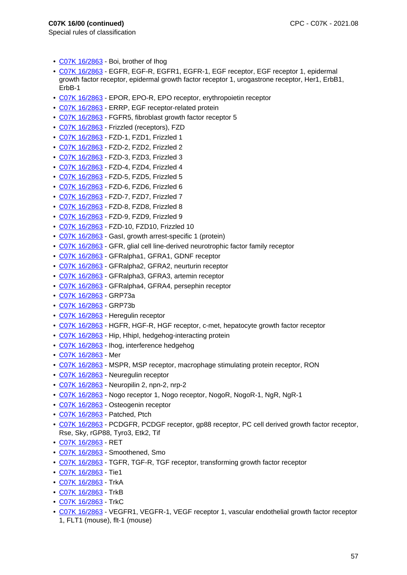- C07K 16/2863 Boi, brother of Ihog
- C07K 16/2863 EGFR, EGF-R, EGFR1, EGFR-1, EGF receptor, EGF receptor 1, epidermal growth factor receptor, epidermal growth factor receptor 1, urogastrone receptor, Her1, ErbB1, ErbB-1
- C07K 16/2863 EPOR, EPO-R, EPO receptor, erythropoietin receptor
- C07K 16/2863 ERRP, EGF receptor-related protein
- C07K 16/2863 FGFR5, fibroblast growth factor receptor 5
- C07K 16/2863 Frizzled (receptors), FZD
- C07K 16/2863 FZD-1, FZD1, Frizzled 1
- C07K 16/2863 FZD-2, FZD2, Frizzled 2
- C07K 16/2863 FZD-3, FZD3, Frizzled 3
- C07K 16/2863 FZD-4, FZD4, Frizzled 4
- C07K 16/2863 FZD-5, FZD5, Frizzled 5
- C07K 16/2863 FZD-6, FZD6, Frizzled 6
- C07K 16/2863 FZD-7, FZD7, Frizzled 7
- C07K 16/2863 FZD-8, FZD8, Frizzled 8
- C07K 16/2863 FZD-9, FZD9, Frizzled 9
- C07K 16/2863 FZD-10, FZD10, Frizzled 10
- C07K 16/2863 GasI, growth arrest-specific 1 (protein)
- C07K 16/2863 GFR, glial cell line-derived neurotrophic factor family receptor
- C07K 16/2863 GFRalpha1, GFRA1, GDNF receptor
- C07K 16/2863 GFRalpha2, GFRA2, neurturin receptor
- C07K 16/2863 GFRalpha3, GFRA3, artemin receptor
- C07K 16/2863 GFRalpha4, GFRA4, persephin receptor
- C07K 16/2863 GRP73a
- C07K 16/2863 GRP73b
- C07K 16/2863 Heregulin receptor
- C07K 16/2863 HGFR, HGF-R, HGF receptor, c-met, hepatocyte growth factor receptor
- C07K 16/2863 Hip, HhipI, hedgehog-interacting protein
- C07K 16/2863 Ihog, interference hedgehog
- C07K 16/2863 Mer
- C07K 16/2863 MSPR, MSP receptor, macrophage stimulating protein receptor, RON
- C07K 16/2863 Neuregulin receptor
- C07K 16/2863 Neuropilin 2, npn-2, nrp-2
- C07K 16/2863 Nogo receptor 1, Nogo receptor, NogoR, NogoR-1, NgR, NgR-1
- C07K 16/2863 Osteogenin receptor
- C07K 16/2863 Patched, Ptch
- C07K 16/2863 PCDGFR, PCDGF receptor, gp88 receptor, PC cell derived growth factor receptor, Rse, Sky, rGP88, Tyro3, Etk2, Tif
- C07K 16/2863 RET
- C07K 16/2863 Smoothened, Smo
- C07K 16/2863 TGFR, TGF-R, TGF receptor, transforming growth factor receptor
- C07K 16/2863 Tie1
- C07K 16/2863 TrkA
- C07K 16/2863 TrkB
- C07K 16/2863 TrkC
- C07K 16/2863 VEGFR1, VEGFR-1, VEGF receptor 1, vascular endothelial growth factor receptor 1, FLT1 (mouse), flt-1 (mouse)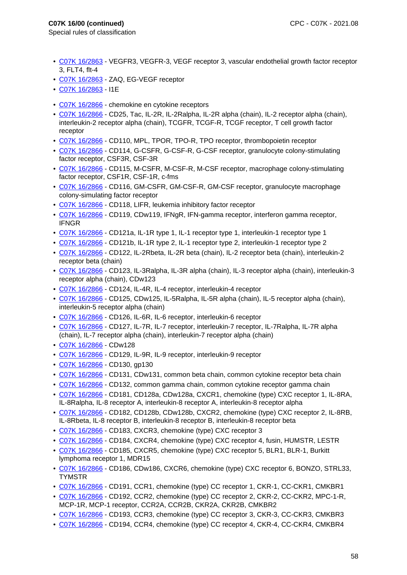- Special rules of classification
	- C07K 16/2863 VEGFR3, VEGFR-3, VEGF receptor 3, vascular endothelial growth factor receptor 3, FLT4, flt-4
	- C07K 16/2863 ZAQ, EG-VEGF receptor
	- C07K 16/2863 I1E
	- C07K 16/2866 chemokine en cytokine receptors
	- C07K 16/2866 CD25, Tac, IL-2R, IL-2Ralpha, IL-2R alpha (chain), IL-2 receptor alpha (chain), interleukin-2 receptor alpha (chain), TCGFR, TCGF-R, TCGF receptor, T cell growth factor receptor
	- C07K 16/2866 CD110, MPL, TPOR, TPO-R, TPO receptor, thrombopoietin receptor
	- C07K 16/2866 CD114, G-CSFR, G-CSF-R, G-CSF receptor, granulocyte colony-stimulating factor receptor, CSF3R, CSF-3R
	- C07K 16/2866 CD115, M-CSFR, M-CSF-R, M-CSF receptor, macrophage colony-stimulating factor receptor, CSF1R, CSF-1R, c-fms
	- C07K 16/2866 CD116, GM-CSFR, GM-CSF-R, GM-CSF receptor, granulocyte macrophage colony-simulating factor receptor
	- C07K 16/2866 CD118, LIFR, leukemia inhibitory factor receptor
	- C07K 16/2866 CD119, CDw119, IFNaR, IFN-gamma receptor, interferon gamma receptor, IFNGR
	- C07K 16/2866 CD121a, IL-1R type 1, IL-1 receptor type 1, interleukin-1 receptor type 1
	- C07K 16/2866 CD121b, IL-1R type 2, IL-1 receptor type 2, interleukin-1 receptor type 2
	- C07K 16/2866 CD122, IL-2Rbeta, IL-2R beta (chain), IL-2 receptor beta (chain), interleukin-2 receptor beta (chain)
	- C07K 16/2866 CD123, IL-3Ralpha, IL-3R alpha (chain), IL-3 receptor alpha (chain), interleukin-3 receptor alpha (chain), CDw123
	- C07K 16/2866 CD124, IL-4R, IL-4 receptor, interleukin-4 receptor
	- C07K 16/2866 CD125, CDw125, IL-5Ralpha, IL-5R alpha (chain), IL-5 receptor alpha (chain), interleukin-5 receptor alpha (chain)
	- C07K 16/2866 CD126, IL-6R, IL-6 receptor, interleukin-6 receptor
	- C07K 16/2866 CD127, IL-7R, IL-7 receptor, interleukin-7 receptor, IL-7Ralpha, IL-7R alpha (chain), IL-7 receptor alpha (chain), interleukin-7 receptor alpha (chain)
	- C07K 16/2866 CDw128
	- C07K 16/2866 CD129, IL-9R, IL-9 receptor, interleukin-9 receptor
	- C07K 16/2866 CD130, gp130
	- C07K 16/2866 CD131, CDw131, common beta chain, common cytokine receptor beta chain
	- C07K 16/2866 CD132, common gamma chain, common cytokine receptor gamma chain
	- C07K 16/2866 CD181, CD128a, CDw128a, CXCR1, chemokine (type) CXC receptor 1, IL-8RA, IL-8Ralpha, IL-8 receptor A, interleukin-8 receptor A, interleukin-8 receptor alpha
- C07K 16/2866 CD182, CD128b, CDw128b, CXCR2, chemokine (type) CXC receptor 2, IL-8RB, IL-8Rbeta, IL-8 receptor B, interleukin-8 receptor B, interleukin-8 receptor beta
- C07K 16/2866 CD183, CXCR3, chemokine (type) CXC receptor 3
- C07K 16/2866 CD184, CXCR4, chemokine (type) CXC receptor 4, fusin, HUMSTR, LESTR
- C07K 16/2866 CD185, CXCR5, chemokine (type) CXC receptor 5, BLR1, BLR-1, Burkitt lymphoma receptor 1, MDR15
- C07K 16/2866 CD186, CDw186, CXCR6, chemokine (type) CXC receptor 6, BONZO, STRL33, **TYMSTR**
- C07K 16/2866 CD191, CCR1, chemokine (type) CC receptor 1, CKR-1, CC-CKR1, CMKBR1
- C07K 16/2866 CD192, CCR2, chemokine (type) CC receptor 2, CKR-2, CC-CKR2, MPC-1-R, MCP-1R, MCP-1 receptor, CCR2A, CCR2B, CKR2A, CKR2B, CMKBR2
- C07K 16/2866 CD193, CCR3, chemokine (type) CC receptor 3, CKR-3, CC-CKR3, CMKBR3
- C07K 16/2866 CD194, CCR4, chemokine (type) CC receptor 4, CKR-4, CC-CKR4, CMKBR4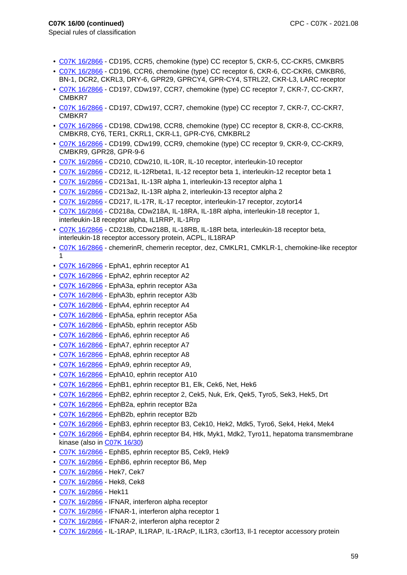- C07K 16/2866 CD195, CCR5, chemokine (type) CC receptor 5, CKR-5, CC-CKR5, CMKBR5
- C07K 16/2866 CD196, CCR6, chemokine (type) CC receptor 6, CKR-6, CC-CKR6, CMKBR6, BN-1, DCR2, CKRL3, DRY-6, GPR29, GPRCY4, GPR-CY4, STRL22, CKR-L3, LARC receptor
- C07K 16/2866 CD197, CDw197, CCR7, chemokine (type) CC receptor 7, CKR-7, CC-CKR7, CMBKR7
- C07K 16/2866 CD197, CDw197, CCR7, chemokine (type) CC receptor 7, CKR-7, CC-CKR7, CMBKR7
- C07K 16/2866 CD198, CDw198, CCR8, chemokine (type) CC receptor 8, CKR-8, CC-CKR8, CMBKR8, CY6, TER1, CKRL1, CKR-L1, GPR-CY6, CMKBRL2
- C07K 16/2866 CD199, CDw199, CCR9, chemokine (type) CC receptor 9, CKR-9, CC-CKR9, CMBKR9, GPR28, GPR-9-6
- C07K 16/2866 CD210, CDw210, IL-10R, IL-10 receptor, interleukin-10 receptor
- C07K 16/2866 CD212, IL-12Rbeta1, IL-12 receptor beta 1, interleukin-12 receptor beta 1
- C07K 16/2866 CD213a1, IL-13R alpha 1, interleukin-13 receptor alpha 1
- C07K 16/2866 CD213a2, IL-13R alpha 2, interleukin-13 receptor alpha 2
- C07K 16/2866 CD217, IL-17R, IL-17 receptor, interleukin-17 receptor, zcytor14
- C07K 16/2866 CD218a, CDw218A, IL-18RA, IL-18R alpha, interleukin-18 receptor 1, interleukin-18 receptor alpha, IL1RRP, IL-1Rrp
- C07K 16/2866 CD218b, CDw218B, IL-18RB, IL-18R beta, interleukin-18 receptor beta, interleukin-18 receptor accessory protein, ACPL, IL18RAP
- C07K 16/2866 chemerinR, chemerin receptor, dez, CMKLR1, CMKLR-1, chemokine-like receptor 1
- C07K 16/2866 EphA1, ephrin receptor A1
- C07K 16/2866 EphA2, ephrin receptor A2
- C07K 16/2866 EphA3a, ephrin receptor A3a
- C07K 16/2866 EphA3b, ephrin receptor A3b
- C07K 16/2866 EphA4, ephrin receptor A4
- C07K 16/2866 EphA5a, ephrin receptor A5a
- C07K 16/2866 EphA5b, ephrin receptor A5b
- C07K 16/2866 EphA6, ephrin receptor A6
- C07K 16/2866 EphA7, ephrin receptor A7
- C07K 16/2866 EphA8, ephrin receptor A8
- C07K 16/2866 EphA9, ephrin receptor A9,
- C07K 16/2866 EphA10, ephrin receptor A10
- C07K 16/2866 EphB1, ephrin receptor B1, Elk, Cek6, Net, Hek6
- C07K 16/2866 EphB2, ephrin receptor 2, Cek5, Nuk, Erk, Qek5, Tyro5, Sek3, Hek5, Drt
- C07K 16/2866 EphB2a, ephrin receptor B2a
- C07K 16/2866 EphB2b, ephrin receptor B2b
- C07K 16/2866 EphB3, ephrin receptor B3, Cek10, Hek2, Mdk5, Tyro6, Sek4, Hek4, Mek4
- C07K 16/2866 EphB4, ephrin receptor B4, Htk, Myk1, Mdk2, Tyro11, hepatoma transmembrane kinase (also in C07K 16/30)
- C07K 16/2866 EphB5, ephrin receptor B5, Cek9, Hek9
- C07K 16/2866 EphB6, ephrin receptor B6, Mep
- C07K 16/2866 Hek7, Cek7
- C07K 16/2866 Hek8, Cek8
- C07K 16/2866 Hek11
- C07K 16/2866 IFNAR, interferon alpha receptor
- C07K 16/2866 IFNAR-1, interferon alpha receptor 1
- C07K 16/2866 IFNAR-2, interferon alpha receptor 2
- C07K 16/2866 IL-1RAP, IL1RAP, IL-1RAcP, IL1R3, c3orf13, Il-1 receptor accessory protein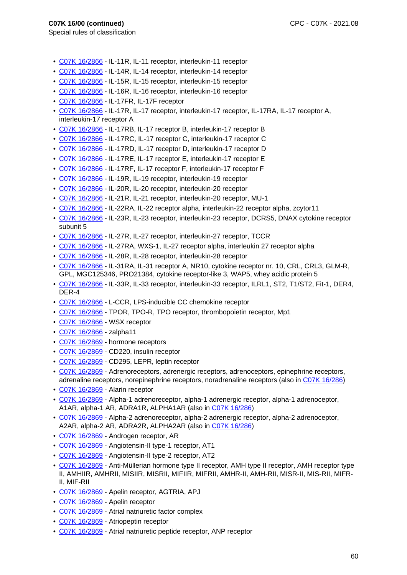- Special rules of classification
	- C07K 16/2866 IL-11R, IL-11 receptor, interleukin-11 receptor
	- C07K 16/2866 IL-14R, IL-14 receptor, interleukin-14 receptor
	- C07K 16/2866 IL-15R, IL-15 receptor, interleukin-15 receptor
	- C07K 16/2866 IL-16R, IL-16 receptor, interleukin-16 receptor
	- C07K 16/2866 IL-17FR, IL-17F receptor
	- C07K 16/2866 IL-17R, IL-17 receptor, interleukin-17 receptor, IL-17RA, IL-17 receptor A, interleukin-17 receptor A
	- C07K 16/2866 IL-17RB, IL-17 receptor B, interleukin-17 receptor B
	- C07K 16/2866 IL-17RC, IL-17 receptor C, interleukin-17 receptor C
	- C07K 16/2866 IL-17RD, IL-17 receptor D, interleukin-17 receptor D
	- C07K 16/2866 IL-17RE, IL-17 receptor E, interleukin-17 receptor E
	- C07K 16/2866 IL-17RF, IL-17 receptor F, interleukin-17 receptor F
	- C07K 16/2866 IL-19R, IL-19 receptor, interleukin-19 receptor
	- C07K 16/2866 IL-20R, IL-20 receptor, interleukin-20 receptor
	- C07K 16/2866 IL-21R, IL-21 receptor, interleukin-20 receptor, MU-1
	- C07K 16/2866 IL-22RA, IL-22 receptor alpha, interleukin-22 receptor alpha, zcytor11
	- C07K 16/2866 IL-23R, IL-23 receptor, interleukin-23 receptor, DCRS5, DNAX cytokine receptor subunit 5
	- C07K 16/2866 IL-27R, IL-27 receptor, interleukin-27 receptor, TCCR
	- C07K 16/2866 IL-27RA, WXS-1, IL-27 receptor alpha, interleukin 27 receptor alpha
	- C07K 16/2866 IL-28R, IL-28 receptor, interleukin-28 receptor
	- C07K 16/2866 IL-31RA, IL-31 receptor A, NR10, cytokine receptor nr. 10, CRL, CRL3, GLM-R, GPL, MGC125346, PRO21384, cytokine receptor-like 3, WAP5, whey acidic protein 5
	- C07K 16/2866 IL-33R, IL-33 receptor, interleukin-33 receptor, ILRL1, ST2, T1/ST2, Fit-1, DER4, DER-4
	- C07K 16/2866 L-CCR, LPS-inducible CC chemokine receptor
	- C07K 16/2866 TPOR, TPO-R, TPO receptor, thrombopoietin receptor, Mp1
	- C07K 16/2866 WSX receptor
	- C07K 16/2866 zalpha11
	- C07K 16/2869 hormone receptors
	- C07K 16/2869 CD220, insulin receptor
	- C07K 16/2869 CD295, LEPR, leptin receptor
	- C07K 16/2869 Adrenoreceptors, adrenergic receptors, adrenoceptors, epinephrine receptors, adrenaline receptors, norepinephrine receptors, noradrenaline receptors (also in C07K 16/286)
	- C07K 16/2869 Alarin receptor
	- C07K 16/2869 Alpha-1 adrenoreceptor, alpha-1 adrenergic receptor, alpha-1 adrenoceptor, A1AR, alpha-1 AR, ADRA1R, ALPHA1AR (also in C07K 16/286)
	- C07K 16/2869 Alpha-2 adrenoreceptor, alpha-2 adrenergic receptor, alpha-2 adrenoceptor, A2AR, alpha-2 AR, ADRA2R, ALPHA2AR (also in C07K 16/286)
	- C07K 16/2869 Androgen receptor, AR
	- C07K 16/2869 Angiotensin-II type-1 receptor, AT1
	- C07K 16/2869 Angiotensin-II type-2 receptor, AT2
	- C07K 16/2869 Anti-Müllerian hormone type II receptor, AMH type II receptor, AMH receptor type II, AMHIIR, AMHRII, MISIIR, MISRII, MIFIIR, MIFRII, AMHR-II, AMH-RII, MISR-II, MIS-RII, MIFR-II, MIF-RII
	- C07K 16/2869 Apelin receptor, AGTRIA, APJ
	- C07K 16/2869 Apelin receptor
	- C07K 16/2869 Atrial natriuretic factor complex
	- C07K 16/2869 Atriopeptin receptor
	- C07K 16/2869 Atrial natriuretic peptide receptor, ANP receptor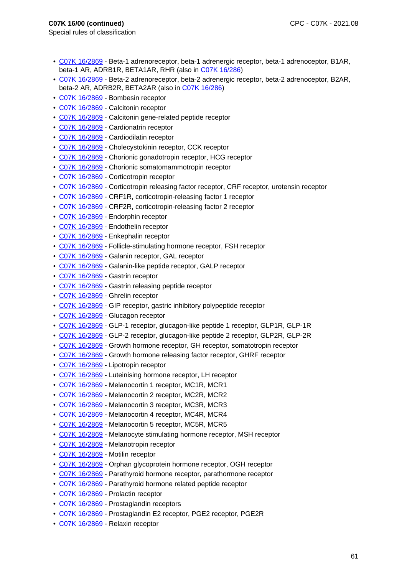- C07K 16/2869 Beta-1 adrenoreceptor, beta-1 adrenergic receptor, beta-1 adrenoceptor, B1AR, beta-1 AR, ADRB1R, BETA1AR, RHR (also in C07K 16/286)
- C07K 16/2869 Beta-2 adrenoreceptor, beta-2 adrenergic receptor, beta-2 adrenoceptor, B2AR, beta-2 AR, ADRB2R, BETA2AR (also in C07K 16/286)
- C07K 16/2869 Bombesin receptor
- C07K 16/2869 Calcitonin receptor
- C07K 16/2869 Calcitonin gene-related peptide receptor
- C07K 16/2869 Cardionatrin receptor
- C07K 16/2869 Cardiodilatin receptor
- C07K 16/2869 Cholecystokinin receptor, CCK receptor
- C07K 16/2869 Chorionic gonadotropin receptor, HCG receptor
- C07K 16/2869 Chorionic somatomammotropin receptor
- C07K 16/2869 Corticotropin receptor
- C07K 16/2869 Corticotropin releasing factor receptor, CRF receptor, urotensin receptor
- C07K 16/2869 CRF1R, corticotropin-releasing factor 1 receptor
- C07K 16/2869 CRF2R, corticotropin-releasing factor 2 receptor
- C07K 16/2869 Endorphin receptor
- C07K 16/2869 Endothelin receptor
- C07K 16/2869 Enkephalin receptor
- C07K 16/2869 Follicle-stimulating hormone receptor, FSH receptor
- C07K 16/2869 Galanin receptor, GAL receptor
- C07K 16/2869 Galanin-like peptide receptor, GALP receptor
- C07K 16/2869 Gastrin receptor
- C07K 16/2869 Gastrin releasing peptide receptor
- C07K 16/2869 Ghrelin receptor
- C07K 16/2869 GIP receptor, gastric inhibitory polypeptide receptor
- C07K 16/2869 Glucagon receptor
- C07K 16/2869 GLP-1 receptor, glucagon-like peptide 1 receptor, GLP1R, GLP-1R
- C07K 16/2869 GLP-2 receptor, glucagon-like peptide 2 receptor, GLP2R, GLP-2R
- C07K 16/2869 Growth hormone receptor, GH receptor, somatotropin receptor
- C07K 16/2869 Growth hormone releasing factor receptor, GHRF receptor
- C07K 16/2869 Lipotropin receptor
- C07K 16/2869 Luteinising hormone receptor, LH receptor
- C07K 16/2869 Melanocortin 1 receptor, MC1R, MCR1
- C07K 16/2869 Melanocortin 2 receptor, MC2R, MCR2
- C07K 16/2869 Melanocortin 3 receptor, MC3R, MCR3
- C07K 16/2869 Melanocortin 4 receptor, MC4R, MCR4
- C07K 16/2869 Melanocortin 5 receptor, MC5R, MCR5
- C07K 16/2869 Melanocyte stimulating hormone receptor, MSH receptor
- C07K 16/2869 Melanotropin receptor
- C07K 16/2869 Motilin receptor
- C07K 16/2869 Orphan glycoprotein hormone receptor, OGH receptor
- C07K 16/2869 Parathyroid hormone receptor, parathormone receptor
- C07K 16/2869 Parathyroid hormone related peptide receptor
- C07K 16/2869 Prolactin receptor
- C07K 16/2869 Prostaglandin receptors
- C07K 16/2869 Prostaglandin E2 receptor, PGE2 receptor, PGE2R
- C07K 16/2869 Relaxin receptor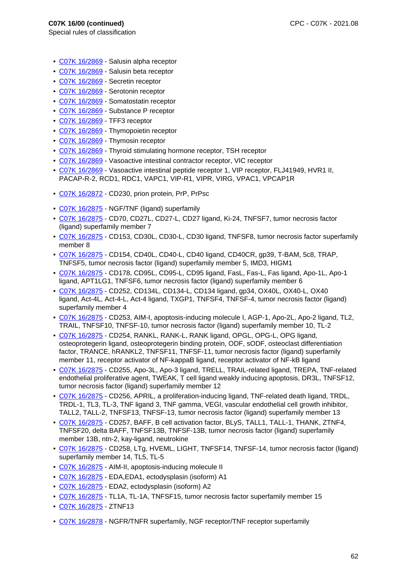- C07K 16/2869 Salusin alpha receptor
- C07K 16/2869 Salusin beta receptor
- C07K 16/2869 Secretin receptor
- C07K 16/2869 Serotonin receptor
- C07K 16/2869 Somatostatin receptor
- C07K 16/2869 Substance P receptor
- C07K 16/2869 TFF3 receptor
- C07K 16/2869 Thymopoietin receptor
- C07K 16/2869 Thymosin receptor
- C07K 16/2869 Thyroid stimulating hormone receptor, TSH receptor
- C07K 16/2869 Vasoactive intestinal contractor receptor, VIC receptor
- C07K 16/2869 Vasoactive intestinal peptide receptor 1, VIP receptor, FLJ41949, HVR1 II, PACAP-R-2, RCD1, RDC1, VAPC1, VIP-R1, VIPR, VIRG, VPAC1, VPCAP1R
- C07K 16/2872 CD230, prion protein, PrP, PrPsc
- C07K 16/2875 NGF/TNF (ligand) superfamily
- C07K 16/2875 CD70, CD27L, CD27-L, CD27 ligand, Ki-24, TNFSF7, tumor necrosis factor (ligand) superfamily member 7
- C07K 16/2875 CD153, CD30L, CD30-L, CD30 ligand, TNFSF8, tumor necrosis factor superfamily member 8
- C07K 16/2875 CD154, CD40L, CD40-L, CD40 ligand, CD40CR, gp39, T-BAM, 5c8, TRAP, TNFSF5, tumor necrosis factor (ligand) superfamily member 5, IMD3, HIGM1
- C07K 16/2875 CD178, CD95L, CD95-L, CD95 ligand, FasL, Fas-L, Fas ligand, Apo-1L, Apo-1 ligand, APT1LG1, TNFSF6, tumor necrosis factor (ligand) superfamily member 6
- C07K 16/2875 CD252, CD134L, CD134-L, CD134 ligand, gp34, OX40L, OX40-L, OX40 ligand, Act-4L, Act-4-L, Act-4 ligand, TXGP1, TNFSF4, TNFSF-4, tumor necrosis factor (ligand) superfamily member 4
- C07K 16/2875 CD253, AIM-I, apoptosis-inducing molecule I, AGP-1, Apo-2L, Apo-2 ligand, TL2, TRAIL, TNFSF10, TNFSF-10, tumor necrosis factor (ligand) superfamily member 10, TL-2
- C07K 16/2875 CD254, RANKL, RANK-L, RANK ligand, OPGL, OPG-L, OPG ligand, osteoprotegerin ligand, osteoprotegerin binding protein, ODF, sODF, osteoclast differentiation factor, TRANCE, hRANKL2, TNFSF11, TNFSF-11, tumor necrosis factor (ligand) superfamily member 11, receptor activator of NF-kappaB ligand, receptor activator of NF-kB ligand
- C07K 16/2875 CD255, Apo-3L, Apo-3 ligand, TRELL, TRAIL-related ligand, TREPA, TNF-related endothelial proliferative agent, TWEAK, T cell ligand weakly inducing apoptosis, DR3L, TNFSF12, tumor necrosis factor (ligand) superfamily member 12
- C07K 16/2875 CD256, APRIL, a proliferation-inducing ligand, TNF-related death ligand, TRDL, TRDL-1, TL3, TL-3, TNF ligand 3, TNF gamma, VEGI, vascular endothelial cell growth inhibitor, TALL2, TALL-2, TNFSF13, TNFSF-13, tumor necrosis factor (ligand) superfamily member 13
- C07K 16/2875 CD257, BAFF, B cell activation factor, BLyS, TALL1, TALL-1, THANK, ZTNF4, TNFSF20, delta BAFF, TNFSF13B, TNFSF-13B, tumor necrosis factor (ligand) superfamily member 13B, ntn-2, kay-ligand, neutrokine
- C07K 16/2875 CD258, LTg, HVEML, LIGHT, TNFSF14, TNFSF-14, tumor necrosis factor (ligand) superfamily member 14, TL5, TL-5
- C07K 16/2875 AIM-II, apoptosis-inducing molecule II
- C07K 16/2875 EDA,EDA1, ectodysplasin (isoform) A1
- C07K 16/2875 EDA2, ectodysplasin (isoform) A2
- C07K 16/2875 TL1A, TL-1A, TNFSF15, tumor necrosis factor superfamily member 15
- C07K 16/2875 ZTNF13
- C07K 16/2878 NGFR/TNFR superfamily, NGF receptor/TNF receptor superfamily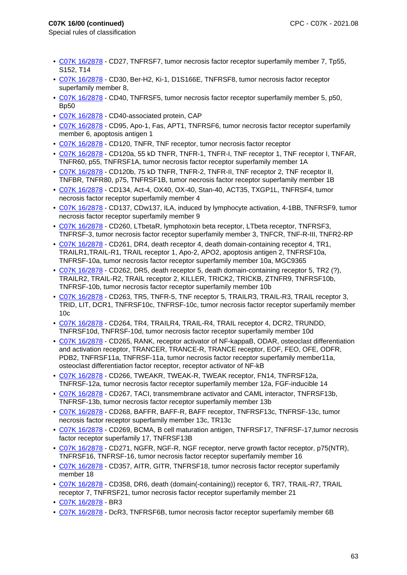- C07K 16/2878 CD27, TNFRSF7, tumor necrosis factor receptor superfamily member 7, Tp55, S152, T14
- C07K 16/2878 CD30, Ber-H2, Ki-1, D1S166E, TNFRSF8, tumor necrosis factor receptor superfamily member 8,
- C07K 16/2878 CD40, TNFRSF5, tumor necrosis factor receptor superfamily member 5, p50, Bp50
- C07K 16/2878 CD40-associated protein, CAP
- C07K 16/2878 CD95, Apo-1, Fas, APT1, TNFRSF6, tumor necrosis factor receptor superfamily member 6, apoptosis antigen 1
- C07K 16/2878 CD120, TNFR, TNF receptor, tumor necrosis factor receptor
- C07K 16/2878 CD120a, 55 kD TNFR, TNFR-1, TNFR-I, TNF receptor 1, TNF receptor I, TNFAR, TNFR60, p55, TNFRSF1A, tumor necrosis factor receptor superfamily member 1A
- C07K 16/2878 CD120b, 75 kD TNFR, TNFR-2, TNFR-II, TNF receptor 2, TNF receptor II, TNFBR, TNFR80, p75, TNFRSF1B, tumor necrosis factor receptor superfamily member 1B
- C07K 16/2878 CD134, Act-4, OX40, OX-40, Stan-40, ACT35, TXGP1L, TNFRSF4, tumor necrosis factor receptor superfamily member 4
- C07K 16/2878 CD137, CDw137, ILA, induced by lymphocyte activation, 4-1BB, TNFRSF9, tumor necrosis factor receptor superfamily member 9
- C07K 16/2878 CD260, LTbetaR, lymphotoxin beta receptor, LTbeta receptor, TNFRSF3, TNFRSF-3, tumor necrosis factor receptor superfamily member 3, TNFCR, TNF-R-III, TNFR2-RP
- C07K 16/2878 CD261, DR4, death receptor 4, death domain-containing receptor 4, TR1, TRAILR1,TRAIL-R1, TRAIL receptor 1, Apo-2, APO2, apoptosis antigen 2, TNFRSF10a, TNFRSF-10a, tumor necrosis factor receptor superfamily member 10a, MGC9365
- C07K 16/2878 CD262, DR5, death receptor 5, death domain-containing receptor 5, TR2 (?), TRAILR2, TRAIL-R2, TRAIL receptor 2, KILLER, TRICK2, TRICKB, ZTNFR9, TNFRSF10b, TNFRSF-10b, tumor necrosis factor receptor superfamily member 10b
- C07K 16/2878 CD263, TR5, TNFR-5, TNF receptor 5, TRAILR3, TRAIL-R3, TRAIL receptor 3, TRID, LIT, DCR1, TNFRSF10c, TNFRSF-10c, tumor necrosis factor receptor superfamily member 10c
- C07K 16/2878 CD264, TR4, TRAILR4, TRAIL-R4, TRAIL receptor 4, DCR2, TRUNDD, TNFRSF10d, TNFRSF-10d, tumor necrosis factor receptor superfamily member 10d
- C07K 16/2878 CD265, RANK, receptor activator of NF-kappaB, ODAR, osteoclast differentiation and activation receptor, TRANCER, TRANCE-R, TRANCE receptor, EOF, FEO, OFE, ODFR, PDB2, TNFRSF11a, TNFRSF-11a, tumor necrosis factor receptor superfamily member11a, osteoclast differentiation factor receptor, receptor activator of NF-kB
- C07K 16/2878 CD266, TWEAKR, TWEAK-R, TWEAK receptor, FN14, TNFRSF12a, TNFRSF-12a, tumor necrosis factor receptor superfamily member 12a, FGF-inducible 14
- C07K 16/2878 CD267, TACI, transmembrane activator and CAML interactor, TNFRSF13b, TNFRSF-13b, tumor necrosis factor receptor superfamily member 13b
- C07K 16/2878 CD268, BAFFR, BAFF-R, BAFF receptor, TNFRSF13c, TNFRSF-13c, tumor necrosis factor receptor superfamily member 13c, TR13c
- C07K 16/2878 CD269, BCMA, B cell maturation antigen, TNFRSF17, TNFRSF-17,tumor necrosis factor receptor superfamily 17, TNFRSF13B
- C07K 16/2878 CD271, NGFR, NGF-R, NGF receptor, nerve growth factor receptor, p75(NTR), TNFRSF16, TNFRSF-16, tumor necrosis factor receptor superfamily member 16
- C07K 16/2878 CD357, AITR, GITR, TNFRSF18, tumor necrosis factor receptor superfamily member 18
- C07K 16/2878 CD358, DR6, death (domain(-containing)) receptor 6, TR7, TRAIL-R7, TRAIL receptor 7, TNFRSF21, tumor necrosis factor receptor superfamily member 21
- C07K 16/2878 BR3
- C07K 16/2878 DcR3, TNFRSF6B, tumor necrosis factor receptor superfamily member 6B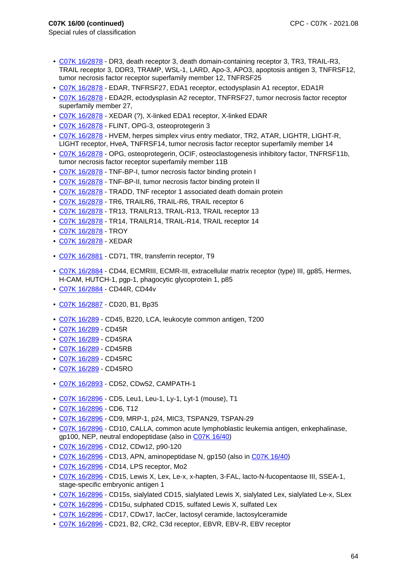- Special rules of classification
	- C07K 16/2878 DR3, death receptor 3, death domain-containing receptor 3, TR3, TRAIL-R3, TRAIL receptor 3, DDR3, TRAMP, WSL-1, LARD, Apo-3, APO3, apoptosis antigen 3, TNFRSF12, tumor necrosis factor receptor superfamily member 12, TNFRSF25
	- C07K 16/2878 EDAR, TNFRSF27, EDA1 receptor, ectodysplasin A1 receptor, EDA1R
	- C07K 16/2878 EDA2R, ectodysplasin A2 receptor, TNFRSF27, tumor necrosis factor receptor superfamily member 27,
	- C07K 16/2878 XEDAR (?), X-linked EDA1 receptor, X-linked EDAR
	- C07K 16/2878 FLINT, OPG-3, osteoprotegerin 3
	- C07K 16/2878 HVEM, herpes simplex virus entry mediator, TR2, ATAR, LIGHTR, LIGHT-R, LIGHT receptor, HveA, TNFRSF14, tumor necrosis factor receptor superfamily member 14
	- C07K 16/2878 OPG, osteoprotegerin, OCIF, osteoclastogenesis inhibitory factor, TNFRSF11b, tumor necrosis factor receptor superfamily member 11B
	- C07K 16/2878 TNF-BP-I, tumor necrosis factor binding protein I
	- C07K 16/2878 TNF-BP-II, tumor necrosis factor binding protein II
- C07K 16/2878 TRADD, TNF receptor 1 associated death domain protein
- C07K 16/2878 TR6, TRAILR6, TRAIL-R6, TRAIL receptor 6
- C07K 16/2878 TR13, TRAILR13, TRAIL-R13, TRAIL receptor 13
- C07K 16/2878 TR14, TRAILR14, TRAIL-R14, TRAIL receptor 14
- C07K 16/2878 TROY
- C07K 16/2878 XEDAR
- C07K 16/2881 CD71, TfR, transferrin receptor, T9
- C07K 16/2884 CD44, ECMRIII, ECMR-III, extracellular matrix receptor (type) III, gp85, Hermes, H-CAM, HUTCH-1, pgp-1, phagocytic glycoprotein 1, p85
- C07K 16/2884 CD44R, CD44v
- C07K 16/2887 CD20, B1, Bp35
- C07K 16/289 CD45, B220, LCA, leukocyte common antigen, T200
- C07K 16/289 CD45R
- C07K 16/289 CD45RA
- C07K 16/289 CD45RB
- C07K 16/289 CD45RC
- C07K 16/289 CD45RO
- C07K 16/2893 CD52, CDw52, CAMPATH-1
- C07K 16/2896 CD5, Leu1, Leu-1, Ly-1, Lyt-1 (mouse), T1
- C07K 16/2896 CD6, T12
- C07K 16/2896 CD9, MRP-1, p24, MIC3, TSPAN29, TSPAN-29
- C07K 16/2896 CD10, CALLA, common acute lymphoblastic leukemia antigen, enkephalinase, gp100, NEP, neutral endopeptidase (also in C07K 16/40)
- C07K 16/2896 CD12, CDw12, p90-120
- C07K 16/2896 CD13, APN, aminopeptidase N, gp150 (also in C07K 16/40)
- C07K 16/2896 CD14, LPS receptor, Mo2
- C07K 16/2896 CD15, Lewis X, Lex, Le-x, x-hapten, 3-FAL, lacto-N-fucopentaose III, SSEA-1, stage-specific embryonic antigen 1
- C07K 16/2896 CD15s, sialylated CD15, sialylated Lewis X, sialylated Lex, sialylated Le-x, SLex
- C07K 16/2896 CD15u, sulphated CD15, sulfated Lewis X, sulfated Lex
- C07K 16/2896 CD17, CDw17, lacCer, lactosyl ceramide, lactosylceramide
- C07K 16/2896 CD21, B2, CR2, C3d receptor, EBVR, EBV-R, EBV receptor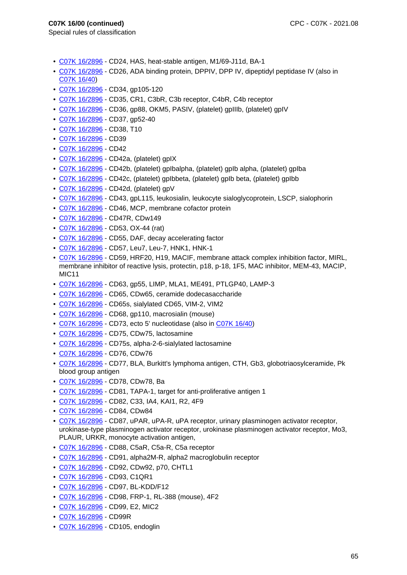- C07K 16/2896 CD24, HAS, heat-stable antigen, M1/69-J11d, BA-1
- C07K 16/2896 CD26, ADA binding protein, DPPIV, DPP IV, dipeptidyl peptidase IV (also in C07K 16/40)
- C07K 16/2896 CD34, gp105-120
- C07K 16/2896 CD35, CR1, C3bR, C3b receptor, C4bR, C4b receptor
- C07K 16/2896 CD36, gp88, OKM5, PASIV, (platelet) gpIIIb, (platelet) gpIV
- C07K 16/2896 CD37, gp52-40
- C07K 16/2896 CD38, T10
- C07K 16/2896 CD39
- C07K 16/2896 CD42
- C07K 16/2896 CD42a, (platelet) gpIX
- C07K 16/2896 CD42b, (platelet) gpIbalpha, (platelet) gpIb alpha, (platelet) gpIba
- C07K 16/2896 CD42c, (platelet) gpIbbeta, (platelet) gpIb beta, (platelet) gpIbb
- C07K 16/2896 CD42d, (platelet) gpV
- C07K 16/2896 CD43, gpL115, leukosialin, leukocyte sialoglycoprotein, LSCP, sialophorin
- C07K 16/2896 CD46, MCP, membrane cofactor protein
- C07K 16/2896 CD47R, CDw149
- C07K 16/2896 CD53, OX-44 (rat)
- C07K 16/2896 CD55, DAF, decay accelerating factor
- C07K 16/2896 CD57, Leu7, Leu-7, HNK1, HNK-1
- C07K 16/2896 CD59, HRF20, H19, MACIF, membrane attack complex inhibition factor, MIRL, membrane inhibitor of reactive lysis, protectin, p18, p-18, 1F5, MAC inhibitor, MEM-43, MACIP, MIC11
- C07K 16/2896 CD63, gp55, LIMP, MLA1, ME491, PTLGP40, LAMP-3
- C07K 16/2896 CD65, CDw65, ceramide dodecasaccharide
- C07K 16/2896 CD65s, sialylated CD65, VIM-2, VIM2
- C07K 16/2896 CD68, gp110, macrosialin (mouse)
- C07K 16/2896 CD73, ecto 5' nucleotidase (also in C07K 16/40)
- C07K 16/2896 CD75, CDw75, lactosamine
- C07K 16/2896 CD75s, alpha-2-6-sialylated lactosamine
- C07K 16/2896 CD76, CDw76
- C07K 16/2896 CD77, BLA, Burkitt's lymphoma antigen, CTH, Gb3, globotriaosylceramide, Pk blood group antigen
- C07K 16/2896 CD78, CDw78, Ba
- C07K 16/2896 CD81, TAPA-1, target for anti-proliferative antigen 1
- C07K 16/2896 CD82, C33, IA4, KAI1, R2, 4F9
- C07K 16/2896 CD84, CDw84
- C07K 16/2896 CD87, uPAR, uPA-R, uPA receptor, urinary plasminogen activator receptor, urokinase-type plasminogen activator receptor, urokinase plasminogen activator receptor, Mo3, PLAUR, URKR, monocyte activation antigen,
- C07K 16/2896 CD88, C5aR, C5a-R, C5a receptor
- C07K 16/2896 CD91, alpha2M-R, alpha2 macroglobulin receptor
- C07K 16/2896 CD92, CDw92, p70, CHTL1
- C07K 16/2896 CD93, C1QR1
- C07K 16/2896 CD97, BL-KDD/F12
- C07K 16/2896 CD98, FRP-1, RL-388 (mouse), 4F2
- C07K 16/2896 CD99, E2, MIC2
- C07K 16/2896 CD99R
- C07K 16/2896 CD105, endoglin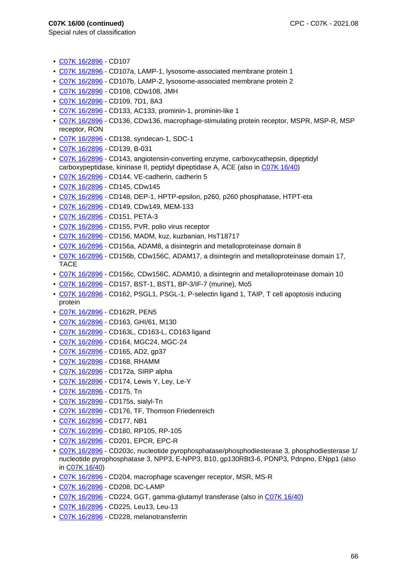- C07K 16/2896 CD107
- C07K 16/2896 CD107a, LAMP-1, lysosome-associated membrane protein 1
- C07K 16/2896 CD107b, LAMP-2, lysosome-associated membrane protein 2
- C07K 16/2896 CD108, CDw108, JMH
- C07K 16/2896 CD109, 7D1, 8A3
- C07K 16/2896 CD133, AC133, prominin-1, prominin-like 1
- C07K 16/2896 CD136, CDw136, macrophage-stimulating protein receptor, MSPR, MSP-R, MSP receptor, RON
- C07K 16/2896 CD138, syndecan-1, SDC-1
- C07K 16/2896 CD139, B-031
- C07K 16/2896 CD143, angiotensin-converting enzyme, carboxycathepsin, dipeptidyl carboxypeptidase, kininase II, peptidyl dipeptidase A, ACE (also in C07K 16/40)
- C07K 16/2896 CD144, VE-cadherin, cadherin 5
- C07K 16/2896 CD145, CDw145
- C07K 16/2896 CD148, DEP-1, HPTP-epsilon, p260, p260 phosphatase, HTPT-eta
- C07K 16/2896 CD149, CDw149, MEM-133
- C07K 16/2896 CD151, PETA-3
- C07K 16/2896 CD155, PVR, polio virus receptor
- C07K 16/2896 CD156, MADM, kuz, kuzbanian, HsT18717
- C07K 16/2896 CD156a, ADAM8, a disintegrin and metalloproteinase domain 8
- C07K 16/2896 CD156b, CDw156C, ADAM17, a disintegrin and metalloproteinase domain 17, TACE
- C07K 16/2896 CD156c, CDw156C, ADAM10, a disintegrin and metalloproteinase domain 10
- C07K 16/2896 CD157, BST-1, BST1, BP-3/IF-7 (murine), Mo5
- C07K 16/2896 CD162, PSGL1, PSGL-1, P-selectin ligand 1, TAIP, T cell apoptosis inducing protein
- C07K 16/2896 CD162R, PEN5
- C07K 16/2896 CD163, GHI/61, M130
- C07K 16/2896 CD163L, CD163-L, CD163 ligand
- C07K 16/2896 CD164, MGC24, MGC-24
- C07K 16/2896 CD165, AD2, gp37
- C07K 16/2896 CD168, RHAMM
- C07K 16/2896 CD172a, SIRP alpha
- C07K 16/2896 CD174, Lewis Y, Ley, Le-Y
- C07K 16/2896 CD175, Tn
- C07K 16/2896 CD175s, sialyl-Tn
- C07K 16/2896 CD176, TF, Thomson Friedenreich
- C07K 16/2896 CD177, NB1
- C07K 16/2896 CD180, RP105, RP-105
- C07K 16/2896 CD201, EPCR, EPC-R
- C07K 16/2896 CD203c, nucleotide pyrophosphatase/phosphodiesterase 3, phosphodiesterase 1/ nucleotide pyrophosphatase 3, NPP3, E-NPP3, B10, gp130RBt3-6, PDNP3, Pdnpno, ENpp1 (also in C07K 16/40)
- C07K 16/2896 CD204, macrophage scavenger receptor, MSR, MS-R
- C07K 16/2896 CD208, DC-LAMP
- C07K 16/2896 CD224, GGT, gamma-glutamyl transferase (also in C07K 16/40)
- C07K 16/2896 CD225, Leu13, Leu-13
- C07K 16/2896 CD228, melanotransferrin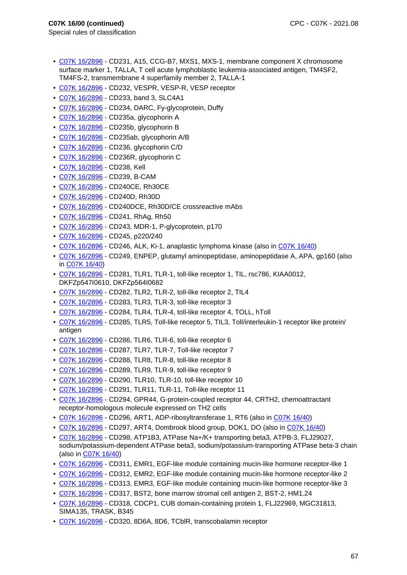- C07K 16/2896 CD231, A15, CCG-B7, MXS1, MXS-1, membrane component X chromosome surface marker 1, TALLA, T cell acute lymphoblastic leukemia-associated antigen, TM4SF2, TM4FS-2, transmembrane 4 superfamily member 2, TALLA-1
- C07K 16/2896 CD232, VESPR, VESP-R, VESP receptor
- C07K 16/2896 CD233, band 3, SLC4A1
- C07K 16/2896 CD234, DARC, Fy-glycoprotein, Duffy
- C07K 16/2896 CD235a, glycophorin A
- C07K 16/2896 CD235b, glycophorin B
- C07K 16/2896 CD235ab, glycophorin A/B
- C07K 16/2896 CD236, glycophorin C/D
- C07K 16/2896 CD236R, glycophorin C
- C07K 16/2896 CD238, Kell
- C07K 16/2896 CD239, B-CAM
- C07K 16/2896 CD240CE, Rh30CE
- C07K 16/2896 CD240D, Rh30D
- C07K 16/2896 CD240DCE, Rh30D/CE crossreactive mAbs
- C07K 16/2896 CD241, RhAg, Rh50
- C07K 16/2896 CD243, MDR-1, P-glycoprotein, p170
- C07K 16/2896 CD245, p220/240
- C07K 16/2896 CD246, ALK, Ki-1, anaplastic lymphoma kinase (also in C07K 16/40)
- C07K 16/2896 CD249, ENPEP, glutamyl aminopeptidase, aminopeptidase A, APA, gp160 (also in C07K 16/40)
- C07K 16/2896 CD281, TLR1, TLR-1, toll-like receptor 1, TIL, rsc786, KIAA0012, DKFZp547I0610, DKFZp564I0682
- C07K 16/2896 CD282, TLR2, TLR-2, toll-like receptor 2, TIL4
- C07K 16/2896 CD283, TLR3, TLR-3, toll-like receptor 3
- C07K 16/2896 CD284, TLR4, TLR-4, toll-like receptor 4, TOLL, hToll
- C07K 16/2896 CD285, TLR5, Toll-like receptor 5, TIL3, Toll/interleukin-1 receptor like protein/ antigen
- C07K 16/2896 CD286, TLR6, TLR-6, toll-like receptor 6
- C07K 16/2896 CD287, TLR7, TLR-7, Toll-like receptor 7
- C07K 16/2896 CD288, TLR8, TLR-8, toll-like receptor 8
- C07K 16/2896 CD289, TLR9, TLR-9, toll-like receptor 9
- C07K 16/2896 CD290, TLR10, TLR-10, toll-like receptor 10
- C07K 16/2896 CD291, TLR11, TLR-11, Toll-like receptor 11
- C07K 16/2896 CD294, GPR44, G-protein-coupled receptor 44, CRTH2, chemoattractant receptor-homologous molecule expressed on TH2 cells
- C07K 16/2896 CD296, ART1, ADP-ribosyltransferase 1, RT6 (also in C07K 16/40)
- C07K 16/2896 CD297, ART4, Dombrook blood group, DOK1, DO (also in C07K 16/40)
- C07K 16/2896 CD298, ATP1B3, ATPase Na+/K+ transporting beta3, ATPB-3, FLJ29027, sodium/potassium-dependent ATPase beta3, sodium/potassium-transporting ATPase beta-3 chain (also in C07K 16/40)
- C07K 16/2896 CD311, EMR1, EGF-like module containing mucin-like hormone receptor-like 1
- C07K 16/2896 CD312, EMR2, EGF-like module containing mucin-like hormone receptor-like 2
- C07K 16/2896 CD313, EMR3, EGF-like module containing mucin-like hormone receptor-like 3
- C07K 16/2896 CD317, BST2, bone marrow stromal cell antigen 2, BST-2, HM1.24
- C07K 16/2896 CD318, CDCP1, CUB domain-containing protein 1, FLJ22969, MGC31813, SIMA135, TRASK, B345
- C07K 16/2896 CD320, 8D6A, 8D6, TCblR, transcobalamin receptor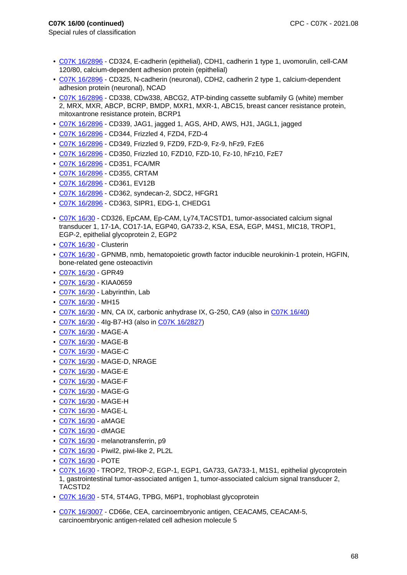- Special rules of classification
	- C07K 16/2896 CD324, E-cadherin (epithelial), CDH1, cadherin 1 type 1, uvomorulin, cell-CAM 120/80, calcium-dependent adhesion protein (epithelial)
	- C07K 16/2896 CD325, N-cadherin (neuronal), CDH2, cadherin 2 type 1, calcium-dependent adhesion protein (neuronal), NCAD
	- C07K 16/2896 CD338, CDw338, ABCG2, ATP-binding cassette subfamily G (white) member 2, MRX, MXR, ABCP, BCRP, BMDP, MXR1, MXR-1, ABC15, breast cancer resistance protein, mitoxantrone resistance protein, BCRP1
	- C07K 16/2896 CD339, JAG1, jagged 1, AGS, AHD, AWS, HJ1, JAGL1, jagged
	- C07K 16/2896 CD344, Frizzled 4, FZD4, FZD-4
	- C07K 16/2896 CD349, Frizzled 9, FZD9, FZD-9, Fz-9, hFz9, FzE6
- C07K 16/2896 CD350, Frizzled 10, FZD10, FZD-10, Fz-10, hFz10, FzE7
- C07K 16/2896 CD351, FCA/MR
- C07K 16/2896 CD355, CRTAM
- C07K 16/2896 CD361, EV12B
- C07K 16/2896 CD362, syndecan-2, SDC2, HFGR1
- C07K 16/2896 CD363, SIPR1, EDG-1, CHEDG1
- C07K 16/30 CD326, EpCAM, Ep-CAM, Ly74,TACSTD1, tumor-associated calcium signal transducer 1, 17-1A, CO17-1A, EGP40, GA733-2, KSA, ESA, EGP, M4S1, MIC18, TROP1, EGP-2, epithelial glycoprotein 2, EGP2
- C07K 16/30 Clusterin
- C07K 16/30 GPNMB, nmb, hematopoietic growth factor inducible neurokinin-1 protein, HGFIN, bone-related gene osteoactivin
- C07K 16/30 GPR49
- C07K 16/30 KIAA0659
- C07K 16/30 Labyrinthin, Lab
- C07K 16/30 MH15
- C07K 16/30 MN, CA IX, carbonic anhydrase IX, G-250, CA9 (also in C07K 16/40)
- C07K 16/30 4Ig-B7-H3 (also in C07K 16/2827)
- C07K 16/30 MAGE-A
- C07K 16/30 MAGE-B
- C07K 16/30 MAGE-C
- C07K 16/30 MAGE-D, NRAGE
- C07K 16/30 MAGE-E
- C07K 16/30 MAGE-F
- C07K 16/30 MAGE-G
- C07K 16/30 MAGE-H
- C07K 16/30 MAGE-L
- C07K 16/30 aMAGE
- C07K 16/30 dMAGE
- C07K 16/30 melanotransferrin, p9
- C07K 16/30 Piwil2, piwi-like 2, PL2L
- C07K 16/30 POTE
- C07K 16/30 TROP2, TROP-2, EGP-1, EGP1, GA733, GA733-1, M1S1, epithelial glycoprotein 1, gastrointestinal tumor-associated antigen 1, tumor-associated calcium signal transducer 2, TACSTD2
- C07K 16/30 5T4, 5T4AG, TPBG, M6P1, trophoblast glycoprotein
- C07K 16/3007 CD66e, CEA, carcinoembryonic antigen, CEACAM5, CEACAM-5, carcinoembryonic antigen-related cell adhesion molecule 5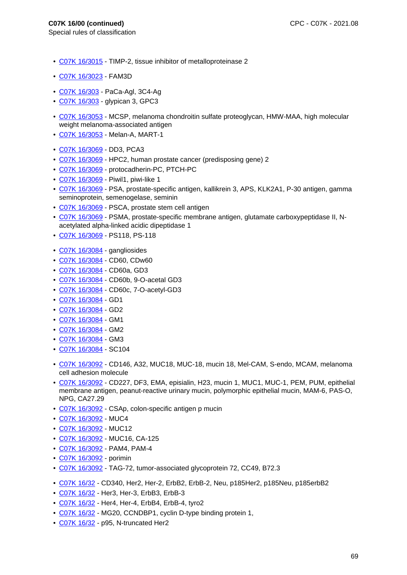- Special rules of classification
	- C07K 16/3015 TIMP-2, tissue inhibitor of metalloproteinase 2
	- C07K 16/3023 FAM3D
	- C07K 16/303 PaCa-Agl, 3C4-Ag
	- C07K 16/303 glypican 3, GPC3
	- C07K 16/3053 MCSP, melanoma chondroitin sulfate proteoglycan, HMW-MAA, high molecular weight melanoma-associated antigen
	- C07K 16/3053 Melan-A, MART-1
	- C07K 16/3069 DD3, PCA3
	- C07K 16/3069 HPC2, human prostate cancer (predisposing gene) 2
	- C07K 16/3069 protocadherin-PC, PTCH-PC
	- C07K 16/3069 Piwil1, piwi-like 1
	- C07K 16/3069 PSA, prostate-specific antigen, kallikrein 3, APS, KLK2A1, P-30 antigen, gamma seminoprotein, semenogelase, seminin
	- C07K 16/3069 PSCA, prostate stem cell antigen
	- C07K 16/3069 PSMA, prostate-specific membrane antigen, glutamate carboxypeptidase II, Nacetylated alpha-linked acidic dipeptidase 1
	- C07K 16/3069 PS118, PS-118
	- C07K 16/3084 gangliosides
	- C07K 16/3084 CD60, CDw60
	- C07K 16/3084 CD60a, GD3
	- C07K 16/3084 CD60b, 9-O-acetal GD3
	- C07K 16/3084 CD60c, 7-O-acetyl-GD3
	- C07K 16/3084 GD1
	- C07K 16/3084 GD2
	- C07K 16/3084 GM1
	- C07K 16/3084 GM2
	- C07K 16/3084 GM3
	- C07K 16/3084 SC104
	- C07K 16/3092 CD146, A32, MUC18, MUC-18, mucin 18, Mel-CAM, S-endo, MCAM, melanoma cell adhesion molecule
	- C07K 16/3092 CD227, DF3, EMA, episialin, H23, mucin 1, MUC1, MUC-1, PEM, PUM, epithelial membrane antigen, peanut-reactive urinary mucin, polymorphic epithelial mucin, MAM-6, PAS-O, NPG, CA27.29
- C07K 16/3092 CSAp, colon-specific antigen p mucin
- C07K 16/3092 MUC4
- C07K 16/3092 MUC12
- C07K 16/3092 MUC16, CA-125
- C07K 16/3092 PAM4, PAM-4
- C07K 16/3092 porimin
- C07K 16/3092 TAG-72, tumor-associated glycoprotein 72, CC49, B72.3
- C07K 16/32 CD340, Her2, Her-2, ErbB2, ErbB-2, Neu, p185Her2, p185Neu, p185erbB2
- C07K 16/32 Her3, Her-3, ErbB3, ErbB-3
- C07K 16/32 Her4, Her-4, ErbB4, ErbB-4, tyro2
- C07K 16/32 MG20, CCNDBP1, cyclin D-type binding protein 1,
- C07K 16/32 p95, N-truncated Her2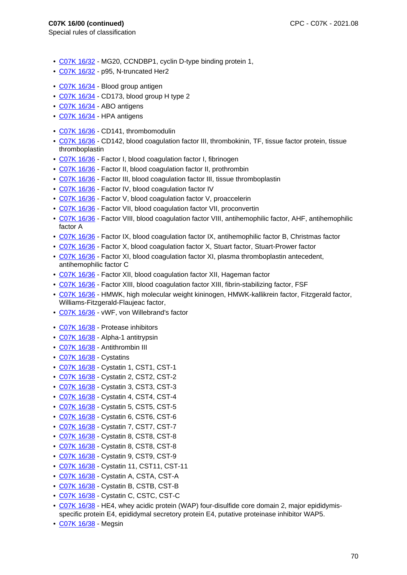- C07K 16/32 MG20, CCNDBP1, cyclin D-type binding protein 1,
- C07K 16/32 p95, N-truncated Her2
- C07K 16/34 Blood group antigen
- C07K 16/34 CD173, blood group H type 2
- C07K 16/34 ABO antigens
- C07K 16/34 HPA antigens
- C07K 16/36 CD141, thrombomodulin
- C07K 16/36 CD142, blood coagulation factor III, thrombokinin, TF, tissue factor protein, tissue thromboplastin
- C07K 16/36 Factor I, blood coagulation factor I, fibrinogen
- C07K 16/36 Factor II, blood coagulation factor II, prothrombin
- C07K 16/36 Factor III, blood coagulation factor III, tissue thromboplastin
- C07K 16/36 Factor IV, blood coagulation factor IV
- C07K 16/36 Factor V, blood coagulation factor V, proaccelerin
- C07K 16/36 Factor VII, blood coagulation factor VII, proconvertin
- C07K 16/36 Factor VIII, blood coagulation factor VIII, antihemophilic factor, AHF, antihemophilic factor A
- C07K 16/36 Factor IX, blood coagulation factor IX, antihemophilic factor B, Christmas factor
- C07K 16/36 Factor X, blood coagulation factor X, Stuart factor, Stuart-Prower factor
- C07K 16/36 Factor XI, blood coagulation factor XI, plasma thromboplastin antecedent, antihemophilic factor C
- C07K 16/36 Factor XII, blood coagulation factor XII, Hageman factor
- C07K 16/36 Factor XIII, blood coagulation factor XIII, fibrin-stabilizing factor, FSF
- C07K 16/36 HMWK, high molecular weight kininogen, HMWK-kallikrein factor, Fitzgerald factor, Williams-Fitzgerald-Flaujeac factor,
- C07K 16/36 vWF, von Willebrand's factor
- C07K 16/38 Protease inhibitors
- C07K 16/38 Alpha-1 antitrypsin
- C07K 16/38 Antithrombin III
- C07K 16/38 Cystatins
- C07K 16/38 Cystatin 1, CST1, CST-1
- C07K 16/38 Cystatin 2, CST2, CST-2
- C07K 16/38 Cystatin 3, CST3, CST-3
- C07K 16/38 Cystatin 4, CST4, CST-4
- C07K 16/38 Cystatin 5, CST5, CST-5
- C07K 16/38 Cystatin 6, CST6, CST-6
- C07K 16/38 Cystatin 7, CST7, CST-7
- C07K 16/38 Cystatin 8, CST8, CST-8
- C07K 16/38 Cystatin 8, CST8, CST-8
- C07K 16/38 Cystatin 9, CST9, CST-9
- C07K 16/38 Cystatin 11, CST11, CST-11
- C07K 16/38 Cystatin A, CSTA, CST-A
- C07K 16/38 Cystatin B, CSTB, CST-B
- C07K 16/38 Cystatin C, CSTC, CST-C
- C07K 16/38 HE4, whey acidic protein (WAP) four-disulfide core domain 2, major epididymisspecific protein E4, epididymal secretory protein E4, putative proteinase inhibitor WAP5.
- C07K 16/38 Megsin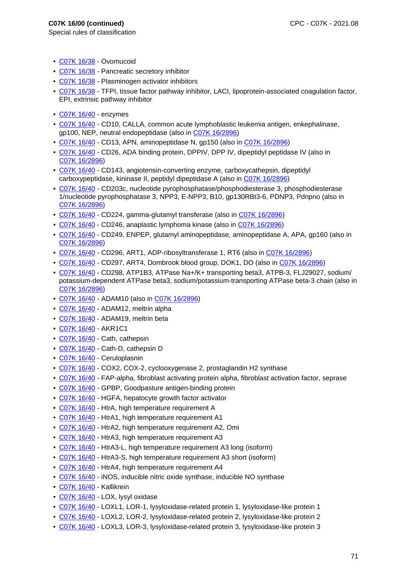- C07K 16/38 Ovomucoid
- C07K 16/38 Pancreatic secretory inhibitor
- C07K 16/38 Plasminogen activator inhibitors
- C07K 16/38 TFPI, tissue factor pathway inhibitor, LACI, lipoprotein-associated coagulation factor, EPI, extrinsic pathway inhibitor
- C07K 16/40 enzymes
- C07K 16/40 CD10, CALLA, common acute lymphoblastic leukemia antigen, enkephalinase, gp100, NEP, neutral endopeptidase (also in C07K 16/2896)
- C07K 16/40 CD13, APN, aminopeptidase N, gp150 (also in C07K 16/2896)
- C07K 16/40 CD26, ADA binding protein, DPPIV, DPP IV, dipeptidyl peptidase IV (also in C07K 16/2896)
- C07K 16/40 CD143, angiotensin-converting enzyme, carboxycathepsin, dipeptidyl carboxypeptidase, kininase II, peptidyl dipeptidase A (also in C07K 16/2896)
- C07K 16/40 CD203c, nucleotide pyrophosphatase/phosphodiesterase 3, phosphodiesterase 1/nucleotide pyrophosphatase 3, NPP3, E-NPP3, B10, gp130RBt3-6, PDNP3, Pdnpno (also in C07K 16/2896)
- C07K 16/40 CD224, gamma-glutamyl transferase (also in C07K 16/2896)
- C07K 16/40 CD246, anaplastic lymphoma kinase (also in C07K 16/2896)
- C07K 16/40 CD249, ENPEP, glutamyl aminopeptidase, aminopeptidase A, APA, gp160 (also in C07K 16/2896)
- C07K 16/40 CD296, ART1, ADP-ribosyltransferase 1, RT6 (also in C07K 16/2896)
- C07K 16/40 CD297, ART4, Dombrook blood group, DOK1, DO (also in C07K 16/2896)
- C07K 16/40 CD298, ATP1B3, ATPase Na+/K+ transporting beta3, ATPB-3, FLJ29027, sodium/ potassium-dependent ATPase beta3, sodium/potassium-transporting ATPase beta-3 chain (also in C07K 16/2896)
- C07K 16/40 ADAM10 (also in C07K 16/2896)
- C07K 16/40 ADAM12, meltrin alpha
- C07K 16/40 ADAM19, meltrin beta
- C07K 16/40 AKR1C1
- C07K 16/40 Cath, cathepsin
- C07K 16/40 Cath-D, cathepsin D
- C07K 16/40 Ceruloplasnin
- C07K 16/40 COX2, COX-2, cyclooxygenase 2, prostaglandin H2 synthase
- C07K 16/40 FAP-alpha, fibroblast activating protein alpha, fibroblast activation factor, seprase
- C07K 16/40 GPBP, Goodpasture antigen-binding protein
- C07K 16/40 HGFA, hepatocyte growth factor activator
- C07K 16/40 HtrA, high temperature requirement A
- C07K 16/40 HtrA1, high temperature requirement A1
- C07K 16/40 HtrA2, high temperature requirement A2, Omi
- C07K 16/40 HtrA3, high temperature requirement A3
- C07K 16/40 HtrA3-L, high temperature requirement A3 long (isoform)
- C07K 16/40 HtrA3-S, high temperature requirement A3 short (isoform)
- C07K 16/40 HtrA4, high temperature requirement A4
- C07K 16/40 iNOS, inducible nitric oxide synthase, inducible NO synthase
- C07K 16/40 Kallikrein
- C07K 16/40 LOX, lysyl oxidase
- C07K 16/40 LOXL1, LOR-1, lysyloxidase-related protein 1, lysyloxidase-like protein 1
- C07K 16/40 LOXL2, LOR-2, lysyloxidase-related protein 2, lysyloxidase-like protein 2
- C07K 16/40 LOXL3, LOR-3, lysyloxidase-related protein 3, lysyloxidase-like protein 3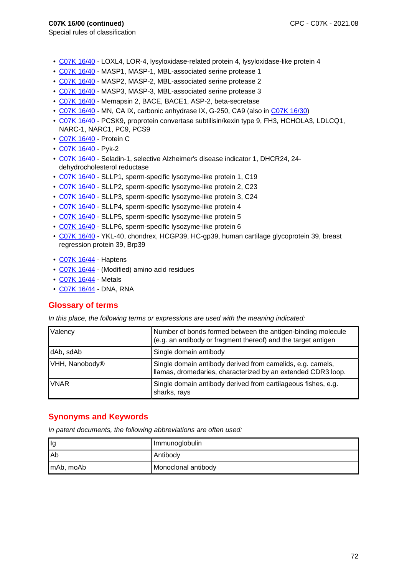- Special rules of classification
	- C07K 16/40 LOXL4, LOR-4, lysyloxidase-related protein 4, lysyloxidase-like protein 4
	- C07K 16/40 MASP1, MASP-1, MBL-associated serine protease 1
	- C07K 16/40 MASP2, MASP-2, MBL-associated serine protease 2
	- C07K 16/40 MASP3, MASP-3, MBL-associated serine protease 3
	- C07K 16/40 Memapsin 2, BACE, BACE1, ASP-2, beta-secretase
	- C07K 16/40 MN, CA IX, carbonic anhydrase IX, G-250, CA9 (also in C07K 16/30)
	- C07K 16/40 PCSK9, proprotein convertase subtilisin/kexin type 9, FH3, HCHOLA3, LDLCQ1, NARC-1, NARC1, PC9, PCS9
	- C07K 16/40 Protein C
	- C07K 16/40 Pyk-2
	- C07K 16/40 Seladin-1, selective Alzheimer's disease indicator 1, DHCR24, 24 dehydrocholesterol reductase
	- C07K 16/40 SLLP1, sperm-specific lysozyme-like protein 1, C19
	- C07K 16/40 SLLP2, sperm-specific lysozyme-like protein 2, C23
	- C07K 16/40 SLLP3, sperm-specific lysozyme-like protein 3, C24
	- C07K 16/40 SLLP4, sperm-specific lysozyme-like protein 4
	- C07K 16/40 SLLP5, sperm-specific lysozyme-like protein 5
	- C07K 16/40 SLLP6, sperm-specific lysozyme-like protein 6
	- C07K 16/40 YKL-40, chondrex, HCGP39, HC-gp39, human cartilage glycoprotein 39, breast regression protein 39, Brp39
	- C07K 16/44 Haptens
	- C07K 16/44 (Modified) amino acid residues
	- C07K 16/44 Metals
	- C07K 16/44 DNA, RNA

# **Glossary of terms**

In this place, the following terms or expressions are used with the meaning indicated:

| Valency        | Number of bonds formed between the antigen-binding molecule<br>(e.g. an antibody or fragment thereof) and the target antigen |
|----------------|------------------------------------------------------------------------------------------------------------------------------|
| dAb, sdAb      | Single domain antibody                                                                                                       |
| VHH, Nanobody® | Single domain antibody derived from camelids, e.g. camels,<br>Ilamas, dromedaries, characterized by an extended CDR3 loop.   |
| <b>VNAR</b>    | Single domain antibody derived from cartilageous fishes, e.g.<br>sharks, rays                                                |

# **Synonyms and Keywords**

In patent documents, the following abbreviations are often used:

| llg       | Immunoglobulin      |
|-----------|---------------------|
| l Ab      | Antibody            |
| mAb, moAb | Monoclonal antibody |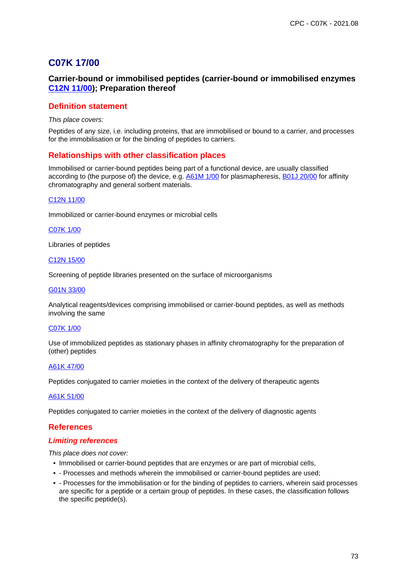# **C07K 17/00**

# **Carrier-bound or immobilised peptides (carrier-bound or immobilised enzymes C12N 11/00); Preparation thereof**

# **Definition statement**

This place covers:

Peptides of any size, i.e. including proteins, that are immobilised or bound to a carrier, and processes for the immobilisation or for the binding of peptides to carriers.

# **Relationships with other classification places**

Immobilised or carrier-bound peptides being part of a functional device, are usually classified according to (the purpose of) the device, e.g. A61M 1/00 for plasmapheresis, B01J 20/00 for affinity chromatography and general sorbent materials.

### C12N 11/00

Immobilized or carrier-bound enzymes or microbial cells

### C07K 1/00

Libraries of peptides

#### C12N 15/00

Screening of peptide libraries presented on the surface of microorganisms

#### G01N 33/00

Analytical reagents/devices comprising immobilised or carrier-bound peptides, as well as methods involving the same

### C07K 1/00

Use of immobilized peptides as stationary phases in affinity chromatography for the preparation of (other) peptides

#### A61K 47/00

Peptides conjugated to carrier moieties in the context of the delivery of therapeutic agents

#### A61K 51/00

Peptides conjugated to carrier moieties in the context of the delivery of diagnostic agents

# **References**

### **Limiting references**

This place does not cover:

- Immobilised or carrier-bound peptides that are enzymes or are part of microbial cells,
- - Processes and methods wherein the immobilised or carrier-bound peptides are used;
- - Processes for the immobilisation or for the binding of peptides to carriers, wherein said processes are specific for a peptide or a certain group of peptides. In these cases, the classification follows the specific peptide(s).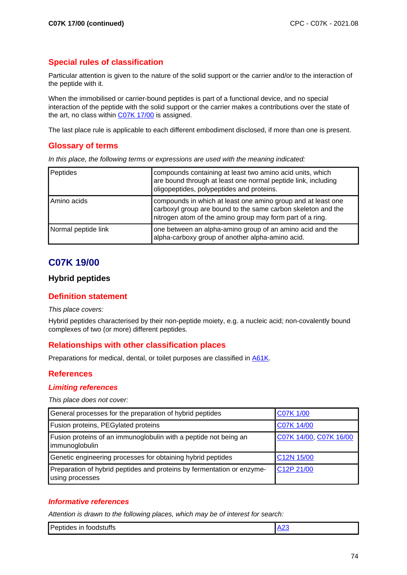# **Special rules of classification**

Particular attention is given to the nature of the solid support or the carrier and/or to the interaction of the peptide with it.

When the immobilised or carrier-bound peptides is part of a functional device, and no special interaction of the peptide with the solid support or the carrier makes a contributions over the state of the art, no class within C07K 17/00 is assigned.

The last place rule is applicable to each different embodiment disclosed, if more than one is present.

# **Glossary of terms**

In this place, the following terms or expressions are used with the meaning indicated:

| Peptides            | compounds containing at least two amino acid units, which<br>are bound through at least one normal peptide link, including<br>oligopeptides, polypeptides and proteins.                   |
|---------------------|-------------------------------------------------------------------------------------------------------------------------------------------------------------------------------------------|
| Amino acids         | compounds in which at least one amino group and at least one<br>carboxyl group are bound to the same carbon skeleton and the<br>nitrogen atom of the amino group may form part of a ring. |
| Normal peptide link | one between an alpha-amino group of an amino acid and the<br>alpha-carboxy group of another alpha-amino acid.                                                                             |

# **C07K 19/00**

# **Hybrid peptides**

# **Definition statement**

### This place covers:

Hybrid peptides characterised by their non-peptide moiety, e.g. a nucleic acid; non-covalently bound complexes of two (or more) different peptides.

# **Relationships with other classification places**

Preparations for medical, dental, or toilet purposes are classified in A61K.

# **References**

### **Limiting references**

This place does not cover:

| General processes for the preparation of hybrid peptides                                  | <b>C07K 1/00</b>       |
|-------------------------------------------------------------------------------------------|------------------------|
| Fusion proteins, PEGylated proteins                                                       | C07K 14/00             |
| Fusion proteins of an immunoglobulin with a peptide not being an<br>immunoglobulin        | C07K 14/00, C07K 16/00 |
| Genetic engineering processes for obtaining hybrid peptides                               | C12N 15/00             |
| Preparation of hybrid peptides and proteins by fermentation or enzyme-<br>using processes | C12P 21/00             |

# **Informative references**

Attention is drawn to the following places, which may be of interest for search:

| <b>Per</b><br>toodstutts<br>ın<br>∾люе∍ . |  |
|-------------------------------------------|--|
|-------------------------------------------|--|